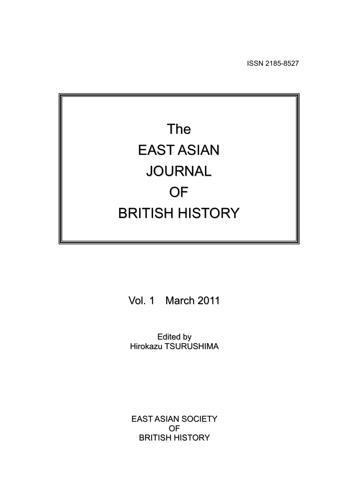ISSN 2185-8527

# The EAST ASIAN **JOURNAL** OF BRITISH HISTORY

Vol. 1 March 2011

Edited by Hirokazu TSURUSHIMA

EAST ASIAN SOCIETY OF BRITISH HISTORY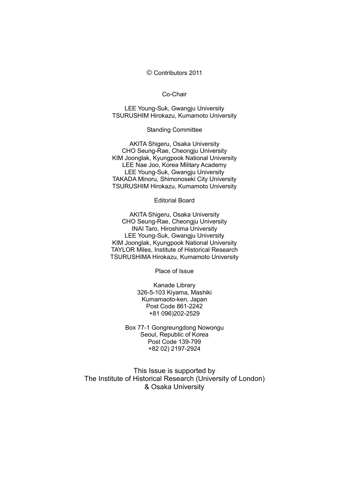#### © Contributors 2011

#### Co-Chair

LEE Young-Suk, Gwangju University TSURUSHIM Hirokazu, Kumamoto University

#### Standing Committee

AKITA Shigeru, Osaka University CHO Seung-Rae, Cheongju University KIM Joonglak, Kyungpook National University LEE Nae Joo, Korea Military Academy LEE Young-Suk, Gwangju University TAKADA Minoru, Shimonoseki City University TSURUSHIM Hirokazu, Kumamoto University

Editorial Board

AKITA Shigeru, Osaka University CHO Seung-Rae, Cheongju University INAI Taro, Hiroshima University LEE Young-Suk, Gwangju University KIM Joonglak, Kyungpook National University TAYLOR Miles, Institute of Historical Research TSURUSHIMA Hirokazu, Kumamoto University

Place of Issue

Kanade Library 326-5-103 Kiyama, Mashiki Kumamaoto-ken, Japan Post Code 861-2242 +81 096)202-2529

Box 77-1 Gongreungdong Nowongu Seoul, Republic of Korea Post Code 139-799 +82 02) 2197-2924

This Issue is supported by The Institute of Historical Research (University of London) & Osaka University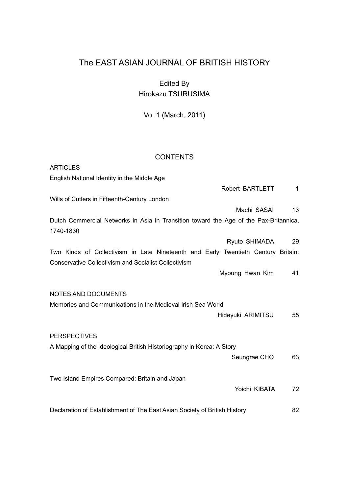## The EAST ASIAN JOURNAL OF BRITISH HISTORY

Edited By Hirokazu TSURUSIMA

Vo. 1 (March, 2011)

### **CONTENTS**

| <b>ARTICLES</b>                                                                                    |              |
|----------------------------------------------------------------------------------------------------|--------------|
| English National Identity in the Middle Age                                                        |              |
| Robert BARTLETT                                                                                    | $\mathbf{1}$ |
| Wills of Cutlers in Fifteenth-Century London                                                       |              |
| Machi SASAI                                                                                        | 13           |
| Dutch Commercial Networks in Asia in Transition toward the Age of the Pax-Britannica,<br>1740-1830 |              |
| Ryuto SHIMADA                                                                                      | 29           |
| Two Kinds of Collectivism in Late Nineteenth and Early Twentieth Century Britain:                  |              |
| <b>Conservative Collectivism and Socialist Collectivism</b>                                        |              |
| Myoung Hwan Kim                                                                                    | 41           |
| NOTES AND DOCUMENTS                                                                                |              |
| Memories and Communications in the Medieval Irish Sea World                                        |              |
| Hideyuki ARIMITSU                                                                                  | 55           |
| <b>PERSPECTIVES</b>                                                                                |              |
| A Mapping of the Ideological British Historiography in Korea: A Story                              |              |
| Seungrae CHO                                                                                       | 63           |
|                                                                                                    |              |
| Two Island Empires Compared: Britain and Japan<br>Yoichi KIBATA                                    | 72           |
|                                                                                                    |              |
| Declaration of Establishment of The East Asian Society of British History                          | 82           |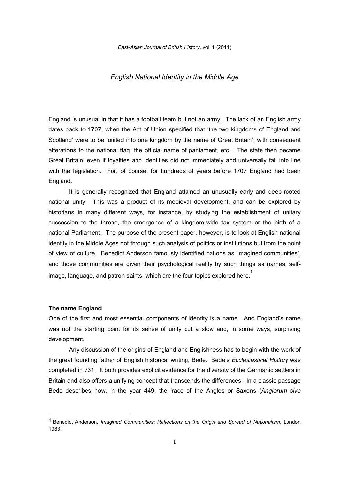#### *English National Identity in the Middle Age*

England is unusual in that it has a football team but not an army. The lack of an English army dates back to 1707, when the Act of Union specified that 'the two kingdoms of England and Scotland' were to be 'united into one kingdom by the name of Great Britain', with consequent alterations to the national flag, the official name of parliament, etc.. The state then became Great Britain, even if loyalties and identities did not immediately and universally fall into line with the legislation. For, of course, for hundreds of years before 1707 England had been England.

It is generally recognized that England attained an unusually early and deep-rooted national unity. This was a product of its medieval development, and can be explored by historians in many different ways, for instance, by studying the establishment of unitary succession to the throne, the emergence of a kingdom-wide tax system or the birth of a national Parliament. The purpose of the present paper, however, is to look at English national identity in the Middle Ages not through such analysis of politics or institutions but from the point of view of culture. Benedict Anderson famously identified nations as 'imagined communities', and those communities are given their psychological reality by such things as names, selfimage, language, and patron saints, which are the four topics explored here.<sup>1</sup>

#### **The name England**

-

One of the first and most essential components of identity is a name. And England's name was not the starting point for its sense of unity but a slow and, in some ways, surprising development.

Any discussion of the origins of England and Englishness has to begin with the work of the great founding father of English historical writing, Bede. Bede's *Ecclesiastical History* was completed in 731. It both provides explicit evidence for the diversity of the Germanic settlers in Britain and also offers a unifying concept that transcends the differences. In a classic passage Bede describes how, in the year 449, the 'race of the Angles or Saxons (*Anglorum sive* 

<sup>1</sup> Benedict Anderson, *Imagined Communities: Reflections on the Origin and Spread of Nationalism*, London 1983.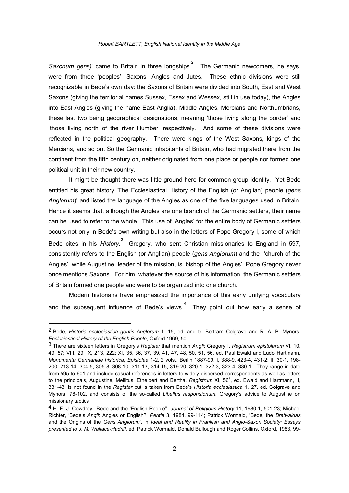#### *Robert BARTLETT, English National Identity in the Middle Age*

Saxonum gens)' came to Britain in three longships.<sup>2</sup> The Germanic newcomers, he says, were from three 'peoples', Saxons, Angles and Jutes. These ethnic divisions were still recognizable in Bede's own day: the Saxons of Britain were divided into South, East and West Saxons (giving the territorial names Sussex, Essex and Wessex, still in use today), the Angles into East Angles (giving the name East Anglia), Middle Angles, Mercians and Northumbrians, these last two being geographical designations, meaning 'those living along the border' and 'those living north of the river Humber' respectively. And some of these divisions were reflected in the political geography. There were kings of the West Saxons, kings of the Mercians, and so on. So the Germanic inhabitants of Britain, who had migrated there from the continent from the fifth century on, neither originated from one place or people nor formed one political unit in their new country.

It might be thought there was little ground here for common group identity. Yet Bede entitled his great history 'The Ecclesiastical History of the English (or Anglian) people (*gens Anglorum*)' and listed the language of the Angles as one of the five languages used in Britain. Hence it seems that, although the Angles are one branch of the Germanic settlers, their name can be used to refer to the whole. This use of 'Angles' for the entire body of Germanic settlers occurs not only in Bede's own writing but also in the letters of Pope Gregory I, some of which Bede cites in his *History*.<sup>3</sup> Gregory, who sent Christian missionaries to England in 597, consistently refers to the English (or Anglian) people (*gens Anglorum*) and the 'church of the Angles', while Augustine, leader of the mission, is 'bishop of the Angles'. Pope Gregory never once mentions Saxons. For him, whatever the source of his information, the Germanic settlers of Britain formed one people and were to be organized into one church.

Modern historians have emphasized the importance of this early unifying vocabulary and the subsequent influence of Bede's views.  $4\overline{}$  They point out how early a sense of

<sup>2</sup> Bede, *Historia ecclesiastica gentis Anglorum* 1. 15, ed. and tr. Bertram Colgrave and R. A. B. Mynors, *Ecclesiastical History of the English People*, Oxford 1969, 50.

<sup>3</sup> There are sixteen letters in Gregory's *Register* that mention *Angli*: Gregory I, *Registrum epistolarum* VI, 10, 49, 57; VIII, 29; IX, 213, 222; XI, 35, 36, 37, 39, 41, 47, 48, 50, 51, 56, ed. Paul Ewald and Ludo Hartmann, *Monumenta Germaniae historica*, *Epistolae* 1-2, 2 vols., Berlin 1887-99, I, 388-9, 423-4, 431-2; II, 30-1, 198- 200, 213-14, 304-5, 305-8, 308-10, 311-13, 314-15, 319-20, 320-1, 322-3, 323-4, 330-1. They range in date from 595 to 601 and include casual references in letters to widely dispersed correspondents as well as letters to the principals, Augustine, Mellitus, Ethelbert and Bertha. *Registrum* XI, 56<sup>a</sup>, ed. Ewald and Hartmann, II, 331-43, is not found in the *Register* but is taken from Bede's *Historia ecclesiastica* 1. 27, ed. Colgrave and Mynors, 78-102, and consists of the so-called *Libellus responsionum*, Gregory's advice to Augustine on missionary tactics

<sup>4</sup> H. E. J. Cowdrey, 'Bede and the 'English People'', *Journal of Religious History* 11, 1980-1, 501-23; Michael Richter, 'Bede's *Angli*: Angles or English?' *Peritia* 3, 1984, 99-114; Patrick Wormald, 'Bede, the *Bretwaldas* and the Origins of the *Gens Anglorum*', in *Ideal and Reality in Frankish and Anglo-Saxon Society: Essays presented to J. M. Wallace-Hadrill*, ed. Patrick Wormald, Donald Bullough and Roger Collins, Oxford, 1983, 99-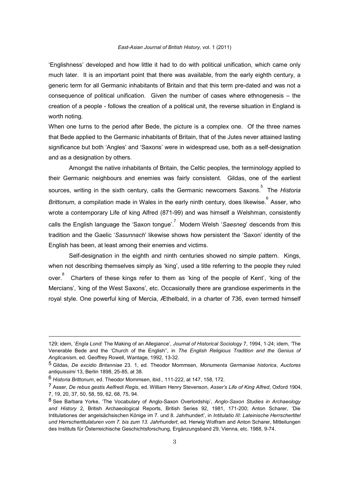'Englishness' developed and how little it had to do with political unification, which came only much later. It is an important point that there was available, from the early eighth century, a generic term for all Germanic inhabitants of Britain and that this term pre-dated and was not a consequence of political unification. Given the number of cases where ethnogenesis – the creation of a people - follows the creation of a political unit, the reverse situation in England is worth noting.

When one turns to the period after Bede, the picture is a complex one. Of the three names that Bede applied to the Germanic inhabitants of Britain, that of the Jutes never attained lasting significance but both 'Angles' and 'Saxons' were in widespread use, both as a self-designation and as a designation by others.

Amongst the native inhabitants of Britain, the Celtic peoples, the terminology applied to their Germanic neighbours and enemies was fairly consistent. Gildas, one of the earliest sources, writing in the sixth century, calls the Germanic newcomers Saxons.<sup>5</sup> The Historia Brittonum, a compilation made in Wales in the early ninth century, does likewise.<sup>6</sup> Asser, who wrote a contemporary Life of king Alfred (871-99) and was himself a Welshman, consistently calls the English language the 'Saxon tongue'. 7 Modern Welsh '*Saesneg*' descends from this tradition and the Gaelic '*Sasunnach*' likewise shows how persistent the 'Saxon' identity of the English has been, at least among their enemies and victims.

Self-designation in the eighth and ninth centuries showed no simple pattern. Kings, when not describing themselves simply as 'king', used a title referring to the people they ruled over.<sup>8</sup> Charters of these kings refer to them as 'king of the people of Kent', 'king of the Mercians', 'king of the West Saxons', etc. Occasionally there are grandiose experiments in the royal style. One powerful king of Mercia, Æthelbald, in a charter of 736, even termed himself

<sup>129;</sup> idem, '*Engla Lond*: The Making of an Allegiance', *Journal of Historical Sociology* 7, 1994, 1-24; idem, 'The Venerable Bede and the 'Church of the English'', in *The English Religious Tradition and the Genius of Anglicanism*, ed. Geoffrey Rowell, Wantage, 1992, 13-32.

<sup>5</sup> Gildas, *De excidio Britanniae* 23. 1, ed. Theodor Mommsen, *Monumenta Germaniae historica*, *Auctores antiquissimi* 13, Berlin 1898, 25-85, at 38.

<sup>6</sup> *Historia Brittonum*, ed. Theodor Mommsen, ibid., 111-222, at 147, 158, 172.

<sup>7</sup> Asser, *De rebus gestis Aelfredi Regis*, ed. William Henry Stevenson, *Asser's Life of King Alfred*, Oxford 1904, 7, 19, 20, 37, 50, 58, 59, 62, 68, 75, 94.

<sup>8</sup> See Barbara Yorke, 'The Vocabulary of Anglo-Saxon Overlordship', *Anglo-Saxon Studies in Archaeology and History* 2, British Archaeological Reports, British Series 92, 1981, 171-200; Anton Scharer, 'Die Intitulationes der angelsächsischen Könige im 7. und 8. Jahrhundert', in *Intitulatio III: Lateinische Herrschertitel und Herrschertitulaturen vom 7. bis zum 13. Jahrhundert*, ed. Herwig Wolfram and Anton Scharer, Mitteilungen des Instituts für Österreichische Geschichtsforschung, Ergänzungsband 29, Vienna, etc. 1988, 9-74.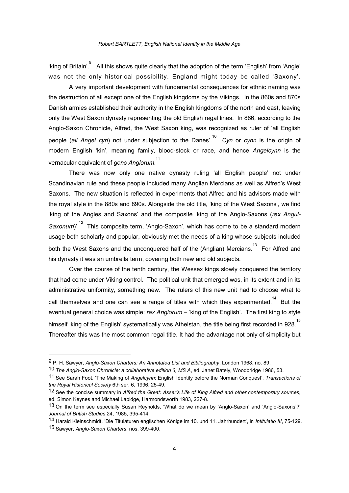'king of Britain'.<sup>9</sup> All this shows quite clearly that the adoption of the term 'English' from 'Angle' was not the only historical possibility. England might today be called 'Saxony'.

A very important development with fundamental consequences for ethnic naming was the destruction of all except one of the English kingdoms by the Vikings. In the 860s and 870s Danish armies established their authority in the English kingdoms of the north and east, leaving only the West Saxon dynasty representing the old English regal lines. In 886, according to the Anglo-Saxon Chronicle, Alfred, the West Saxon king, was recognized as ruler of 'all English people (*all Angel cyn*) not under subjection to the Danes'. 10 *Cyn* or *cynn* is the origin of modern English 'kin', meaning family, blood-stock or race, and hence *Angelcynn* is the vernacular equivalent of *gens Anglorum*. 11

There was now only one native dynasty ruling 'all English people' not under Scandinavian rule and these people included many Anglian Mercians as well as Alfred's West Saxons. The new situation is reflected in experiments that Alfred and his advisors made with the royal style in the 880s and 890s. Alongside the old title, 'king of the West Saxons', we find 'king of the Angles and Saxons' and the composite 'king of the Anglo-Saxons (*rex Angul-*Saxonum)<sup>'.12</sup> This composite term, 'Anglo-Saxon', which has come to be a standard modern usage both scholarly and popular, obviously met the needs of a king whose subjects included both the West Saxons and the unconquered half of the (Anglian) Mercians.<sup>13</sup> For Alfred and his dynasty it was an umbrella term, covering both new and old subjects.

Over the course of the tenth century, the Wessex kings slowly conquered the territory that had come under Viking control. The political unit that emerged was, in its extent and in its administrative uniformity, something new. The rulers of this new unit had to choose what to call themselves and one can see a range of titles with which they experimented.<sup>14</sup> But the eventual general choice was simple: *rex Anglorum* – 'king of the English'. The first king to style himself 'king of the English' systematically was Athelstan, the title being first recorded in 928.<sup>15</sup> Thereafter this was the most common regal title. It had the advantage not only of simplicity but

<u>.</u>

<sup>9</sup> P. H. Sawyer, *Anglo-Saxon Charters: An Annotated List and Bibliography*, London 1968, no. 89.

<sup>10</sup> *The Anglo-Saxon Chronicle: a collaborative edition 3, MS A*, ed. Janet Bately, Woodbridge 1986, 53.

<sup>11</sup> See Sarah Foot, 'The Making of *Angelcynn*: English Identity before the Norman Conquest', *Transactions of the Royal Historical Society* 6th ser. 6, 1996, 25-49.

<sup>12</sup> See the concise summary in *Alfred the Great: Asser's Life of King Alfred and other contemporary sources*, ed. Simon Keynes and Michael Lapidge, Harmondsworth 1983, 227-8.

<sup>13</sup> On the term see especially Susan Reynolds, 'What do we mean by 'Anglo-Saxon' and 'Anglo-Saxons'?' *Journal of British Studies* 24, 1985, 395-414.

<sup>14</sup> Harald Kleinschmidt, 'Die Titulaturen englischen Könige im 10. und 11. Jahrhundert', in *Intitulatio III*, 75-129. 15 Sawyer, *Anglo-Saxon Charters*, nos. 399-400.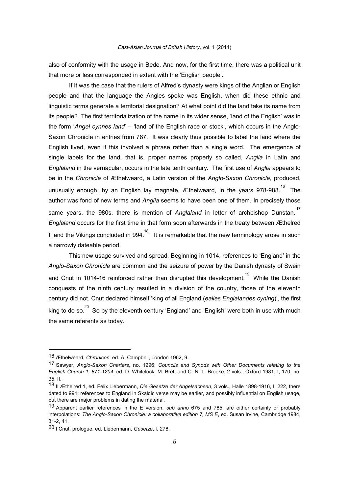also of conformity with the usage in Bede. And now, for the first time, there was a political unit that more or less corresponded in extent with the 'English people'.

If it was the case that the rulers of Alfred's dynasty were kings of the Anglian or English people and that the language the Angles spoke was English, when did these ethnic and linguistic terms generate a territorial designation? At what point did the land take its name from its people? The first territorialization of the name in its wider sense, 'land of the English' was in the form '*Angel cynnes land*' – 'land of the English race or stock', which occurs in the Anglo-Saxon Chronicle in entries from 787. It was clearly thus possible to label the land where the English lived, even if this involved a phrase rather than a single word. The emergence of single labels for the land, that is, proper names properly so called, *Anglia* in Latin and *Englaland* in the vernacular, occurs in the late tenth century. The first use of *Anglia* appears to be in the *Chronicle* of Æthelweard, a Latin version of the *Anglo-Saxon Chronicle*, produced, unusually enough, by an English lay magnate, Æthelweard, in the years 978-988.<sup>16</sup> The author was fond of new terms and *Anglia* seems to have been one of them. In precisely those same years, the 980s, there is mention of *Anglaland* in letter of archbishop Dunstan. 17 *Englaland* occurs for the first time in that form soon afterwards in the treaty between Æthelred II and the Vikings concluded in 994. $^{18}$  It is remarkable that the new terminology arose in such a narrowly dateable period.

This new usage survived and spread. Beginning in 1014, references to 'England' in the *Anglo-Saxon Chronicle* are common and the seizure of power by the Danish dynasty of Swein and Cnut in 1014-16 reinforced rather than disrupted this development.<sup>19</sup> While the Danish conquests of the ninth century resulted in a division of the country, those of the eleventh century did not. Cnut declared himself 'king of all England (*ealles Englalandes cyning*)', the first king to do so.<sup>20</sup> So by the eleventh century 'England' and 'English' were both in use with much the same referents as today.

<u>.</u>

<sup>16</sup> Æthelweard, *Chronicon*, ed. A. Campbell, London 1962, 9.

<sup>17</sup> Sawyer, *Anglo-Saxon Charters*, no. 1296; *Councils and Synods with Other Documents relating to the English Church 1, 871-1204*, ed. D. Whitelock, M. Brett and C. N. L. Brooke, 2 vols., Oxford 1981, I, 170, no. 35. II.

<sup>18</sup> II Æthelred 1, ed. Felix Liebermann, *Die Gesetze der Angelsachsen*, 3 vols., Halle 1898-1916, I, 222, there dated to 991; references to England in Skaldic verse may be earlier, and possibly influential on English usage, but there are major problems in dating the material.

<sup>19</sup> Apparent earlier references in the E version, *sub anno* 675 and 785, are either certainly or probably interpolations: *The Anglo-Saxon Chronicle: a collaborative edition 7, MS E, ed. Susan Irvine, Cambridge 1984,* 31-2, 41.

<sup>20</sup> I Cnut, prologue, ed. Liebermann, *Gesetze*, I, 278.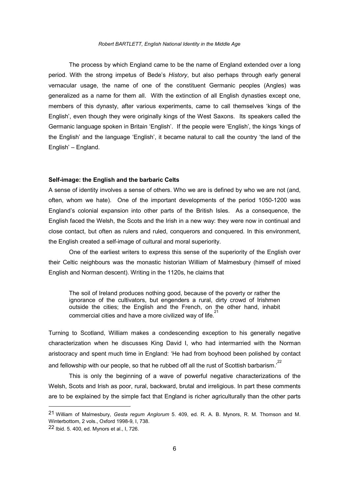#### *Robert BARTLETT, English National Identity in the Middle Age*

The process by which England came to be the name of England extended over a long period. With the strong impetus of Bede's *History*, but also perhaps through early general vernacular usage, the name of one of the constituent Germanic peoples (Angles) was generalized as a name for them all. With the extinction of all English dynasties except one, members of this dynasty, after various experiments, came to call themselves 'kings of the English', even though they were originally kings of the West Saxons. Its speakers called the Germanic language spoken in Britain 'English'. If the people were 'English', the kings 'kings of the English' and the language 'English', it became natural to call the country 'the land of the English' – England.

#### **Self-image: the English and the barbaric Celts**

A sense of identity involves a sense of others. Who we are is defined by who we are not (and, often, whom we hate). One of the important developments of the period 1050-1200 was England's colonial expansion into other parts of the British Isles. As a consequence, the English faced the Welsh, the Scots and the Irish in a new way: they were now in continual and close contact, but often as rulers and ruled, conquerors and conquered. In this environment, the English created a self-image of cultural and moral superiority.

One of the earliest writers to express this sense of the superiority of the English over their Celtic neighbours was the monastic historian William of Malmesbury (himself of mixed English and Norman descent). Writing in the 1120s, he claims that

The soil of Ireland produces nothing good, because of the poverty or rather the ignorance of the cultivators, but engenders a rural, dirty crowd of Irishmen outside the cities; the English and the French, on the other hand, inhabit commercial cities and have a more civilized way of life.<sup>21</sup>

Turning to Scotland, William makes a condescending exception to his generally negative characterization when he discusses King David I, who had intermarried with the Norman aristocracy and spent much time in England: 'He had from boyhood been polished by contact and fellowship with our people, so that he rubbed off all the rust of Scottish barbarism.<sup>22</sup>

This is only the beginning of a wave of powerful negative characterizations of the Welsh, Scots and Irish as poor, rural, backward, brutal and irreligious. In part these comments are to be explained by the simple fact that England is richer agriculturally than the other parts

<sup>21</sup> William of Malmesbury, *Gesta regum Anglorum* 5. 409, ed. R. A. B. Mynors, R. M. Thomson and M. Winterbottom, 2 vols., Oxford 1998-9, I, 738.

<sup>22</sup> Ibid. 5. 400, ed. Mynors et al., I, 726.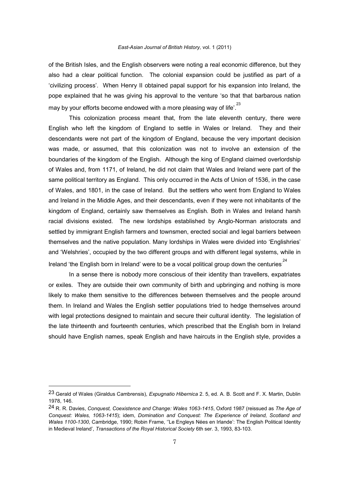of the British Isles, and the English observers were noting a real economic difference, but they also had a clear political function. The colonial expansion could be justified as part of a 'civilizing process'. When Henry II obtained papal support for his expansion into Ireland, the pope explained that he was giving his approval to the venture 'so that that barbarous nation may by your efforts become endowed with a more pleasing way of life'.<sup>23</sup>

This colonization process meant that, from the late eleventh century, there were English who left the kingdom of England to settle in Wales or Ireland. They and their descendants were not part of the kingdom of England, because the very important decision was made, or assumed, that this colonization was not to involve an extension of the boundaries of the kingdom of the English. Although the king of England claimed overlordship of Wales and, from 1171, of Ireland, he did not claim that Wales and Ireland were part of the same political territory as England. This only occurred in the Acts of Union of 1536, in the case of Wales, and 1801, in the case of Ireland. But the settlers who went from England to Wales and Ireland in the Middle Ages, and their descendants, even if they were not inhabitants of the kingdom of England, certainly saw themselves as English. Both in Wales and Ireland harsh racial divisions existed. The new lordships established by Anglo-Norman aristocrats and settled by immigrant English farmers and townsmen, erected social and legal barriers between themselves and the native population. Many lordships in Wales were divided into 'Englishries' and 'Welshries', occupied by the two different groups and with different legal systems, while in Ireland 'the English born in Ireland' were to be a vocal political group down the centuries<sup>24</sup>

In a sense there is nobody more conscious of their identity than travellers, expatriates or exiles. They are outside their own community of birth and upbringing and nothing is more likely to make them sensitive to the differences between themselves and the people around them. In Ireland and Wales the English settler populations tried to hedge themselves around with legal protections designed to maintain and secure their cultural identity. The legislation of the late thirteenth and fourteenth centuries, which prescribed that the English born in Ireland should have English names, speak English and have haircuts in the English style, provides a

<sup>23</sup> Gerald of Wales (Giraldus Cambrensis), *Expugnatio Hibernica* 2. 5, ed. A. B. Scott and F. X. Martin, Dublin 1978, 146.

<sup>24</sup> R. R. Davies, *Conquest, Coexistence and Change: Wales 1063-1415*, Oxford 1987 (reissued as *The Age of Conquest: Wales, 1063-1415*); idem, *Domination and Conquest: The Experience of Ireland, Scotland and Wales 1100-1300*, Cambridge, 1990; Robin Frame, ''Le Engleys Nées en Irlande': The English Political Identity in Medieval Ireland', *Transactions of the Royal Historical Society* 6th ser. 3, 1993, 83-103.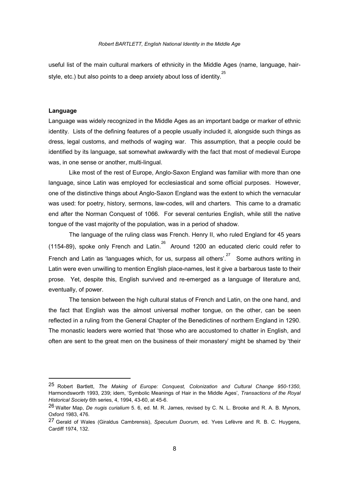useful list of the main cultural markers of ethnicity in the Middle Ages (name, language, hairstyle, etc.) but also points to a deep anxiety about loss of identity. 25

#### **Language**

-

Language was widely recognized in the Middle Ages as an important badge or marker of ethnic identity. Lists of the defining features of a people usually included it, alongside such things as dress, legal customs, and methods of waging war. This assumption, that a people could be identified by its language, sat somewhat awkwardly with the fact that most of medieval Europe was, in one sense or another, multi-lingual.

Like most of the rest of Europe, Anglo-Saxon England was familiar with more than one language, since Latin was employed for ecclesiastical and some official purposes. However, one of the distinctive things about Anglo-Saxon England was the extent to which the vernacular was used: for poetry, history, sermons, law-codes, will and charters. This came to a dramatic end after the Norman Conquest of 1066. For several centuries English, while still the native tongue of the vast majority of the population, was in a period of shadow.

The language of the ruling class was French. Henry II, who ruled England for 45 years (1154-89), spoke only French and Latin. $^{26}$  Around 1200 an educated cleric could refer to French and Latin as 'languages which, for us, surpass all others'.<sup>27</sup> Some authors writing in Latin were even unwilling to mention English place-names, lest it give a barbarous taste to their prose. Yet, despite this, English survived and re-emerged as a language of literature and, eventually, of power.

The tension between the high cultural status of French and Latin, on the one hand, and the fact that English was the almost universal mother tongue, on the other, can be seen reflected in a ruling from the General Chapter of the Benedictines of northern England in 1290. The monastic leaders were worried that 'those who are accustomed to chatter in English, and often are sent to the great men on the business of their monastery' might be shamed by 'their

<sup>25</sup> Robert Bartlett, *The Making of Europe: Conquest, Colonization and Cultural Change 950-1350*, Harmondsworth 1993, 239; idem, 'Symbolic Meanings of Hair in the Middle Ages', *Transactions of the Royal Historical Society* 6th series, 4, 1994, 43-60, at 45-6.

<sup>26</sup> Walter Map, *De nugis curialium* 5. 6, ed. M. R. James, revised by C. N. L. Brooke and R. A. B. Mynors, Oxford 1983, 476.

<sup>27</sup> Gerald of Wales (Giraldus Cambrensis), *Speculum Duorum*, ed. Yves Lefèvre and R. B. C. Huygens, Cardiff 1974, 132.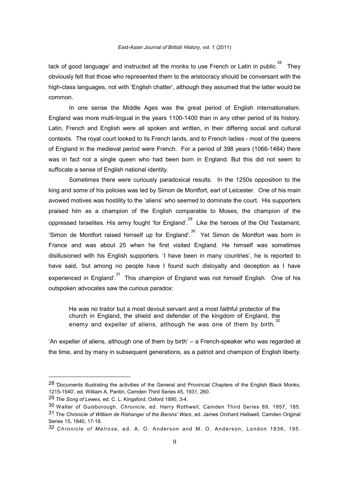lack of good language' and instructed all the monks to use French or Latin in public.<sup>28</sup> They obviously felt that those who represented them to the aristocracy should be conversant with the high-class languages, not with 'English chatter', although they assumed that the latter would be common.

In one sense the Middle Ages was the great period of English internationalism. England was more multi-lingual in the years 1100-1400 than in any other period of its history. Latin, French and English were all spoken and written, in their differing social and cultural contexts. The royal court looked to its French lands, and to French ladies - most of the queens of England in the medieval period were French. For a period of 398 years (1066-1464) there was in fact not a single queen who had been born in England. But this did not seem to suffocate a sense of English national identity.

Sometimes there were curiously paradoxical results. In the 1250s opposition to the king and some of his policies was led by Simon de Montfort, earl of Leicester. One of his main avowed motives was hostility to the 'aliens' who seemed to dominate the court. His supporters praised him as a champion of the English comparable to Moses, the champion of the oppressed Israelites. His army fought 'for England'.<sup>29</sup> Like the heroes of the Old Testament, 'Simon de Montfort raised himself up for England'.<sup>30</sup> Yet Simon de Montfort was born in France and was about 25 when he first visited England. He himself was sometimes disillusioned with his English supporters. 'I have been in many countries', he is reported to have said, 'but among no people have I found such disloyalty and deception as I have experienced in England'.<sup>31</sup> This champion of England was not himself English. One of his outspoken advocates saw the curious paradox:

He was no traitor but a most devout servant and a most faithful protector of the church in England, the shield and defender of the kingdom of England, the enemy and expeller of aliens, although he was one of them by birth.<sup>32</sup>

'An expeller of aliens, although one of them by birth' – a French-speaker who was regarded at the time, and by many in subsequent generations, as a patriot and champion of English liberty.

<sup>&</sup>lt;sup>28</sup> 'Documents illustrating the activities of the General and Provincial Chapters of the English Black Monks, 1215-1540', ed. William A. Pantin, Camden Third Series 45, 1931, 260.

<sup>29</sup> *The Song of Lewes*, ed. C. L. Kingsford, Oxford 1890, 3-4.

<sup>30</sup> Walter of Guisborough, *Chronicle*, ed. Harry Rothwell, Camden Third Series 89, 1957, 185. 31 T*he Chronicle of William de Rishanger of the Barons' Wars*, ed. James Orchard Halliwell, Camden Original Series 15, 1840, 17-18.

<sup>32</sup> *Chronicle of Melrose*, ed. A. O. Anderson and M. O. Anderson, London 1936, 195.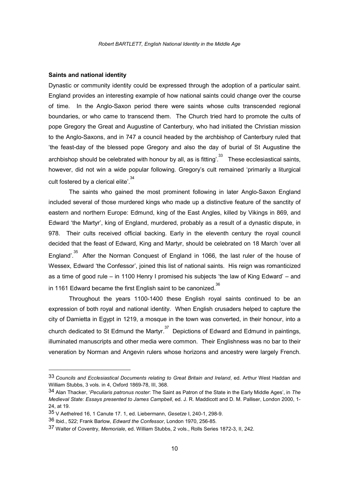#### **Saints and national identity**

Dynastic or community identity could be expressed through the adoption of a particular saint. England provides an interesting example of how national saints could change over the course of time. In the Anglo-Saxon period there were saints whose cults transcended regional boundaries, or who came to transcend them. The Church tried hard to promote the cults of pope Gregory the Great and Augustine of Canterbury, who had initiated the Christian mission to the Anglo-Saxons, and in 747 a council headed by the archbishop of Canterbury ruled that 'the feast-day of the blessed pope Gregory and also the day of burial of St Augustine the archbishop should be celebrated with honour by all, as is fitting'.<sup>33</sup> These ecclesiastical saints, however, did not win a wide popular following. Gregory's cult remained 'primarily a liturgical cult fostered by a clerical elite'.<sup>34</sup>

The saints who gained the most prominent following in later Anglo-Saxon England included several of those murdered kings who made up a distinctive feature of the sanctity of eastern and northern Europe: Edmund, king of the East Angles, killed by Vikings in 869, and Edward 'the Martyr', king of England, murdered, probably as a result of a dynastic dispute, in 978. Their cults received official backing. Early in the eleventh century the royal council decided that the feast of Edward, King and Martyr, should be celebrated on 18 March 'over all England'.<sup>35</sup> After the Norman Conquest of England in 1066, the last ruler of the house of Wessex, Edward 'the Confessor', joined this list of national saints. His reign was romanticized as a time of good rule – in 1100 Henry I promised his subjects 'the law of King Edward' – and in 1161 Edward became the first English saint to be canonized.<sup>36</sup>

Throughout the years 1100-1400 these English royal saints continued to be an expression of both royal and national identity. When English crusaders helped to capture the city of Damietta in Egypt in 1219, a mosque in the town was converted, in their honour, into a church dedicated to St Edmund the Martyr.<sup>37</sup> Depictions of Edward and Edmund in paintings, illuminated manuscripts and other media were common. Their Englishness was no bar to their veneration by Norman and Angevin rulers whose horizons and ancestry were largely French.

<sup>33</sup> *Councils and Ecclesiastical Documents relating to Great Britain and Ireland*, ed. Arthur West Haddan and William Stubbs, 3 vols. in 4, Oxford 1869-78, III, 368.

<sup>34</sup> Alan Thacker, '*Peculiaris patronus noster*: The Saint as Patron of the State in the Early Middle Ages', in *The Medieval State: Essays presented to James Campbell*, ed. J. R. Maddicott and D. M. Palliser, London 2000, 1- 24, at 19.

<sup>35</sup> V Aethelred 16, 1 Canute 17. 1, ed. Liebermann, *Gesetze* I, 240-1, 298-9.

<sup>36</sup> Ibid., 522; Frank Barlow, *Edward the Confessor*, London 1970, 256-85.

<sup>37</sup> Walter of Coventry, *Memoriale*, ed. William Stubbs, 2 vols., Rolls Series 1872-3, II, 242.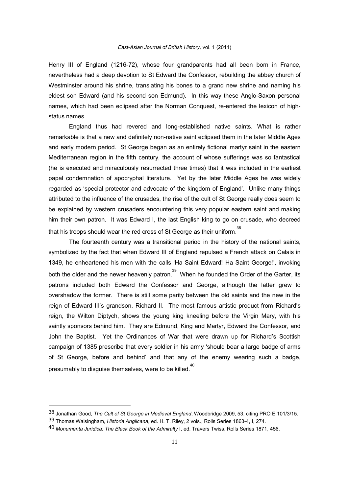Henry III of England (1216-72), whose four grandparents had all been born in France, nevertheless had a deep devotion to St Edward the Confessor, rebuilding the abbey church of Westminster around his shrine, translating his bones to a grand new shrine and naming his eldest son Edward (and his second son Edmund). In this way these Anglo-Saxon personal names, which had been eclipsed after the Norman Conquest, re-entered the lexicon of highstatus names.

England thus had revered and long-established native saints. What is rather remarkable is that a new and definitely non-native saint eclipsed them in the later Middle Ages and early modern period. St George began as an entirely fictional martyr saint in the eastern Mediterranean region in the fifth century, the account of whose sufferings was so fantastical (he is executed and miraculously resurrected three times) that it was included in the earliest papal condemnation of apocryphal literature. Yet by the later Middle Ages he was widely regarded as 'special protector and advocate of the kingdom of England'. Unlike many things attributed to the influence of the crusades, the rise of the cult of St George really does seem to be explained by western crusaders encountering this very popular eastern saint and making him their own patron. It was Edward I, the last English king to go on crusade, who decreed that his troops should wear the red cross of St George as their uniform. 38

The fourteenth century was a transitional period in the history of the national saints, symbolized by the fact that when Edward III of England repulsed a French attack on Calais in 1349, he enheartened his men with the calls 'Ha Saint Edward! Ha Saint George!', invoking both the older and the newer heavenly patron.<sup>39</sup> When he founded the Order of the Garter, its patrons included both Edward the Confessor and George, although the latter grew to overshadow the former. There is still some parity between the old saints and the new in the reign of Edward III's grandson, Richard II. The most famous artistic product from Richard's reign, the Wilton Diptych, shows the young king kneeling before the Virgin Mary, with his saintly sponsors behind him. They are Edmund, King and Martyr, Edward the Confessor, and John the Baptist. Yet the Ordinances of War that were drawn up for Richard's Scottish campaign of 1385 prescribe that every soldier in his army 'should bear a large badge of arms of St George, before and behind' and that any of the enemy wearing such a badge, presumably to disguise themselves, were to be killed. 40

<sup>38</sup> Jonathan Good, *The Cult of St George in Medieval England*, Woodbridge 2009, 53, citing PRO E 101/3/15.

<sup>39</sup> Thomas Walsingham, *Historia Anglicana*, ed. H. T. Riley, 2 vols., Rolls Series 1863-4, I, 274.

<sup>40</sup> *Monumenta Juridica: The Black Book of the Admiralty* I, ed. Travers Twiss, Rolls Series 1871, 456.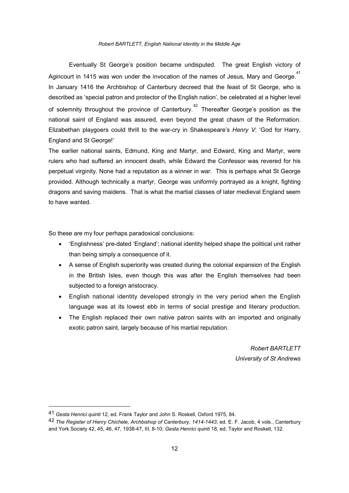#### *Robert BARTLETT, English National Identity in the Middle Age*

Eventually St George's position became undisputed. The great English victory of Agincourt in 1415 was won under the invocation of the names of Jesus, Mary and George.<sup>41</sup> In January 1416 the Archbishop of Canterbury decreed that the feast of St George, who is described as 'special patron and protector of the English nation', be celebrated at a higher level of solemnity throughout the province of Canterbury.<sup>42</sup> Thereafter George's position as the national saint of England was assured, even beyond the great chasm of the Reformation. Elizabethan playgoers could thrill to the war-cry in Shakespeare's *Henry V*: 'God for Harry, England and St George!'

The earlier national saints, Edmund, King and Martyr, and Edward, King and Martyr, were rulers who had suffered an innocent death, while Edward the Confessor was revered for his perpetual virginity. None had a reputation as a winner in war. This is perhaps what St George provided. Although technically a martyr, George was uniformly portrayed as a knight, fighting dragons and saving maidens. That is what the martial classes of later medieval England seem to have wanted.

So these are my four perhaps paradoxical conclusions:

- · 'Englishness' pre-dated 'England'; national identity helped shape the political unit rather than being simply a consequence of it.
- A sense of English superiority was created during the colonial expansion of the English in the British Isles, even though this was after the English themselves had been subjected to a foreign aristocracy.
- English national identity developed strongly in the very period when the English language was at its lowest ebb in terms of social prestige and literary production.
- The English replaced their own native patron saints with an imported and originally exotic patron saint, largely because of his martial reputation.

*Robert BARTLETT University of St Andrews* 

<sup>41</sup> *Gesta Henrici quinti* 12, ed. Frank Taylor and John S. Roskell, Oxford 1975, 84.

<sup>42</sup> *The Register of Henry Chichele, Archbishop of Canterbury, 1414-1443*, ed. E. F. Jacob, 4 vols., Canterbury and York Society 42, 45, 46, 47, 1938-47, III, 8-10; *Gesta Henrici quinti* 18, ed. Taylor and Roskell, 132.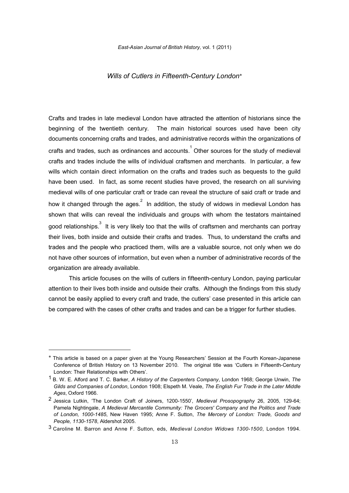#### *Wills of Cutlers in Fifteenth-Century London*\*

Crafts and trades in late medieval London have attracted the attention of historians since the beginning of the twentieth century. The main historical sources used have been city documents concerning crafts and trades, and administrative records within the organizations of crafts and trades, such as ordinances and accounts.<sup>1</sup> Other sources for the study of medieval crafts and trades include the wills of individual craftsmen and merchants. In particular, a few wills which contain direct information on the crafts and trades such as bequests to the guild have been used. In fact, as some recent studies have proved, the research on all surviving medieval wills of one particular craft or trade can reveal the structure of said craft or trade and how it changed through the ages. $2\overline{2}$  In addition, the study of widows in medieval London has shown that wills can reveal the individuals and groups with whom the testators maintained good relationships.  $3$  It is very likely too that the wills of craftsmen and merchants can portray their lives, both inside and outside their crafts and trades. Thus, to understand the crafts and trades and the people who practiced them, wills are a valuable source, not only when we do not have other sources of information, but even when a number of administrative records of the organization are already available.

This article focuses on the wills of cutlers in fifteenth-century London, paying particular attention to their lives both inside and outside their crafts. Although the findings from this study cannot be easily applied to every craft and trade, the cutlers' case presented in this article can be compared with the cases of other crafts and trades and can be a trigger for further studies.

<u>.</u>

<sup>\*</sup> This article is based on a paper given at the Young Researchers' Session at the Fourth Korean-Japanese Conference of British History on 13 November 2010. The original title was 'Cutlers in Fifteenth-Century London: Their Relationships with Others'.

<sup>1</sup> B. W. E. Alford and T. C. Barker, *A History of the Carpenters Company*, London 1968; George Unwin, *The Gilds and Companies of London*, London 1908; Elspeth M. Veale, *The English Fur Trade in the Later Middle Ages*, Oxford 1966.

<sup>2</sup> Jessica Lutkin, 'The London Craft of Joiners, 1200-1550', *Medieval Prosopography* 26, 2005, 129-64; Pamela Nightingale, *A Medieval Mercantile Community: The Grocers' Company and the Politics and Trade of London, 1000-1485*, New Haven 1995; Anne F. Sutton, *The Mercery of London: Trade, Goods and People, 1130-1578*, Aldershot 2005.

<sup>3</sup> Caroline M. Barron and Anne F. Sutton, eds, *Medieval London Widows 1300-1500*, London 1994.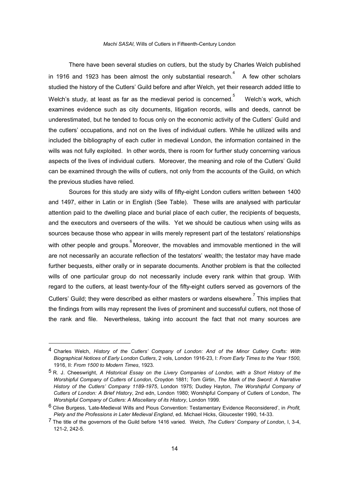*Machi SASAI,* Wills of Cutlers in Fifteenth-Century London

There have been several studies on cutlers, but the study by Charles Welch published in 1916 and 1923 has been almost the only substantial research.<sup>4</sup> A few other scholars studied the history of the Cutlers' Guild before and after Welch, yet their research added little to Welch's study, at least as far as the medieval period is concerned.  $5$  Welch's work, which examines evidence such as city documents, litigation records, wills and deeds, cannot be underestimated, but he tended to focus only on the economic activity of the Cutlers' Guild and the cutlers' occupations, and not on the lives of individual cutlers. While he utilized wills and included the bibliography of each cutler in medieval London, the information contained in the wills was not fully exploited. In other words, there is room for further study concerning various aspects of the lives of individual cutlers. Moreover, the meaning and role of the Cutlers' Guild can be examined through the wills of cutlers, not only from the accounts of the Guild, on which the previous studies have relied.

Sources for this study are sixty wills of fifty-eight London cutlers written between 1400 and 1497, either in Latin or in English (See Table). These wills are analysed with particular attention paid to the dwelling place and burial place of each cutler, the recipients of bequests, and the executors and overseers of the wills. Yet we should be cautious when using wills as sources because those who appear in wills merely represent part of the testators' relationships with other people and groups. Moreover, the movables and immovable mentioned in the will are not necessarily an accurate reflection of the testators' wealth; the testator may have made further bequests, either orally or in separate documents. Another problem is that the collected wills of one particular group do not necessarily include every rank within that group. With regard to the cutlers, at least twenty-four of the fifty-eight cutlers served as governors of the Cutlers' Guild; they were described as either masters or wardens elsewhere. This implies that the findings from wills may represent the lives of prominent and successful cutlers, not those of the rank and file. Nevertheless, taking into account the fact that not many sources are

<sup>4</sup> Charles Welch, *History of the Cutlers' Company of London: And of the Minor Cutlery Crafts: With Biographical Notices of Early London Cutlers*, 2 vols, London 1916-23, I: *From Early Times to the Year 1500*, 1916, II: *From 1500 to Modern Times*, 1923.

<sup>5</sup> R. J. Cheeswright, *A Historical Essay on the Livery Companies of London, with a Short History of the Worshipful Company of Cutlers of London*, Croydon 1881; Tom Girtin, *The Mark of the Sword: A Narrative History of the Cutlers' Company 1189-1975*, London 1975; Dudley Hayton, *The Worshipful Company of Cutlers of London: A Brief History*, 2nd edn, London 1980; Worshipful Company of Cutlers of London, *The Worshipful Company of Cutlers: A Miscellany of its History*, London 1999.

<sup>6</sup> Clive Burgess, 'Late-Medieval Wills and Pious Convention: Testamentary Evidence Reconsidered', in *Profit, Piety and the Professions in Later Medieval England*, ed. Michael Hicks, Gloucester 1990, 14-33.

<sup>7</sup> The title of the governors of the Guild before 1416 varied. Welch, *The Cutlers' Company of London*, I, 3-4, 121-2, 242-5.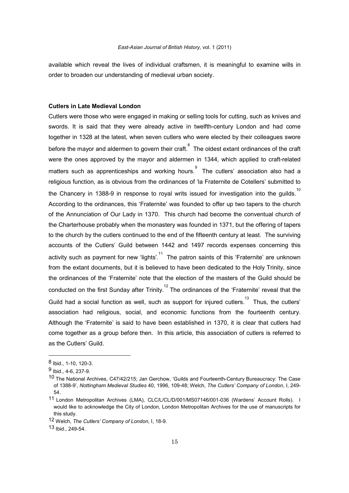available which reveal the lives of individual craftsmen, it is meaningful to examine wills in order to broaden our understanding of medieval urban society.

#### **Cutlers in Late Medieval London**

Cutlers were those who were engaged in making or selling tools for cutting, such as knives and swords. It is said that they were already active in twelfth-century London and had come together in 1328 at the latest, when seven cutlers who were elected by their colleagues swore before the mayor and aldermen to govern their craft.<sup>8</sup> The oldest extant ordinances of the craft were the ones approved by the mayor and aldermen in 1344, which applied to craft-related matters such as apprenticeships and working hours. The cutlers' association also had a religious function, as is obvious from the ordinances of 'la Fraternite de Cotellers' submitted to the Chancery in 1388-9 in response to royal writs issued for investigation into the guilds.<sup>10</sup> According to the ordinances, this 'Fraternite' was founded to offer up two tapers to the church of the Annunciation of Our Lady in 1370. This church had become the conventual church of the Charterhouse probably when the monastery was founded in 1371, but the offering of tapers to the church by the cutlers continued to the end of the fifteenth century at least. The surviving accounts of the Cutlers' Guild between 1442 and 1497 records expenses concerning this activity such as payment for new 'lights'.<sup>11</sup> The patron saints of this 'Fraternite' are unknown from the extant documents, but it is believed to have been dedicated to the Holy Trinity, since the ordinances of the 'Fraternite' note that the election of the masters of the Guild should be conducted on the first Sunday after Trinity.<sup>12</sup> The ordinances of the 'Fraternite' reveal that the Guild had a social function as well, such as support for injured cutlers.<sup>13</sup> Thus, the cutlers' association had religious, social, and economic functions from the fourteenth century. Although the 'Fraternite' is said to have been established in 1370, it is clear that cutlers had come together as a group before then. In this article, this association of cutlers is referred to as the Cutlers' Guild.

<sup>8</sup> Ibid., 1-10, 120-3.

<sup>9</sup> Ibid., 4-6, 237-9.

<sup>10</sup> The National Archives, C47/42/215; Jan Gerchow, 'Guilds and Fourteenth-Century Bureaucracy: The Case of 1388-9', *Nottingham Medieval Studies* 40, 1996, 109-48; Welch, *The Cutlers' Company of London*, I, 249- 54.

<sup>11</sup> London Metropolitan Archives (LMA), CLC/L/CL/D/001/MS07146/001-036 (Wardens' Account Rolls). I would like to acknowledge the City of London, London Metropolitan Archives for the use of manuscripts for this study.

<sup>12</sup> Welch, *The Cutlers' Company of London*, I, 18-9.

<sup>13</sup> Ibid., 249-54.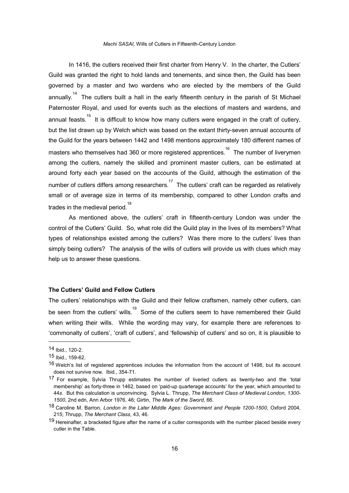In 1416, the cutlers received their first charter from Henry V. In the charter, the Cutlers' Guild was granted the right to hold lands and tenements, and since then, the Guild has been governed by a master and two wardens who are elected by the members of the Guild annually.<sup>14</sup> The cutlers built a hall in the early fifteenth century in the parish of St Michael Paternoster Royal, and used for events such as the elections of masters and wardens, and annual feasts.<sup>15</sup> It is difficult to know how many cutlers were engaged in the craft of cutlery, but the list drawn up by Welch which was based on the extant thirty-seven annual accounts of the Guild for the years between 1442 and 1498 mentions approximately 180 different names of masters who themselves had 360 or more registered apprentices.<sup>16</sup> The number of liverymen among the cutlers, namely the skilled and prominent master cutlers, can be estimated at around forty each year based on the accounts of the Guild, although the estimation of the number of cutlers differs among researchers.<sup>17</sup> The cutlers' craft can be regarded as relatively small or of average size in terms of its membership, compared to other London crafts and trades in the medieval period.<sup>18</sup>

As mentioned above, the cutlers' craft in fifteenth-century London was under the control of the Cutlers' Guild. So, what role did the Guild play in the lives of its members? What types of relationships existed among the cutlers? Was there more to the cutlers' lives than simply being cutlers?The analysis of the wills of cutlers will provide us with clues which may help us to answer these questions.

#### **The Cutlers' Guild and Fellow Cutlers**

The cutlers' relationships with the Guild and their fellow craftsmen, namely other cutlers, can be seen from the cutlers' wills.<sup>19</sup> Some of the cutlers seem to have remembered their Guild when writing their wills. While the wording may vary, for example there are references to 'commonalty of cutlers', 'craft of cutlers', and 'fellowship of cutlers' and so on, it is plausible to

<sup>14</sup> Ibid., 120-2.

<sup>15</sup> Ibid., 159-62.

<sup>16</sup> Welch's list of registered apprentices includes the information from the account of 1498, but its account does not survive now. Ibid., 354-71.

<sup>17</sup> For example, Sylvia Thrupp estimates the number of liveried cutlers as twenty-two and the 'total membership' as forty-three in 1462, based on 'paid-up quarterage accounts' for the year, which amounted to 44*s*. But this calculation is unconvincing. Sylvia L. Thrupp, *The Merchant Class of Medieval London, 1300- 1500*, 2nd edn, Ann Arbor 1976, 46; Girtin, *The Mark of the Sword*, 66.

<sup>18</sup> Caroline M. Barron, *London in the Later Middle Ages: Government and People 1200-1500*, Oxford 2004, 215; Thrupp, *The Merchant Class*, 43, 46.

<sup>19</sup> Hereinafter, a bracketed figure after the name of a cutler corresponds with the number placed beside every cutler in the Table.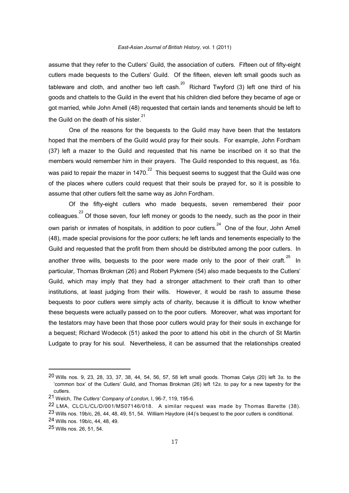assume that they refer to the Cutlers' Guild, the association of cutlers. Fifteen out of fifty-eight cutlers made bequests to the Cutlers' Guild. Of the fifteen, eleven left small goods such as tableware and cloth, and another two left cash.<sup>20</sup> Richard Twyford (3) left one third of his goods and chattels to the Guild in the event that his children died before they became of age or got married, while John Amell (48) requested that certain lands and tenements should be left to the Guild on the death of his sister.<sup>21</sup>

One of the reasons for the bequests to the Guild may have been that the testators hoped that the members of the Guild would pray for their souls. For example, John Fordham (37) left a mazer to the Guild and requested that his name be inscribed on it so that the members would remember him in their prayers. The Guild responded to this request, as 16*s*. was paid to repair the mazer in 1470. $^{22}$  This bequest seems to suggest that the Guild was one of the places where cutlers could request that their souls be prayed for, so it is possible to assume that other cutlers felt the same way as John Fordham.

Of the fifty-eight cutlers who made bequests, seven remembered their poor colleagues.<sup>23</sup> Of those seven, four left money or goods to the needy, such as the poor in their own parish or inmates of hospitals, in addition to poor cutlers.<sup>24</sup> One of the four, John Amell (48), made special provisions for the poor cutlers; he left lands and tenements especially to the Guild and requested that the profit from them should be distributed among the poor cutlers. In another three wills, bequests to the poor were made only to the poor of their craft.  $^{25}$  In particular, Thomas Brokman (26) and Robert Pykmere (54) also made bequests to the Cutlers' Guild, which may imply that they had a stronger attachment to their craft than to other institutions, at least judging from their wills. However, it would be rash to assume these bequests to poor cutlers were simply acts of charity, because it is difficult to know whether these bequests were actually passed on to the poor cutlers. Moreover, what was important for the testators may have been that those poor cutlers would pray for their souls in exchange for a bequest; Richard Wodecok (51) asked the poor to attend his obit in the church of St Martin Ludgate to pray for his soul. Nevertheless, it can be assumed that the relationships created

<sup>20</sup> Wills nos. 9, 23, 28, 33, 37, 38, 44, 54, 56, 57, 58 left small goods. Thomas Calys (20) left 3*s*. to the 'common box' of the Cutlers' Guild, and Thomas Brokman (26) left 12*s*. to pay for a new tapestry for the cutlers.

<sup>21</sup> Welch, *The Cutlers' Company of London*, I, 96-7, 119, 195-6.

<sup>22</sup> LMA, CLC/L/CL/D/001/MS07146/018. A similar request was made by Thomas Barette (38).

<sup>23</sup> Wills nos. 19b/c, 26, 44, 48, 49, 51, 54. William Haydore (44)'s bequest to the poor cutlers is conditional.

<sup>24</sup> Wills nos. 19b/c, 44, 48, 49.

<sup>25</sup> Wills nos. 26, 51, 54.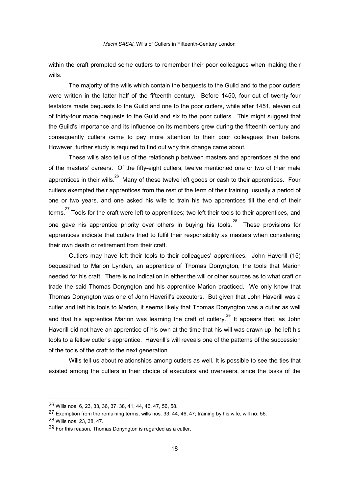within the craft prompted some cutlers to remember their poor colleagues when making their wills.

The majority of the wills which contain the bequests to the Guild and to the poor cutlers were written in the latter half of the fifteenth century. Before 1450, four out of twenty-four testators made bequests to the Guild and one to the poor cutlers, while after 1451, eleven out of thirty-four made bequests to the Guild and six to the poor cutlers. This might suggest that the Guild's importance and its influence on its members grew during the fifteenth century and consequently cutlers came to pay more attention to their poor colleagues than before. However, further study is required to find out why this change came about.

These wills also tell us of the relationship between masters and apprentices at the end of the masters' careers. Of the fifty-eight cutlers, twelve mentioned one or two of their male apprentices in their wills.<sup>26</sup> Many of these twelve left goods or cash to their apprentices. Four cutlers exempted their apprentices from the rest of the term of their training, usually a period of one or two years, and one asked his wife to train his two apprentices till the end of their terms.<sup>27</sup> Tools for the craft were left to apprentices; two left their tools to their apprentices, and one gave his apprentice priority over others in buying his tools.<sup>28</sup> These provisions for apprentices indicate that cutlers tried to fulfil their responsibility as masters when considering their own death or retirement from their craft.

Cutlers may have left their tools to their colleagues' apprentices. John Haverill (15) bequeathed to Marion Lynden, an apprentice of Thomas Donyngton, the tools that Marion needed for his craft. There is no indication in either the will or other sources as to what craft or trade the said Thomas Donyngton and his apprentice Marion practiced. We only know that Thomas Donyngton was one of John Haverill's executors. But given that John Haverill was a cutler and left his tools to Marion, it seems likely that Thomas Donyngton was a cutler as well and that his apprentice Marion was learning the craft of cutlery.<sup>29</sup> It appears that, as John Haverill did not have an apprentice of his own at the time that his will was drawn up, he left his tools to a fellow cutler's apprentice. Haverill's will reveals one of the patterns of the succession of the tools of the craft to the next generation.

Wills tell us about relationships among cutlers as well. It is possible to see the ties that existed among the cutlers in their choice of executors and overseers, since the tasks of the

<sup>26</sup> Wills nos. 6, 23, 33, 36, 37, 38, 41, 44, 46, 47, 56, 58.

<sup>27</sup> Exemption from the remaining terms, wills nos. 33, 44, 46, 47; training by his wife, will no. 56.

<sup>28</sup> Wills nos. 23, 38, 47.

<sup>29</sup> For this reason, Thomas Donyngton is regarded as a cutler.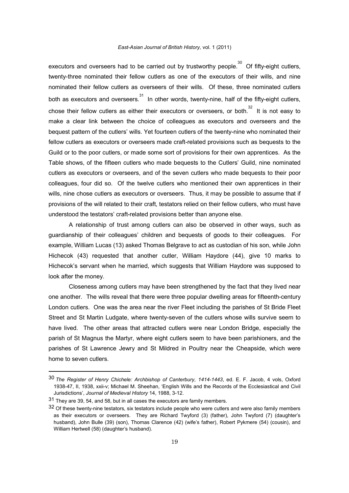executors and overseers had to be carried out by trustworthy people.<sup>30</sup> Of fifty-eight cutlers, twenty-three nominated their fellow cutlers as one of the executors of their wills, and nine nominated their fellow cutlers as overseers of their wills. Of these, three nominated cutlers both as executors and overseers.<sup>31</sup> In other words, twenty-nine, half of the fifty-eight cutlers, chose their fellow cutlers as either their executors or overseers, or both. $32$  It is not easy to make a clear link between the choice of colleagues as executors and overseers and the bequest pattern of the cutlers' wills. Yet fourteen cutlers of the twenty-nine who nominated their fellow cutlers as executors or overseers made craft-related provisions such as bequests to the Guild or to the poor cutlers, or made some sort of provisions for their own apprentices. As the Table shows, of the fifteen cutlers who made bequests to the Cutlers' Guild, nine nominated cutlers as executors or overseers, and of the seven cutlers who made bequests to their poor colleagues, four did so. Of the twelve cutlers who mentioned their own apprentices in their wills, nine chose cutlers as executors or overseers. Thus, it may be possible to assume that if provisions of the will related to their craft, testators relied on their fellow cutlers, who must have understood the testators' craft-related provisions better than anyone else.

A relationship of trust among cutlers can also be observed in other ways, such as guardianship of their colleagues' children and bequests of goods to their colleagues. For example, William Lucas (13) asked Thomas Belgrave to act as custodian of his son, while John Hichecok (43) requested that another cutler, William Haydore (44), give 10 marks to Hichecok's servant when he married, which suggests that William Haydore was supposed to look after the money.

Closeness among cutlers may have been strengthened by the fact that they lived near one another.The wills reveal that there were three popular dwelling areas for fifteenth-century London cutlers. One was the area near the river Fleet including the parishes of St Bride Fleet Street and St Martin Ludgate, where twenty-seven of the cutlers whose wills survive seem to have lived. The other areas that attracted cutlers were near London Bridge, especially the parish of St Magnus the Martyr, where eight cutlers seem to have been parishioners, and the parishes of St Lawrence Jewry and St Mildred in Poultry near the Cheapside, which were home to seven cutlers.

<sup>30</sup> *The Register of Henry Chichele: Archbishop of Canterbury, 1414-1443*, ed. E. F. Jacob, 4 vols, Oxford 1938-47, II, 1938, xxii-v; Michael M. Sheehan, 'English Wills and the Records of the Ecclesiastical and Civil Jurisdictions', *Journal of Medieval History* 14, 1988, 3-12.

<sup>31</sup> They are 39, 54, and 58, but in all cases the executors are family members.

 $32$  Of these twenty-nine testators, six testators include people who were cutlers and were also family members as their executors or overseers. They are Richard Twyford (3) (father), John Twyford (7) (daughter's husband), John Bulle (39) (son), Thomas Clarence (42) (wife's father), Robert Pykmere (54) (cousin), and William Hertwell (58) (daughter's husband).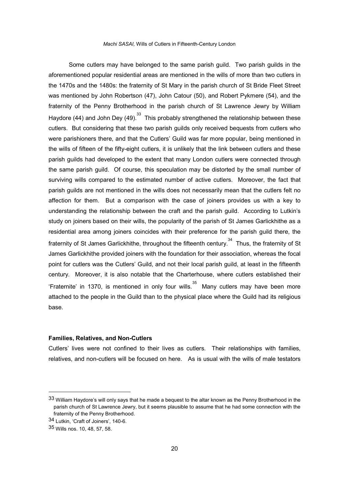Some cutlers may have belonged to the same parish guild. Two parish guilds in the aforementioned popular residential areas are mentioned in the wills of more than two cutlers in the 1470s and the 1480s: the fraternity of St Mary in the parish church of St Bride Fleet Street was mentioned by John Robertson (47), John Catour (50), and Robert Pykmere (54), and the fraternity of the Penny Brotherhood in the parish church of St Lawrence Jewry by William Haydore (44) and John Dey (49).  $33$  This probably strengthened the relationship between these cutlers. But considering that these two parish guilds only received bequests from cutlers who were parishioners there, and that the Cutlers' Guild was far more popular, being mentioned in the wills of fifteen of the fifty-eight cutlers, it is unlikely that the link between cutlers and these parish guilds had developed to the extent that many London cutlers were connected through the same parish guild. Of course, this speculation may be distorted by the small number of surviving wills compared to the estimated number of active cutlers. Moreover, the fact that parish guilds are not mentioned in the wills does not necessarily mean that the cutlers felt no affection for them. But a comparison with the case of joiners provides us with a key to understanding the relationship between the craft and the parish guild. According to Lutkin's study on joiners based on their wills, the popularity of the parish of St James Garlickhithe as a residential area among joiners coincides with their preference for the parish guild there, the fraternity of St James Garlickhithe, throughout the fifteenth century.<sup>34</sup> Thus, the fraternity of St James Garlickhithe provided joiners with the foundation for their association, whereas the focal point for cutlers was the Cutlers' Guild, and not their local parish guild, at least in the fifteenth century. Moreover, it is also notable that the Charterhouse, where cutlers established their 'Fraternite' in 1370, is mentioned in only four wills. 35 Many cutlers may have been more attached to the people in the Guild than to the physical place where the Guild had its religious base.

#### **Families, Relatives, and Non-Cutlers**

Cutlers' lives were not confined to their lives as cutlers. Their relationships with families, relatives, and non-cutlers will be focused on here. As is usual with the wills of male testators

<sup>33</sup> William Haydore's will only says that he made a bequest to the altar known as the Penny Brotherhood in the parish church of St Lawrence Jewry, but it seems plausible to assume that he had some connection with the fraternity of the Penny Brotherhood.

<sup>34</sup> Lutkin, 'Craft of Joiners', 140-6.

<sup>35</sup> Wills nos. 10, 48, 57, 58.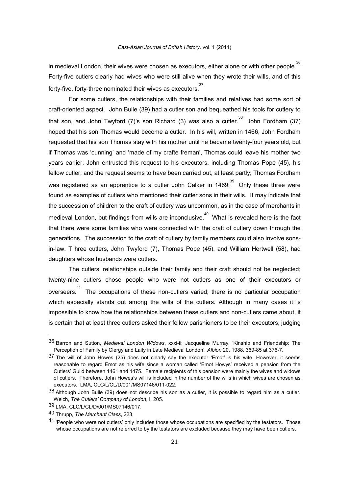in medieval London, their wives were chosen as executors, either alone or with other people.<sup>36</sup> Forty-five cutlers clearly had wives who were still alive when they wrote their wills, and of this forty-five, forty-three nominated their wives as executors.<sup>37</sup>

For some cutlers, the relationships with their families and relatives had some sort of craft-oriented aspect. John Bulle (39) had a cutler son and bequeathed his tools for cutlery to that son, and John Twyford (7)'s son Richard (3) was also a cutler.  $^{38}$  John Fordham (37) hoped that his son Thomas would become a cutler. In his will, written in 1466, John Fordham requested that his son Thomas stay with his mother until he became twenty-four years old, but if Thomas was 'cunning' and 'made of my crafte freman', Thomas could leave his mother two years earlier. John entrusted this request to his executors, including Thomas Pope (45), his fellow cutler, and the request seems to have been carried out, at least partly; Thomas Fordham was registered as an apprentice to a cutler John Calker in 1469.<sup>39</sup> Only these three were found as examples of cutlers who mentioned their cutler sons in their wills. It may indicate that the succession of children to the craft of cutlery was uncommon, as in the case of merchants in medieval London, but findings from wills are inconclusive.<sup>40</sup> What is revealed here is the fact that there were some families who were connected with the craft of cutlery down through the generations. The succession to the craft of cutlery by family members could also involve sonsin-law. T hree cutlers, John Twyford (7), Thomas Pope (45), and William Hertwell (58), had daughters whose husbands were cutlers.

The cutlers' relationships outside their family and their craft should not be neglected; twenty-nine cutlers chose people who were not cutlers as one of their executors or overseers.<sup>41</sup> The occupations of these non-cutlers varied; there is no particular occupation which especially stands out among the wills of the cutlers. Although in many cases it is impossible to know how the relationships between these cutlers and non-cutlers came about, it is certain that at least three cutlers asked their fellow parishioners to be their executors, judging

<sup>36</sup> Barron and Sutton, *Medieval London Widows*, xxxi-ii; Jacqueline Murray, 'Kinship and Friendship: The Perception of Family by Clergy and Laity in Late Medieval London', *Albion* 20, 1988, 369-85 at 376-7.

 $37$  The will of John Howes (25) does not clearly say the executor 'Emot' is his wife. However, it seems reasonable to regard Emot as his wife since a woman called 'Emot Howys' received a pension from the Cutlers' Guild between 1461 and 1475. Female recipients of this pension were mainly the wives and widows of cutlers. Therefore, John Howes's will is included in the number of the wills in which wives are chosen as executors. LMA, CLC/L/CL/D/001/MS07146/011-022.

<sup>38</sup> Although John Bulle (39) does not describe his son as a cutler, it is possible to regard him as a cutler. Welch, *The Cutlers' Company of London*, I, 205.

<sup>39</sup> LMA, CLC/L/CL/D/001/MS07146/017.

<sup>40</sup> Thrupp, *The Merchant Class*, 223.

<sup>41 &#</sup>x27;People who were not cutlers' only includes those whose occupations are specified by the testators. Those whose occupations are not referred to by the testators are excluded because they may have been cutlers.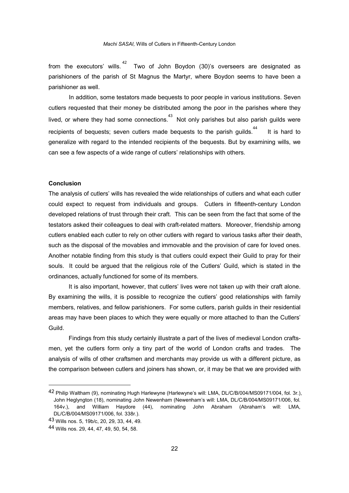from the executors' wills.<sup>42</sup> Two of John Boydon (30)'s overseers are designated as parishioners of the parish of St Magnus the Martyr, where Boydon seems to have been a parishioner as well.

In addition, some testators made bequests to poor people in various institutions. Seven cutlers requested that their money be distributed among the poor in the parishes where they lived, or where they had some connections. $^{43}$  Not only parishes but also parish guilds were recipients of bequests; seven cutlers made bequests to the parish guilds.<sup>44</sup> It is hard to generalize with regard to the intended recipients of the bequests. But by examining wills, we can see a few aspects of a wide range of cutlers' relationships with others.

#### **Conclusion**

The analysis of cutlers' wills has revealed the wide relationships of cutlers and what each cutler could expect to request from individuals and groups. Cutlers in fifteenth-century London developed relations of trust through their craft. This can be seen from the fact that some of the testators asked their colleagues to deal with craft-related matters. Moreover, friendship among cutlers enabled each cutler to rely on other cutlers with regard to various tasks after their death, such as the disposal of the movables and immovable and the provision of care for loved ones. Another notable finding from this study is that cutlers could expect their Guild to pray for their souls. It could be argued that the religious role of the Cutlers' Guild, which is stated in the ordinances, actually functioned for some of its members.

It is also important, however, that cutlers' lives were not taken up with their craft alone. By examining the wills, it is possible to recognize the cutlers' good relationships with family members, relatives, and fellow parishioners. For some cutlers, parish guilds in their residential areas may have been places to which they were equally or more attached to than the Cutlers' Guild.

Findings from this study certainly illustrate a part of the lives of medieval London craftsmen, yet the cutlers form only a tiny part of the world of London crafts and trades. The analysis of wills of other craftsmen and merchants may provide us with a different picture, as the comparison between cutlers and joiners has shown, or, it may be that we are provided with

<sup>42</sup> Philip Waltham (9), nominating Hugh Harlewyne (Harlewyne's will: LMA, DL/C/B/004/MS09171/004, fol. 3r.), John Heglyngton (18), nominating John Newenham (Newenham's will: LMA, DL/C/B/004/MS09171/006, fol. 164v.), and William Haydore (44), nominating John Abraham (Abraham's will: LMA, DL/C/B/004/MS09171/006, fol. 338r.).

<sup>43</sup> Wills nos. 5, 19b/c, 20, 29, 33, 44, 49.

<sup>44</sup> Wills nos. 29, 44, 47, 49, 50, 54, 58.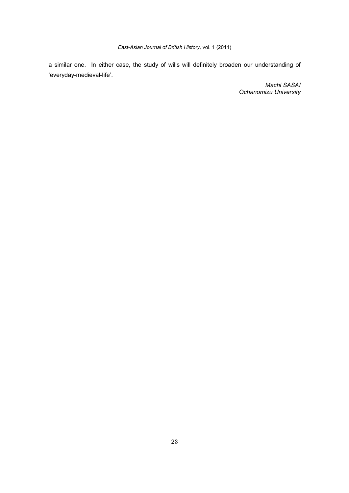a similar one. In either case, the study of wills will definitely broaden our understanding of 'everyday-medieval-life'.

> *Machi SASAI Ochanomizu University*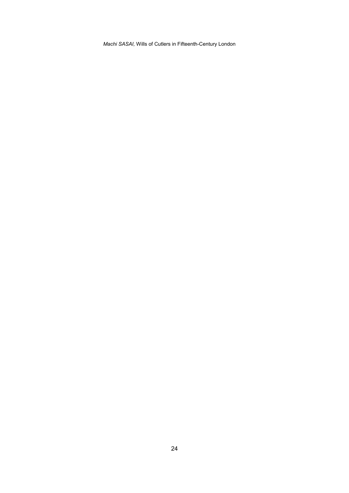*Machi SASAI,* Wills of Cutlers in Fifteenth-Century London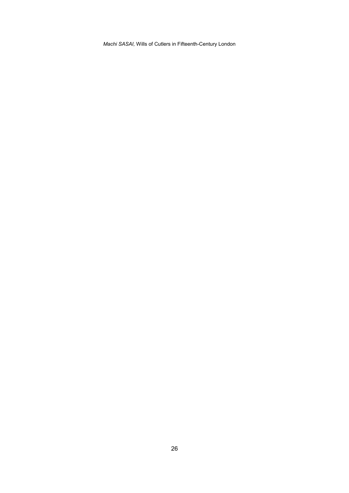*Machi SASAI,* Wills of Cutlers in Fifteenth-Century London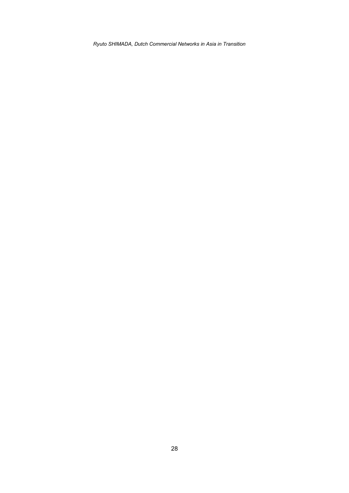*Ryuto SHIMADA, Dutch Commercial Networks in Asia in Transition*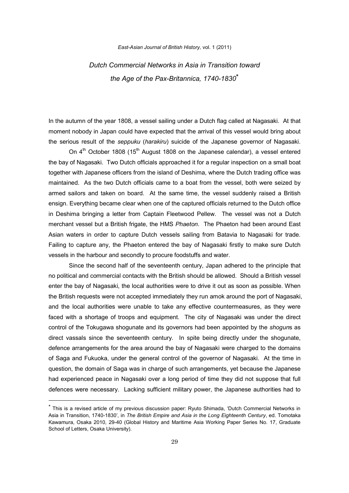*Dutch Commercial Networks in Asia in Transition toward the Age of the Pax-Britannica, 1740-1830*\*

In the autumn of the year 1808, a vessel sailing under a Dutch flag called at Nagasaki. At that moment nobody in Japan could have expected that the arrival of this vessel would bring about the serious result of the *seppuku* (*harakiru*) suicide of the Japanese governor of Nagasaki.

On  $4<sup>th</sup>$  October 1808 (15<sup>th</sup> August 1808 on the Japanese calendar), a vessel entered the bay of Nagasaki. Two Dutch officials approached it for a regular inspection on a small boat together with Japanese officers from the island of Deshima, where the Dutch trading office was maintained. As the two Dutch officials came to a boat from the vessel, both were seized by armed sailors and taken on board. At the same time, the vessel suddenly raised a British ensign. Everything became clear when one of the captured officials returned to the Dutch office in Deshima bringing a letter from Captain Fleetwood Pellew. The vessel was not a Dutch merchant vessel but a British frigate, the HMS *Phaeton*. The Phaeton had been around East Asian waters in order to capture Dutch vessels sailing from Batavia to Nagasaki for trade. Failing to capture any, the Phaeton entered the bay of Nagasaki firstly to make sure Dutch vessels in the harbour and secondly to procure foodstuffs and water.

Since the second half of the seventeenth century, Japan adhered to the principle that no political and commercial contacts with the British should be allowed. Should a British vessel enter the bay of Nagasaki, the local authorities were to drive it out as soon as possible. When the British requests were not accepted immediately they run amok around the port of Nagasaki, and the local authorities were unable to take any effective countermeasures, as they were faced with a shortage of troops and equipment. The city of Nagasaki was under the direct control of the Tokugawa shogunate and its governors had been appointed by the *shogun*s as direct vassals since the seventeenth century. In spite being directly under the shogunate, defence arrangements for the area around the bay of Nagasaki were charged to the domains of Saga and Fukuoka, under the general control of the governor of Nagasaki. At the time in question, the domain of Saga was in charge of such arrangements, yet because the Japanese had experienced peace in Nagasaki over a long period of time they did not suppose that full defences were necessary. Lacking sufficient military power, the Japanese authorities had to

<sup>\*</sup> This is a revised article of my previous discussion paper: Ryuto Shimada, 'Dutch Commercial Networks in Asia in Transition, 1740-1830', in *The British Empire and Asia in the Long Eighteenth Century*, ed. Tomotaka Kawamura, Osaka 2010, 29-40 (Global History and Maritime Asia Working Paper Series No. 17, Graduate School of Letters, Osaka University).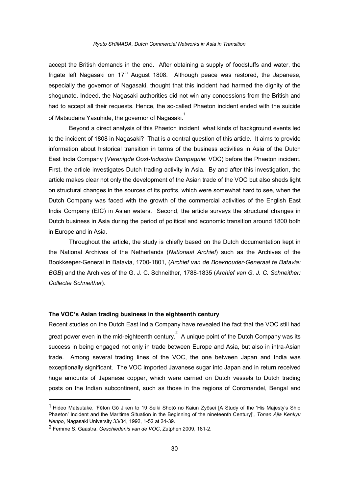#### *Ryuto SHIMADA, Dutch Commercial Networks in Asia in Transition*

accept the British demands in the end. After obtaining a supply of foodstuffs and water, the frigate left Nagasaki on  $17<sup>th</sup>$  August 1808. Although peace was restored, the Japanese, especially the governor of Nagasaki, thought that this incident had harmed the dignity of the shogunate. Indeed, the Nagasaki authorities did not win any concessions from the British and had to accept all their requests. Hence, the so-called Phaeton incident ended with the suicide of Matsudaira Yasuhide, the governor of Nagasaki.<sup>1</sup>

 Beyond a direct analysis of this Phaeton incident, what kinds of background events led to the incident of 1808 in Nagasaki? That is a central question of this article. It aims to provide information about historical transition in terms of the business activities in Asia of the Dutch East India Company (*Verenigde Oost-Indische Compagnie*: VOC) before the Phaeton incident. First, the article investigates Dutch trading activity in Asia. By and after this investigation, the article makes clear not only the development of the Asian trade of the VOC but also sheds light on structural changes in the sources of its profits, which were somewhat hard to see, when the Dutch Company was faced with the growth of the commercial activities of the English East India Company (EIC) in Asian waters. Second, the article surveys the structural changes in Dutch business in Asia during the period of political and economic transition around 1800 both in Europe and in Asia.

 Throughout the article, the study is chiefly based on the Dutch documentation kept in the National Archives of the Netherlands (*Nationaal Archief*) such as the Archives of the Bookkeeper-General in Batavia, 1700-1801, (*Archief van de Boekhouder-Generaal te Batavia: BGB*) and the Archives of the G. J. C. Schneither, 1788-1835 (*Archief van G. J. C. Schneither: Collectie Schneither*).

#### **The VOC's Asian trading business in the eighteenth century**

Recent studies on the Dutch East India Company have revealed the fact that the VOC still had great power even in the mid-eighteenth century.<sup>2</sup> A unique point of the Dutch Company was its success in being engaged not only in trade between Europe and Asia, but also in intra-Asian trade. Among several trading lines of the VOC, the one between Japan and India was exceptionally significant. The VOC imported Javanese sugar into Japan and in return received huge amounts of Japanese copper, which were carried on Dutch vessels to Dutch trading posts on the Indian subcontinent, such as those in the regions of Coromandel, Bengal and

<sup>1</sup> Hideo Matsutake, 'Fēton Gō Jiken to 19 Seiki Shotō no Kaiun Zyōsei [A Study of the 'His Majesty's Ship Phaeton' Incident and the Maritime Situation in the Beginning of the nineteenth Century]', *Tonan Ajia Kenkyu Nenpo*, Nagasaki University 33/34, 1992, 1-52 at 24-39.

<sup>2</sup> Femme S. Gaastra, *Geschiedenis van de VOC*, Zutphen 2009, 181-2.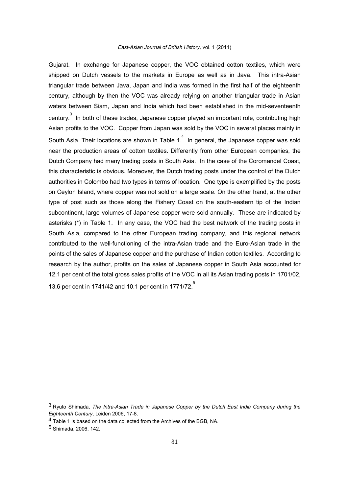Gujarat. In exchange for Japanese copper, the VOC obtained cotton textiles, which were shipped on Dutch vessels to the markets in Europe as well as in Java. This intra-Asian triangular trade between Java, Japan and India was formed in the first half of the eighteenth century, although by then the VOC was already relying on another triangular trade in Asian waters between Siam, Japan and India which had been established in the mid-seventeenth century.<sup>3</sup> In both of these trades, Japanese copper played an important role, contributing high Asian profits to the VOC. Copper from Japan was sold by the VOC in several places mainly in South Asia. Their locations are shown in Table 1. $<sup>4</sup>$  In general, the Japanese copper was sold</sup> near the production areas of cotton textiles. Differently from other European companies, the Dutch Company had many trading posts in South Asia. In the case of the Coromandel Coast, this characteristic is obvious. Moreover, the Dutch trading posts under the control of the Dutch authorities in Colombo had two types in terms of location. One type is exemplified by the posts on Ceylon Island, where copper was not sold on a large scale. On the other hand, at the other type of post such as those along the Fishery Coast on the south-eastern tip of the Indian subcontinent, large volumes of Japanese copper were sold annually. These are indicated by asterisks (\*) in Table 1. In any case, the VOC had the best network of the trading posts in South Asia, compared to the other European trading company, and this regional network contributed to the well-functioning of the intra-Asian trade and the Euro-Asian trade in the points of the sales of Japanese copper and the purchase of Indian cotton textiles. According to research by the author, profits on the sales of Japanese copper in South Asia accounted for 12.1 per cent of the total gross sales profits of the VOC in all its Asian trading posts in 1701/02, 13.6 per cent in 1741/42 and 10.1 per cent in 1771/72.

<sup>3</sup> Ryuto Shimada, *The Intra-Asian Trade in Japanese Copper by the Dutch East India Company during the Eighteenth Century*, Leiden 2006, 17-8.

<sup>&</sup>lt;sup>4</sup> Table 1 is based on the data collected from the Archives of the BGB, NA.

<sup>5</sup> Shimada, 2006, 142.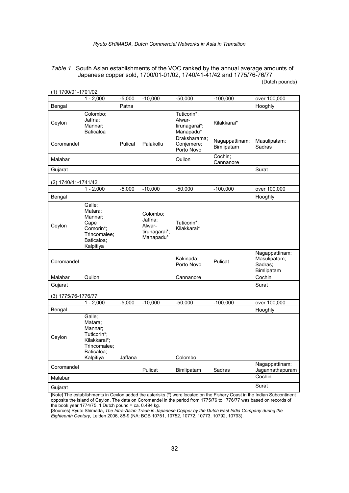*Table 1* South Asian establishments of the VOC ranked by the annual average amounts of Japanese copper sold, 1700/01-01/02, 1740/41-41/42 and 1775/76-76/77 (Dutch pounds)

(1) 1700/01-1701/02 1 - 2,000 -5,000 -10,000 -50,000 -100,000 over 100,000 Bengal Patna Hooghly Ceylon Colombo; Jaffna; Mannar; Baticaloa Tuticorin\*; Alwartirunagarai\*; Manapadu\* Kilakkarai\* Coromandel Pulicat Palakollu Draksharama; Conjemere; Porto Novo Nagappattinam; Bimlipatam Masulipatam; Sadras Malabar Cochin; Cochin; Cochin; Cochin; Cochin; Cochin; **Cannanore** Gujarat Surat (2) 1740/41-1741/42 1 - 2,000 -5,000 -10,000 -50,000 -100,000 over 100,000 Bengal Hooghly Ceylon Galle; Matara; Mannar; **Cape** Comorin\*; Trincomalee; Baticaloa; Kalpitiya Colombo; Jaffna; Alwartirunagarai\*; Manapadu\* Tuticorin\*; Kilakkarai\* Coromandel Kakinada; Nakiriada, Pulicat<br>Porto Novo Nagappattinam; Masulipatam; Sadras; Bimlipatam Malabar Quilon Cannanore Cochin Gujarat Surat (3) 1775/76-1776/77 1 - 2,000 -5,000 -10,000 -50,000 -100,000 over 100,000 Bengal Hooghly Ceylon Galle; Matara; Mannar; Tuticorin\*; Kilakkarai\*; Trincomalee; Baticaloa; Kalpitiya Jaffana Colombo Coromandel Pulicat Bimlipatam Sadras Nagappattinam; Jagannathapuram Malabar Cochin Gujarat Surat Surat Surat Surat Surat Surat Surat Surat Surat Surat Surat Surat Surat Surat Surat Surat Surat

[Note] The establishments in Ceylon added the asterisks (\*) were located on the Fishery Coast in the Indian Subcontinent opposite the island of Ceylon. The data on Coromandel in the period from 1775/76 to 1776/77 was based on records of the book year 1774/75. 1 Dutch pound = ca.  $0.494$  kg.

[Sources] Ryuto Shimada, *The Intra-Asian Trade in Japanese Copper by the Dutch East India Company during the Eighteenth Century*, Leiden 2006, 88-9 (NA: BGB 10751, 10752, 10772, 10773, 10792, 10793).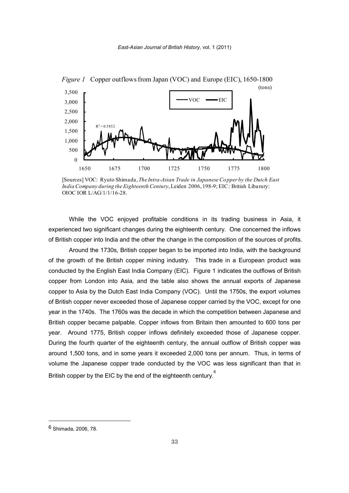

*Figure 1* Copper outflows from Japan (VOC) and Europe (EIC), 1650-1800

[Sources] VOC: Ryuto Shimada, *The Intra-Asian Trade in Japanese Copper by the Dutch East India Company during the Eighteenth Century*, Leiden 2006, 198-9; EIC: British Libarary: OIOC IOR L/AG/1/1/16-28.

While the VOC enjoyed profitable conditions in its trading business in Asia, it experienced two significant changes during the eighteenth century. One concerned the inflows of British copper into India and the other the change in the composition of the sources of profits.

Around the 1730s, British copper began to be imported into India, with the background of the growth of the British copper mining industry. This trade in a European product was conducted by the English East India Company (EIC). Figure 1 indicates the outflows of British copper from London into Asia, and the table also shows the annual exports of Japanese copper to Asia by the Dutch East India Company (VOC). Until the 1750s, the export volumes of British copper never exceeded those of Japanese copper carried by the VOC, except for one year in the 1740s. The 1760s was the decade in which the competition between Japanese and British copper became palpable. Copper inflows from Britain then amounted to 600 tons per year. Around 1775, British copper inflows definitely exceeded those of Japanese copper. During the fourth quarter of the eighteenth century, the annual outflow of British copper was around 1,500 tons, and in some years it exceeded 2,000 tons per annum. Thus, in terms of volume the Japanese copper trade conducted by the VOC was less significant than that in British copper by the EIC by the end of the eighteenth century. $\mathring{\phantom{a}}^6$ 

<sup>6</sup> Shimada, 2006, 78.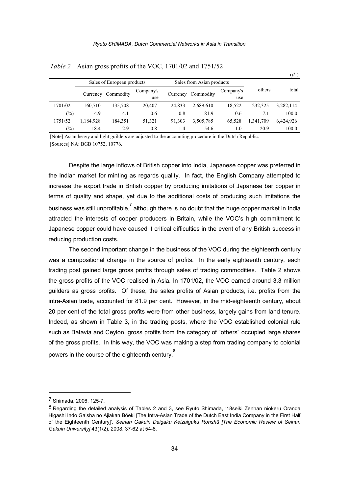|         | Sales of European products |                    | Sales from Asian products |        |                    |                  |           |           |
|---------|----------------------------|--------------------|---------------------------|--------|--------------------|------------------|-----------|-----------|
|         |                            | Currency Commodity | Company's<br>use          |        | Currency Commodity | Company's<br>use | others    | total     |
| 1701/02 | 160.710                    | 135,708            | 20,407                    | 24,833 | 2,689,610          | 18,522           | 232.325   | 3,282,114 |
| $(\%)$  | 4.9                        | 4.1                | 0.6                       | 0.8    | 81.9               | 0.6              | 7.1       | 100.0     |
| 1751/52 | 1.184.928                  | 184.351            | 51,321                    | 91.303 | 3.505.785          | 65.528           | 1.341.709 | 6.424.926 |
| $(\%)$  | 18.4                       | 2.9                | 0.8                       | 1.4    | 54.6               | 1.0              | 20.9      | 100.0     |

(*fl.* )

*Table 2* Asian gross profits of the VOC, 1701/02 and 1751/52

[Note] Asian heavy and light guilders are adjusted to the accounting procedure in the Dutch Republic. [Sources] NA: BGB 10752, 10776.

Despite the large inflows of British copper into India, Japanese copper was preferred in the Indian market for minting as regards quality. In fact, the English Company attempted to increase the export trade in British copper by producing imitations of Japanese bar copper in terms of quality and shape, yet due to the additional costs of producing such imitations the business was still unprofitable,  $\overline{'}$  although there is no doubt that the huge copper market in India attracted the interests of copper producers in Britain, while the VOC's high commitment to Japanese copper could have caused it critical difficulties in the event of any British success in reducing production costs.

The second important change in the business of the VOC during the eighteenth century was a compositional change in the source of profits. In the early eighteenth century, each trading post gained large gross profits through sales of trading commodities. Table 2 shows the gross profits of the VOC realised in Asia. In 1701/02, the VOC earned around 3.3 million guilders as gross profits. Of these, the sales profits of Asian products, i.e. profits from the intra-Asian trade, accounted for 81.9 per cent. However, in the mid-eighteenth century, about 20 per cent of the total gross profits were from other business, largely gains from land tenure. Indeed, as shown in Table 3, in the trading posts, where the VOC established colonial rule such as Batavia and Ceylon, gross profits from the category of "others" occupied large shares of the gross profits. In this way, the VOC was making a step from trading company to colonial powers in the course of the eighteenth century.<sup>8</sup>

<sup>7</sup> Shimada, 2006, 125-7.

<sup>8</sup> Regarding the detailed analysis of Tables 2 and 3, see Ryuto Shimada, '18seiki Zenhan niokeru Oranda Higashi Indo Gaisha no Ajiakan Bōeki [The Intra-Asian Trade of the Dutch East India Company in the First Half of the Eighteenth Century]', *Seinan Gakuin Daigaku Keizaigaku Ronshū [The Economic Review of Seinan Gakuin University]* 43(1/2), 2008, 37-62 at 54-8.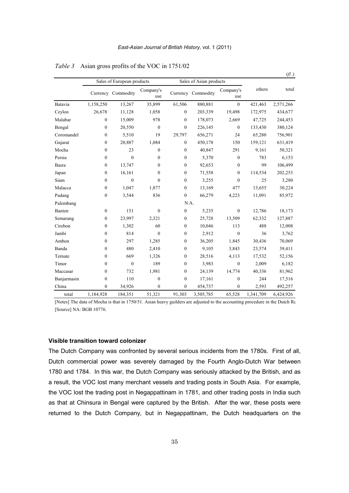|             | Sales of European products |                    |                  | Sales of Asian products |                    |                  |           | (fl.)     |
|-------------|----------------------------|--------------------|------------------|-------------------------|--------------------|------------------|-----------|-----------|
|             |                            | Currency Commodity | Company's<br>use |                         | Currency Commodity | Company's<br>use | others    | total     |
| Batavia     | 1,158,250                  | 13,267             | 35,899           | 61,506                  | 880,881            | $\mathbf{0}$     | 421,463   | 2,571,266 |
| Ceylon      | 26,678                     | 11,128             | 1,058            | $\boldsymbol{0}$        | 203,339            | 19,498           | 172,975   | 434,677   |
| Malabar     | $\boldsymbol{0}$           | 15,009             | 978              | $\mathbf{0}$            | 178,073            | 2,669            | 47,725    | 244,453   |
| Bengal      | $\boldsymbol{0}$           | 20,550             | $\boldsymbol{0}$ | $\mathbf{0}$            | 226,145            | $\boldsymbol{0}$ | 133,430   | 380,124   |
| Coromandel  | $\boldsymbol{0}$           | 5,510              | 19               | 29,797                  | 656,271            | 24               | 65,280    | 756,901   |
| Gujarat     | $\boldsymbol{0}$           | 20,887             | 1,084            | $\mathbf{0}$            | 450,178            | 150              | 159,121   | 631,419   |
| Mocha       | $\mathbf{0}$               | 23                 | $\boldsymbol{0}$ | $\mathbf{0}$            | 40,847             | 291              | 9,161     | 50,321    |
| Persia      | $\boldsymbol{0}$           | $\boldsymbol{0}$   | $\boldsymbol{0}$ | $\boldsymbol{0}$        | 5,370              | $\boldsymbol{0}$ | 783       | 6,153     |
| Basra       | $\boldsymbol{0}$           | 13,747             | $\mathbf{0}$     | $\mathbf{0}$            | 92,653             | 0                | 99        | 106,499   |
| Japan       | $\boldsymbol{0}$           | 16,161             | $\mathbf{0}$     | $\mathbf{0}$            | 71,558             | $\mathbf{0}$     | 114,534   | 202,253   |
| Siam        | $\boldsymbol{0}$           | $\boldsymbol{0}$   | $\mathbf{0}$     | $\boldsymbol{0}$        | 3,255              | $\mathbf{0}$     | 25        | 3,280     |
| Malacca     | $\boldsymbol{0}$           | 1,047              | 1,877            | $\boldsymbol{0}$        | 13,169             | 477              | 13,655    | 30,224    |
| Padang      | $\boldsymbol{0}$           | 3,544              | 836              | $\mathbf{0}$            | 66,279             | 4,223            | 11,091    | 85,972    |
| Palembang   |                            |                    |                  | N.A.                    |                    |                  |           |           |
| Banten      | 0                          | 151                | $\boldsymbol{0}$ | 0                       | 5,235              | $\boldsymbol{0}$ | 12,786    | 18,173    |
| Semarang    | $\boldsymbol{0}$           | 23,997             | 2,321            | $\boldsymbol{0}$        | 25,728             | 13,509           | 62,332    | 127,887   |
| Cirebon     | $\boldsymbol{0}$           | 1,302              | 60               | $\boldsymbol{0}$        | 10,046             | 113              | 488       | 12,008    |
| Jambi       | $\boldsymbol{0}$           | 814                | $\boldsymbol{0}$ | $\boldsymbol{0}$        | 2,912              | $\boldsymbol{0}$ | 36        | 3,762     |
| Ambon       | $\boldsymbol{0}$           | 297                | 1,285            | $\boldsymbol{0}$        | 36,205             | 1,845            | 30,436    | 70,069    |
| Banda       | $\boldsymbol{0}$           | 480                | 2,410            | $\mathbf{0}$            | 9,105              | 3,843            | 23,574    | 39,411    |
| Ternate     | $\boldsymbol{0}$           | 669                | 1,326            | $\boldsymbol{0}$        | 28,516             | 4,113            | 17,532    | 52,156    |
| Timor       | $\boldsymbol{0}$           | $\boldsymbol{0}$   | 189              | $\boldsymbol{0}$        | 3,983              | $\boldsymbol{0}$ | 2,009     | 6,182     |
| Maccasar    | $\boldsymbol{0}$           | 732                | 1,981            | $\boldsymbol{0}$        | 24,139             | 14,774           | 40,336    | 81,962    |
| Banjarmasin | $\boldsymbol{0}$           | 110                | $\boldsymbol{0}$ | $\mathbf{0}$            | 17,161             | $\mathbf{0}$     | 244       | 17,516    |
| China       | $\boldsymbol{0}$           | 34,926             | $\boldsymbol{0}$ | $\boldsymbol{0}$        | 454,737            | 0                | 2,593     | 492,257   |
| total       | 1,184,928                  | 184,351            | 51,321           | 91,303                  | 3,505,785          | 65,528           | 1,341,709 | 6,424,926 |

*Table 3* Asian gross profits of the VOC in 1751/02

[Notes] The data of Mocha is that in 1750/51. Asian heavy guilders are adjusted to the accounting procedure in the Dutch Re [Source] NA: BGB 10776.

## **Visible transition toward colonizer**

The Dutch Company was confronted by several serious incidents from the 1780s. First of all, Dutch commercial power was severely damaged by the Fourth Anglo-Dutch War between 1780 and 1784. In this war, the Dutch Company was seriously attacked by the British, and as a result, the VOC lost many merchant vessels and trading posts in South Asia. For example, the VOC lost the trading post in Negappattinam in 1781, and other trading posts in India such as that at Chinsura in Bengal were captured by the British. After the war, these posts were returned to the Dutch Company, but in Negappattinam, the Dutch headquarters on the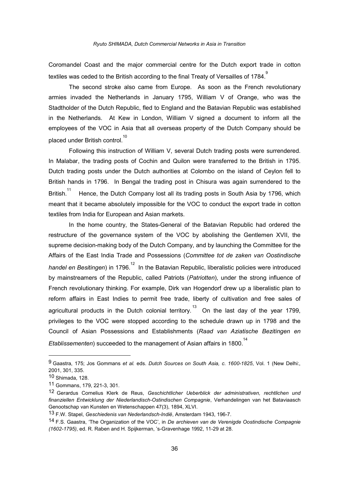#### *Ryuto SHIMADA, Dutch Commercial Networks in Asia in Transition*

Coromandel Coast and the major commercial centre for the Dutch export trade in cotton textiles was ceded to the British according to the final Treaty of Versailles of 1784. $\overset{\text{\tiny o}}{ }$ 

The second stroke also came from Europe. As soon as the French revolutionary armies invaded the Netherlands in January 1795, William V of Orange, who was the Stadtholder of the Dutch Republic, fled to England and the Batavian Republic was established in the Netherlands. At Kew in London, William V signed a document to inform all the employees of the VOC in Asia that all overseas property of the Dutch Company should be <sup>10</sup><br>placed under British control.<sup>10</sup>

Following this instruction of William V, several Dutch trading posts were surrendered. In Malabar, the trading posts of Cochin and Quilon were transferred to the British in 1795. Dutch trading posts under the Dutch authorities at Colombo on the island of Ceylon fell to British hands in 1796. In Bengal the trading post in Chisura was again surrendered to the British. 11 Hence, the Dutch Company lost all its trading posts in South Asia by 1796, which meant that it became absolutely impossible for the VOC to conduct the export trade in cotton textiles from India for European and Asian markets.

In the home country, the States-General of the Batavian Republic had ordered the restructure of the governance system of the VOC by abolishing the Gentlemen XVII, the supreme decision-making body of the Dutch Company, and by launching the Committee for the Affairs of the East India Trade and Possessions (*Committee tot de zaken van Oostindische*  handel en Besitingen) in 1796.<sup>12</sup> In the Batavian Republic, liberalistic policies were introduced by mainstreamers of the Republic, called Patriots (*Patriotten*), under the strong influence of French revolutionary thinking. For example, Dirk van Hogendorf drew up a liberalistic plan to reform affairs in East Indies to permit free trade, liberty of cultivation and free sales of agricultural products in the Dutch colonial territory.<sup>13</sup> On the last day of the year 1799, privileges to the VOC were stopped according to the schedule drawn up in 1798 and the Council of Asian Possessions and Establishments (*Raad van Aziatische Bezitingen en Etablissementen*) succeeded to the management of Asian affairs in 1800. 14

<sup>9</sup> Gaastra, 175; Jos Gommans *et al.* eds. *Dutch Sources on South Asia, c. 1600-1825*, Vol. 1 (New Delhi:, 2001, 301, 335.

<sup>10</sup> Shimada, 128.

<sup>11</sup> Gommans, 179, 221-3, 301.

<sup>12</sup> Gerardus Cornelius Klerk de Reus, *Geschichtlicher Ueberblick der administrativen, rechtlichen und finanziellen Entwicklung der Niederlandisch-Ostindischen Compagnie*, Verhandelingen van het Bataviaasch Genootschap van Kunsten en Wetenschappen 47(3), 1894, XLVI.

<sup>13</sup> F.W. Stapel, *Geschiedenis van Nederlandsch-Indië*, Amsterdam 1943, 196-7.

<sup>14</sup> F.S. Gaastra, 'The Organization of the VOC', in *De archieven van de Verenigde Oostindische Compagnie (1602-1795)*, ed. R. Raben and H. Spijkerman, 's-Gravenhage 1992, 11-29 at 28.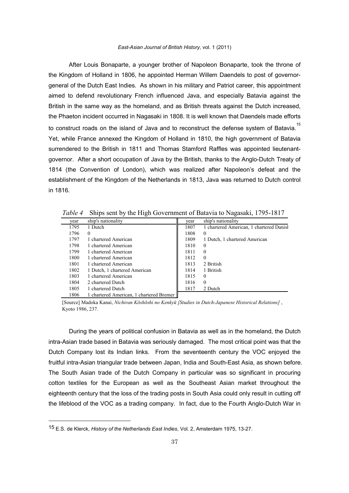#### *East-Asian Journal of British History,* vol. 1 (2011)

After Louis Bonaparte, a younger brother of Napoleon Bonaparte, took the throne of the Kingdom of Holland in 1806, he appointed Herman Willem Daendels to post of governorgeneral of the Dutch East Indies. As shown in his military and Patriot career, this appointment aimed to defend revolutionary French influenced Java, and especially Batavia against the British in the same way as the homeland, and as British threats against the Dutch increased, the Phaeton incident occurred in Nagasaki in 1808. It is well known that Daendels made efforts to construct roads on the island of Java and to reconstruct the defense system of Batavia.<sup>15</sup> Yet, while France annexed the Kingdom of Holland in 1810, the high government of Batavia surrendered to the British in 1811 and Thomas Stamford Raffles was appointed lieutenantgovernor. After a short occupation of Java by the British, thanks to the Anglo-Dutch Treaty of 1814 (the Convention of London), which was realized after Napoleon's defeat and the establishment of the Kingdom of the Netherlands in 1813, Java was returned to Dutch control in 1816.

| vear | ship's nationality                       | vear | ship's nationality                       |
|------|------------------------------------------|------|------------------------------------------|
| 1795 | 1 Dutch                                  | 1807 | 1 chartered American, 1 chartered Danish |
| 1796 | $\theta$                                 | 1808 | $\left($                                 |
| 1797 | 1 chartered American                     | 1809 | 1 Dutch, 1 chartered American            |
| 1798 | 1 chartered American                     | 1810 | $\theta$                                 |
| 1799 | 1 chartered American                     | 1811 | $\theta$                                 |
| 1800 | 1 chartered American                     | 1812 | $\theta$                                 |
| 1801 | 1 chartered American                     | 1813 | 2 British                                |
| 1802 | 1 Dutch, 1 chartered American            | 1814 | 1 British                                |
| 1803 | 1 chartered American                     | 1815 | $\theta$                                 |
| 1804 | 2 chartered Dutch                        | 1816 | $\theta$                                 |
| 1805 | 1 chartered Dutch                        | 1817 | 2 Dutch                                  |
| 1806 | 1 chartered American, 1 chartered Bremer |      |                                          |

*Table 4* Ships sent by the High Government of Batavia to Nagasaki, 1795-1817

[Source] Madoka Kanai, *Nichiran Kōshōshi no Kenkyū [Studies in Dutch-Japanese Historical Relations]* , Kyoto 1986, 237.

During the years of political confusion in Batavia as well as in the homeland, the Dutch intra-Asian trade based in Batavia was seriously damaged. The most critical point was that the Dutch Company lost its Indian links. From the seventeenth century the VOC enjoyed the fruitful intra-Asian triangular trade between Japan, India and South-East Asia, as shown before. The South Asian trade of the Dutch Company in particular was so significant in procuring cotton textiles for the European as well as the Southeast Asian market throughout the eighteenth century that the loss of the trading posts in South Asia could only result in cutting off the lifeblood of the VOC as a trading company. In fact, due to the Fourth Anglo-Dutch War in

<sup>15</sup> E.S. de Klerck, *History of the Netherlands East Indies*, Vol. 2, Amsterdam 1975, 13-27.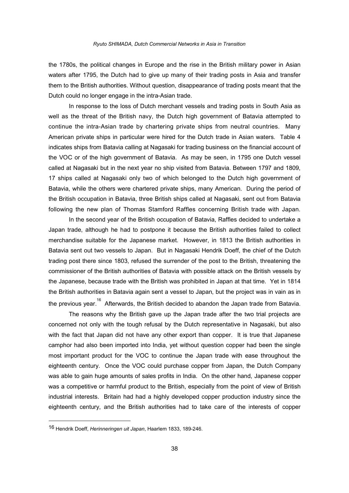the 1780s, the political changes in Europe and the rise in the British military power in Asian waters after 1795, the Dutch had to give up many of their trading posts in Asia and transfer them to the British authorities. Without question, disappearance of trading posts meant that the Dutch could no longer engage in the intra-Asian trade.

In response to the loss of Dutch merchant vessels and trading posts in South Asia as well as the threat of the British navy, the Dutch high government of Batavia attempted to continue the intra-Asian trade by chartering private ships from neutral countries. Many American private ships in particular were hired for the Dutch trade in Asian waters. Table 4 indicates ships from Batavia calling at Nagasaki for trading business on the financial account of the VOC or of the high government of Batavia. As may be seen, in 1795 one Dutch vessel called at Nagasaki but in the next year no ship visited from Batavia. Between 1797 and 1809, 17 ships called at Nagasaki only two of which belonged to the Dutch high government of Batavia, while the others were chartered private ships, many American. During the period of the British occupation in Batavia, three British ships called at Nagasaki, sent out from Batavia following the new plan of Thomas Stamford Raffles concerning British trade with Japan.

In the second year of the British occupation of Batavia, Raffles decided to undertake a Japan trade, although he had to postpone it because the British authorities failed to collect merchandise suitable for the Japanese market. However, in 1813 the British authorities in Batavia sent out two vessels to Japan. But in Nagasaki Hendrik Doeff, the chief of the Dutch trading post there since 1803, refused the surrender of the post to the British, threatening the commissioner of the British authorities of Batavia with possible attack on the British vessels by the Japanese, because trade with the British was prohibited in Japan at that time. Yet in 1814 the British authorities in Batavia again sent a vessel to Japan, but the project was in vain as in the previous year.<sup>16</sup> Afterwards, the British decided to abandon the Japan trade from Batavia.

The reasons why the British gave up the Japan trade after the two trial projects are concerned not only with the tough refusal by the Dutch representative in Nagasaki, but also with the fact that Japan did not have any other export than copper. It is true that Japanese camphor had also been imported into India, yet without question copper had been the single most important product for the VOC to continue the Japan trade with ease throughout the eighteenth century. Once the VOC could purchase copper from Japan, the Dutch Company was able to gain huge amounts of sales profits in India. On the other hand, Japanese copper was a competitive or harmful product to the British, especially from the point of view of British industrial interests. Britain had had a highly developed copper production industry since the eighteenth century, and the British authorities had to take care of the interests of copper

<sup>16</sup> Hendrik Doeff, *Herinneringen uit Japan*, Haarlem 1833, 189-246.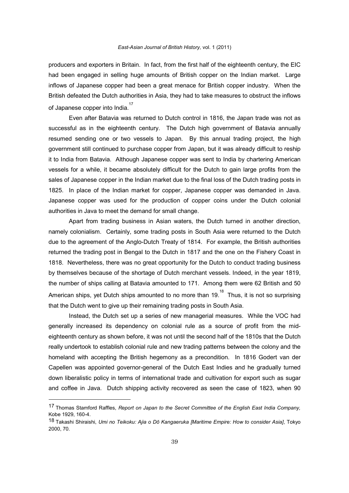#### *East-Asian Journal of British History,* vol. 1 (2011)

producers and exporters in Britain. In fact, from the first half of the eighteenth century, the EIC had been engaged in selling huge amounts of British copper on the Indian market. Large inflows of Japanese copper had been a great menace for British copper industry. When the British defeated the Dutch authorities in Asia, they had to take measures to obstruct the inflows of Japanese copper into India.<sup>17</sup>

Even after Batavia was returned to Dutch control in 1816, the Japan trade was not as successful as in the eighteenth century. The Dutch high government of Batavia annually resumed sending one or two vessels to Japan. By this annual trading project, the high government still continued to purchase copper from Japan, but it was already difficult to reship it to India from Batavia. Although Japanese copper was sent to India by chartering American vessels for a while, it became absolutely difficult for the Dutch to gain large profits from the sales of Japanese copper in the Indian market due to the final loss of the Dutch trading posts in 1825. In place of the Indian market for copper, Japanese copper was demanded in Java. Japanese copper was used for the production of copper coins under the Dutch colonial authorities in Java to meet the demand for small change.

Apart from trading business in Asian waters, the Dutch turned in another direction, namely colonialism. Certainly, some trading posts in South Asia were returned to the Dutch due to the agreement of the Anglo-Dutch Treaty of 1814. For example, the British authorities returned the trading post in Bengal to the Dutch in 1817 and the one on the Fishery Coast in 1818. Nevertheless, there was no great opportunity for the Dutch to conduct trading business by themselves because of the shortage of Dutch merchant vessels. Indeed, in the year 1819, the number of ships calling at Batavia amounted to 171. Among them were 62 British and 50 American ships, yet Dutch ships amounted to no more than 19. $^{18}$  Thus, it is not so surprising that the Dutch went to give up their remaining trading posts in South Asia.

Instead, the Dutch set up a series of new managerial measures. While the VOC had generally increased its dependency on colonial rule as a source of profit from the mideighteenth century as shown before, it was not until the second half of the 1810s that the Dutch really undertook to establish colonial rule and new trading patterns between the colony and the homeland with accepting the British hegemony as a precondition. In 1816 Godert van der Capellen was appointed governor-general of the Dutch East Indies and he gradually turned down liberalistic policy in terms of international trade and cultivation for export such as sugar and coffee in Java. Dutch shipping activity recovered as seen the case of 1823, when 90

<sup>17</sup> Thomas Stamford Raffles, *Report on Japan to the Secret Committee of the English East India Company,*  Kobe 1929, 160-4.

<sup>18</sup> Takashi Shiraishi, *Umi no Teikoku: Ajia o Dō Kangaeruka [Maritime Empire: How to consider Asia]*, Tokyo 2000, 70.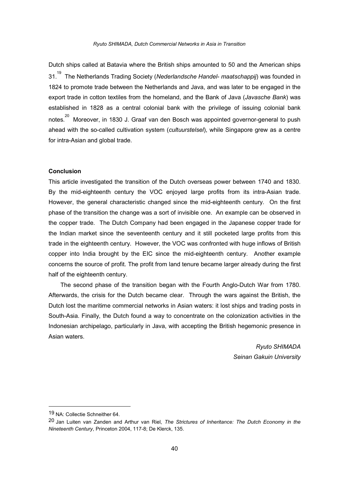#### *Ryuto SHIMADA, Dutch Commercial Networks in Asia in Transition*

Dutch ships called at Batavia where the British ships amounted to 50 and the American ships 31. 19 The Netherlands Trading Society (*Nederlandsche Handel- maatschappij*) was founded in 1824 to promote trade between the Netherlands and Java, and was later to be engaged in the export trade in cotton textiles from the homeland, and the Bank of Java (*Javasche Bank*) was established in 1828 as a central colonial bank with the privilege of issuing colonial bank notes.<sup>20</sup> Moreover, in 1830 J. Graaf van den Bosch was appointed governor-general to push ahead with the so-called cultivation system (*cultuurstelsel*), while Singapore grew as a centre for intra-Asian and global trade.

# **Conclusion**

This article investigated the transition of the Dutch overseas power between 1740 and 1830. By the mid-eighteenth century the VOC enjoyed large profits from its intra-Asian trade. However, the general characteristic changed since the mid-eighteenth century. On the first phase of the transition the change was a sort of invisible one. An example can be observed in the copper trade. The Dutch Company had been engaged in the Japanese copper trade for the Indian market since the seventeenth century and it still pocketed large profits from this trade in the eighteenth century. However, the VOC was confronted with huge inflows of British copper into India brought by the EIC since the mid-eighteenth century. Another example concerns the source of profit. The profit from land tenure became larger already during the first half of the eighteenth century.

The second phase of the transition began with the Fourth Anglo-Dutch War from 1780. Afterwards, the crisis for the Dutch became clear. Through the wars against the British, the Dutch lost the maritime commercial networks in Asian waters: it lost ships and trading posts in South-Asia. Finally, the Dutch found a way to concentrate on the colonization activities in the Indonesian archipelago, particularly in Java, with accepting the British hegemonic presence in Asian waters.

> *Ryuto SHIMADA Seinan Gakuin University*

<sup>19</sup> NA: Collectie Schneither 64.

<sup>20</sup> Jan Luiten van Zanden and Arthur van Riel, *The Strictures of Inheritance: The Dutch Economy in the Nineteenth Century*, Princeton 2004, 117-8; De Klerck, 135.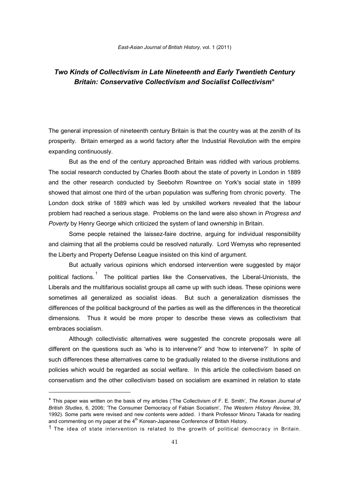# *Two Kinds of Collectivism in Late Nineteenth and Early Twentieth Century Britain: Conservative Collectivism and Socialist Collectivism*\*

The general impression of nineteenth century Britain is that the country was at the zenith of its prosperity. Britain emerged as a world factory after the Industrial Revolution with the empire expanding continuously.

 But as the end of the century approached Britain was riddled with various problems. The social research conducted by Charles Booth about the state of poverty in London in 1889 and the other research conducted by Seebohm Rowntree on York's social state in 1899 showed that almost one third of the urban population was suffering from chronic poverty. The London dock strike of 1889 which was led by unskilled workers revealed that the labour problem had reached a serious stage. Problems on the land were also shown in *Progress and Poverty* by Henry George which criticized the system of land ownership in Britain.

 Some people retained the laissez-faire doctrine, arguing for individual responsibility and claiming that all the problems could be resolved naturally. Lord Wemyss who represented the Liberty and Property Defense League insisted on this kind of argument.

 But actually various opinions which endorsed intervention were suggested by major political factions.<sup>1</sup> The political parties like the Conservatives, the Liberal-Unionists, the Liberals and the multifarious socialist groups all came up with such ideas. These opinions were sometimes all generalized as socialist ideas. But such a generalization dismisses the differences of the political background of the parties as well as the differences in the theoretical dimensions. Thus it would be more proper to describe these views as collectivism that embraces socialism.

 Although collectivistic alternatives were suggested the concrete proposals were all different on the questions such as 'who is to intervene?' and 'how to intervene?' In spite of such differences these alternatives came to be gradually related to the diverse institutions and policies which would be regarded as social welfare. In this article the collectivism based on conservatism and the other collectivism based on socialism are examined in relation to state

<sup>\*</sup> This paper was written on the basis of my articles ('The Collectivism of F. E. Smith', *The Korean Journal of British Studies*, 6, 2006; 'The Consumer Democracy of Fabian Socialism', *The Western History Review*, 39, 1992). Some parts were revised and new contents were added. I thank Professor Minoru Takada for reading and commenting on my paper at the  $4<sup>th</sup>$  Korean-Japanese Conference of British History.

 $<sup>1</sup>$  The idea of state intervention is related to the growth of political democracy in Britain.</sup>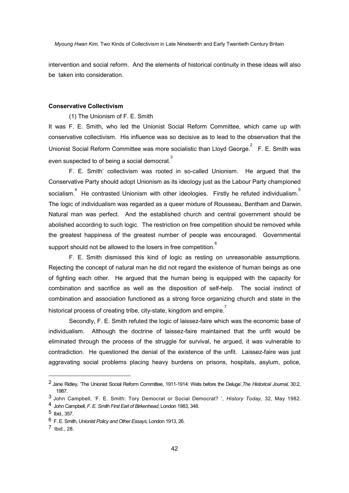*Myoung Hwan Kim,* Two Kinds of Collectivism in Late Nineteenth and Early Twentieth Century Britain

intervention and social reform. And the elements of historical continuity in these ideas will also be taken into consideration.

# **Conservative Collectivism**

(1) The Unionism of F. E. Smith

It was F. E. Smith, who led the Unionist Social Reform Committee, which came up with conservative collectivism. His influence was so decisive as to lead to the observation that the Unionist Social Reform Committee was more socialistic than Lloyd George.  $2^2$  F. E. Smith was even suspected to of being a social democrat.<sup>3</sup>

 F. E. Smith' collectivism was rooted in so-called Unionism. He argued that the Conservative Party should adopt Unionism as its ideology just as the Labour Party championed socialism.<sup>4</sup> He contrasted Unionism with other ideologies. Firstly he refuted individualism.<sup>5</sup> The logic of individualism was regarded as a queer mixture of Rousseau, Bentham and Darwin. Natural man was perfect. And the established church and central government should be abolished according to such logic. The restriction on free competition should be removed while the greatest happiness of the greatest number of people was encouraged. Governmental support should not be allowed to the losers in free competition.  $\mathring{\ }$ 

 F. E. Smith dismissed this kind of logic as resting on unreasonable assumptions. Rejecting the concept of natural man he did not regard the existence of human beings as one of fighting each other. He argued that the human being is equipped with the capacity for combination and sacrifice as well as the disposition of self-help. The social instinct of combination and association functioned as a strong force organizing church and state in the historical process of creating tribe, city-state, kingdom and empire.<sup>7</sup>

 Secondly, F. E. Smith refuted the logic of laissez-faire which was the economic base of individualism. Although the doctrine of laissez-faire maintained that the unfit would be eliminated through the process of the struggle for survival, he argued, it was vulnerable to contradiction. He questioned the denial of the existence of the unfit. Laissez-faire was just aggravating social problems placing heavy burdens on prisons, hospitals, asylum, police,

<sup>2</sup> Jane Ridley, 'The Unionist Social Reform Committee, 1911-1914: Wets before the Deluge',*The Historical Journal,* 30:2, 1987.

<sup>3</sup> John Campbell, 'F. E. Smith: Tory Democrat or Social Democrat? ', *History Today,* 32, May 1982.

<sup>4</sup> John Campbell, *F. E. Smith First Earl of Birkenhead*, London 1983, 348.

<sup>5</sup> Ibid., 357.

<sup>6</sup> F. E. Smith, *Unionist Policy and Other Essays*, London 1913, 26.

<sup>7</sup> Ibid., 28.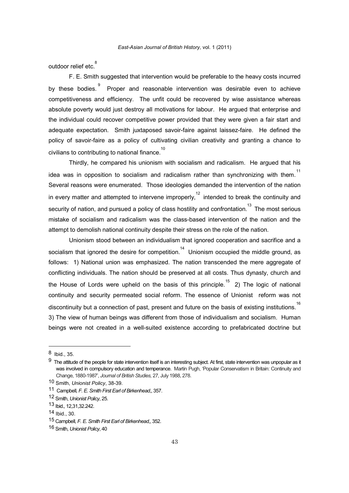outdoor relief etc.<sup>8</sup>

 F. E. Smith suggested that intervention would be preferable to the heavy costs incurred by these bodies.<sup>9</sup> Proper and reasonable intervention was desirable even to achieve competitiveness and efficiency. The unfit could be recovered by wise assistance whereas absolute poverty would just destroy all motivations for labour. He argued that enterprise and the individual could recover competitive power provided that they were given a fair start and adequate expectation. Smith juxtaposed savoir-faire against laissez-faire. He defined the policy of savoir-faire as a policy of cultivating civilian creativity and granting a chance to civilians to contributing to national finance.<sup>10</sup>

 Thirdly, he compared his unionism with socialism and radicalism. He argued that his idea was in opposition to socialism and radicalism rather than synchronizing with them.<sup>11</sup> Several reasons were enumerated. Those ideologies demanded the intervention of the nation in every matter and attempted to intervene improperly,<sup>12</sup> intended to break the continuity and security of nation, and pursued a policy of class hostility and confrontation.<sup>13</sup> The most serious mistake of socialism and radicalism was the class-based intervention of the nation and the attempt to demolish national continuity despite their stress on the role of the nation.

 Unionism stood between an individualism that ignored cooperation and sacrifice and a socialism that ignored the desire for competition.<sup>14</sup> Unionism occupied the middle ground, as follows: 1) National union was emphasized. The nation transcended the mere aggregate of conflicting individuals. The nation should be preserved at all costs. Thus dynasty, church and the House of Lords were upheld on the basis of this principle.<sup>15</sup> 2) The logic of national continuity and security permeated social reform. The essence of Unionist reform was not discontinuity but a connection of past, present and future on the basis of existing institutions.<sup>16</sup> 3) The view of human beings was different from those of individualism and socialism. Human beings were not created in a well-suited existence according to prefabricated doctrine but

<sup>8</sup> Ibid., 35.

 $9$  The attitude of the people for state intervention itself is an interesting subject. At first, state intervention was unpopular as it was involved in compulsory education and temperance. Martin Pugh, 'Popular Conservatism in Britain: Continuity and Change, 1880-1987', *Journal of British Studies,* 27, July 1988, 278.

<sup>10</sup> Smith, *Unionist Policy*, 38-39.

<sup>11</sup> Campbell*, F. E. Smith First Earl of Birkenhead*,, 357.

<sup>12</sup> Smith, *Unionist Policy*, 25.

<sup>13</sup> Ibid.*,* 12,31,32.242.

<sup>14</sup> Ibid., 30.

<sup>15</sup> Campbell*, F. E. Smith First Earl of Birkenhead*,, 352.

<sup>16</sup> Smith, *Unionist Policy*, 40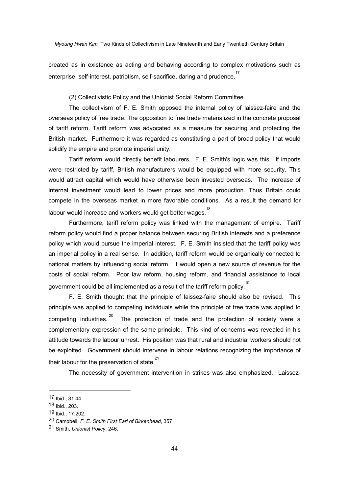created as in existence as acting and behaving according to complex motivations such as enterprise, self-interest, patriotism, self-sacrifice, daring and prudence.<sup>17</sup>

### (2) Collectivistic Policy and the Unionist Social Reform Committee

The collectivism of F. E. Smith opposed the internal policy of laissez-faire and the overseas policy of free trade. The opposition to free trade materialized in the concrete proposal of tariff reform. Tariff reform was advocated as a measure for securing and protecting the British market. Furthermore it was regarded as constituting a part of broad policy that would solidify the empire and promote imperial unity.

 Tariff reform would directly benefit labourers. F. E. Smith's logic was this. If imports were restricted by tariff, British manufacturers would be equipped with more security. This would attract capital which would have otherwise been invested overseas. The increase of internal investment would lead to lower prices and more production. Thus Britain could compete in the overseas market in more favorable conditions. As a result the demand for labour would increase and workers would get better wages.<sup>18</sup>

 Furthermore, tariff reform policy was linked with the management of empire. Tariff reform policy would find a proper balance between securing British interests and a preference policy which would pursue the imperial interest. F. E. Smith insisted that the tariff policy was an imperial policy in a real sense. In addition, tariff reform would be organically connected to national matters by influencing social reform. It would open a new source of revenue for the costs of social reform. Poor law reform, housing reform, and financial assistance to local government could be all implemented as a result of the tariff reform policy.<sup>19</sup>

 F. E. Smith thought that the principle of laissez-faire should also be revised. This principle was applied to competing individuals while the principle of free trade was applied to competing industries.<sup>20</sup> The protection of trade and the protection of society were a complementary expression of the same principle. This kind of concerns was revealed in his attitude towards the labour unrest. His position was that rural and industrial workers should not be exploited. Government should intervene in labour relations recognizing the importance of their labour for the preservation of state. $21$ 

The necessity of government intervention in strikes was also emphasized. Laissez-

<sup>17</sup> Ibid., 31,44.

<sup>18</sup> Ibid., 203.

<sup>19</sup> Ibid., 17,202.

<sup>20</sup> Campbell, *F. E. Smith First Earl of Birkenhead*, 357.

<sup>21</sup> Smith, *Unionist Policy*, 246.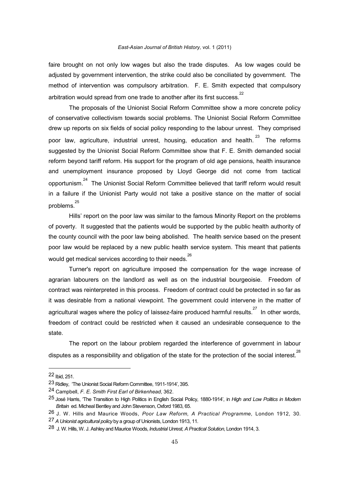faire brought on not only low wages but also the trade disputes. As low wages could be adjusted by government intervention, the strike could also be conciliated by government. The method of intervention was compulsory arbitration. F. E. Smith expected that compulsory arbitration would spread from one trade to another after its first success.<sup>22</sup>

 The proposals of the Unionist Social Reform Committee show a more concrete policy of conservative collectivism towards social problems. The Unionist Social Reform Committee drew up reports on six fields of social policy responding to the labour unrest. They comprised poor law, agriculture, industrial unrest, housing, education and health.<sup>23</sup> The reforms suggested by the Unionist Social Reform Committee show that F. E. Smith demanded social reform beyond tariff reform. His support for the program of old age pensions, health insurance and unemployment insurance proposed by Lloyd George did not come from tactical opportunism.<sup>24</sup> The Unionist Social Reform Committee believed that tariff reform would result in a failure if the Unionist Party would not take a positive stance on the matter of social problems. 25

 Hills' report on the poor law was similar to the famous Minority Report on the problems of poverty. It suggested that the patients would be supported by the public health authority of the county council with the poor law being abolished. The health service based on the present poor law would be replaced by a new public health service system. This meant that patients would get medical services according to their needs. 26

 Turner's report on agriculture imposed the compensation for the wage increase of agrarian labourers on the landlord as well as on the industrial bourgeoisie. Freedom of contract was reinterpreted in this process. Freedom of contract could be protected in so far as it was desirable from a national viewpoint. The government could intervene in the matter of agricultural wages where the policy of laissez-faire produced harmful results.<sup>27</sup> In other words, freedom of contract could be restricted when it caused an undesirable consequence to the state.

 The report on the labour problem regarded the interference of government in labour disputes as a responsibility and obligation of the state for the protection of the social interest.<sup>28</sup>

<sup>22</sup> Ibid, 251.

<sup>23</sup> Ridley, 'The Unionist Social Reform Committee, 1911-1914', 395.

<sup>24</sup> Campbell, *F. E. Smith First Earl of Birkenhead*, 362.

<sup>25</sup> José Harris, 'The Transition to High Politics in English Social Policy, 1880-1914', in *High and Low Politics in Modern Britain* ed. Micheal Bentley and John Stevenson, Oxford 1983, 65.

<sup>26</sup> J. W. Hills and Maurice Woods, *Poor Law Reform, A Practical Programme,* London 1912, 30. 27 *A Unionist agricultural policy* by a group of Unionists, London 1913, 11.

<sup>28</sup> J. W. Hills, W. J. Ashley and Maurice Woods, *Industrial Unrest, A Practical Solution*, London 1914, 3.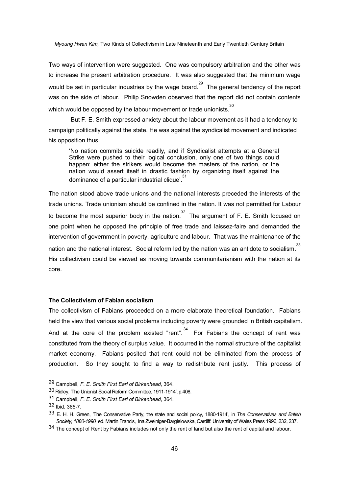*Myoung Hwan Kim,* Two Kinds of Collectivism in Late Nineteenth and Early Twentieth Century Britain

Two ways of intervention were suggested. One was compulsory arbitration and the other was to increase the present arbitration procedure. It was also suggested that the minimum wage would be set in particular industries by the wage board.<sup>29</sup> The general tendency of the report was on the side of labour. Philip Snowden observed that the report did not contain contents which would be opposed by the labour movement or trade unionists.<sup>30</sup>

 But F. E. Smith expressed anxiety about the labour movement as it had a tendency to campaign politically against the state. He was against the syndicalist movement and indicated his opposition thus.

'No nation commits suicide readily, and if Syndicalist attempts at a General Strike were pushed to their logical conclusion, only one of two things could happen: either the strikers would become the masters of the nation, or the nation would assert itself in drastic fashion by organizing itself against the dominance of a particular industrial clique'.<sup>31</sup>

The nation stood above trade unions and the national interests preceded the interests of the trade unions. Trade unionism should be confined in the nation. It was not permitted for Labour to become the most superior body in the nation.<sup>32</sup> The argument of F. E. Smith focused on one point when he opposed the principle of free trade and laissez-faire and demanded the intervention of government in poverty, agriculture and labour. That was the maintenance of the nation and the national interest. Social reform led by the nation was an antidote to socialism.<sup>33</sup> His collectivism could be viewed as moving towards communitarianism with the nation at its core.

### **The Collectivism of Fabian socialism**

The collectivism of Fabians proceeded on a more elaborate theoretical foundation. Fabians held the view that various social problems including poverty were grounded in British capitalism. And at the core of the problem existed "rent".  $34$  For Fabians the concept of rent was constituted from the theory of surplus value. It occurred in the normal structure of the capitalist market economy. Fabians posited that rent could not be eliminated from the process of production. So they sought to find a way to redistribute rent justly. This process of

<sup>29</sup> Campbell, *F. E. Smith First Earl of Birkenhead*, 364.

<sup>30</sup> Ridley, 'The Unionist Social Reform Committee, 1911-1914', p.408.

<sup>31</sup> Campbell, *F. E. Smith First Earl of Birkenhead*, 364.

<sup>32</sup> Ibid, 365-7.

<sup>33</sup> E. H. H. Green, 'The Conservative Party, the state and social policy, 1880-1914', in *The Conservatives and British Society, 1880-1990* ed. Martin Francis, Ina Zweiniger-Bargielowska, Cardiff: University of Wales Press 1996, 232, 237.

<sup>34</sup> The concept of Rent by Fabians includes not only the rent of land but also the rent of capital and labour.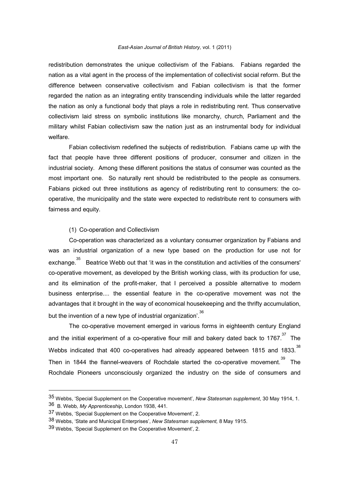#### *East-Asian Journal of British History,* vol. 1 (2011)

redistribution demonstrates the unique collectivism of the Fabians. Fabians regarded the nation as a vital agent in the process of the implementation of collectivist social reform. But the difference between conservative collectivism and Fabian collectivism is that the former regarded the nation as an integrating entity transcending individuals while the latter regarded the nation as only a functional body that plays a role in redistributing rent. Thus conservative collectivism laid stress on symbolic institutions like monarchy, church, Parliament and the military whilst Fabian collectivism saw the nation just as an instrumental body for individual welfare.

 Fabian collectivism redefined the subjects of redistribution. Fabians came up with the fact that people have three different positions of producer, consumer and citizen in the industrial society. Among these different positions the status of consumer was counted as the most important one. So naturally rent should be redistributed to the people as consumers. Fabians picked out three institutions as agency of redistributing rent to consumers: the cooperative, the municipality and the state were expected to redistribute rent to consumers with fairness and equity.

### (1) Co-operation and Collectivism

 Co-operation was characterized as a voluntary consumer organization by Fabians and was an industrial organization of a new type based on the production for use not for exchange.<sup>35</sup> Beatrice Webb out that 'it was in the constitution and activities of the consumers' co-operative movement, as developed by the British working class, with its production for use, and its elimination of the profit-maker, that I perceived a possible alternative to modern business enterprise.... the essential feature in the co-operative movement was not the advantages that it brought in the way of economical housekeeping and the thrifty accumulation, <sup>36</sup><br>but the invention of a new type of industrial organization'.

The co-operative movement emerged in various forms in eighteenth century England and the initial experiment of a co-operative flour mill and bakery dated back to 1767. $^{37}$  The Webbs indicated that 400 co-operatives had already appeared between 1815 and 1833. $^{38}$ Then in 1844 the flannel-weavers of Rochdale started the co-operative movement.<sup>39</sup> The Rochdale Pioneers unconsciously organized the industry on the side of consumers and

<sup>35</sup> Webbs, 'Special Supplement on the Cooperative movement', *New Statesma*n *supplement*, 30 May 1914, 1. 36 B. Webb*, My Apprenticeship*, London 1938, 441.

<sup>37</sup> Webbs, 'Special Supplement on the Cooperative Movement', 2.

<sup>38</sup> Webbs, 'State and Municipal Enterprises', *New Statesman supplement,* 8 May 1915.

<sup>39</sup> Webbs, 'Special Supplement on the Cooperative Movement', 2.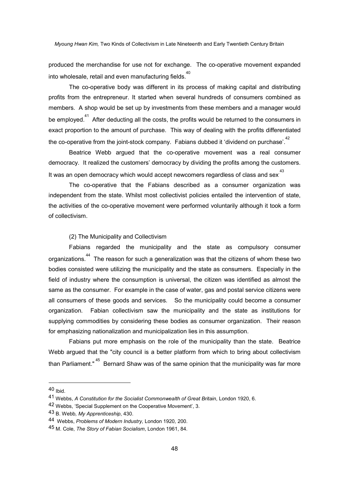*Myoung Hwan Kim,* Two Kinds of Collectivism in Late Nineteenth and Early Twentieth Century Britain

produced the merchandise for use not for exchange. The co-operative movement expanded into wholesale, retail and even manufacturing fields. 40

 The co-operative body was different in its process of making capital and distributing profits from the entrepreneur. It started when several hundreds of consumers combined as members. A shop would be set up by investments from these members and a manager would be employed.<sup>41</sup> After deducting all the costs, the profits would be returned to the consumers in exact proportion to the amount of purchase. This way of dealing with the profits differentiated the co-operative from the joint-stock company. Fabians dubbed it 'dividend on purchase'.<sup>42</sup>

 Beatrice Webb argued that the co-operative movement was a real consumer democracy. It realized the customers' democracy by dividing the profits among the customers. It was an open democracy which would accept newcomers regardless of class and sex<sup>43</sup>

 The co-operative that the Fabians described as a consumer organization was independent from the state. Whilst most collectivist policies entailed the intervention of state, the activities of the co-operative movement were performed voluntarily although it took a form of collectivism.

### (2) The Municipality and Collectivism

 Fabians regarded the municipality and the state as compulsory consumer organizations. 44 The reason for such a generalization was that the citizens of whom these two bodies consisted were utilizing the municipality and the state as consumers. Especially in the field of industry where the consumption is universal, the citizen was identified as almost the same as the consumer. For example in the case of water, gas and postal service citizens were all consumers of these goods and services. So the municipality could become a consumer organization. Fabian collectivism saw the municipality and the state as institutions for supplying commodities by considering these bodies as consumer organization. Their reason for emphasizing nationalization and municipalization lies in this assumption.

Fabians put more emphasis on the role of the municipality than the state. Beatrice Webb argued that the "city council is a better platform from which to bring about collectivism than Parliament."<sup>45</sup> Bernard Shaw was of the same opinion that the municipality was far more

<sup>40</sup> Ibid.

<sup>41</sup> Webbs, *A Constitution for the Socialist Commonwealth of Great Britain*, London 1920, 6.

<sup>42</sup> Webbs, 'Special Supplement on the Cooperative Movement', 3.

<sup>43</sup> B. Webb*, My Apprenticeship*, 430.

<sup>44</sup> Webbs, *Problems of Modern Industry,* London 1920*,* 200.

<sup>45</sup> M. Cole, *The Story of Fabian Socialism*, London 1961, 84.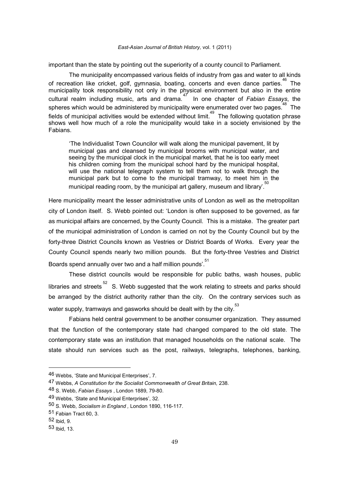#### *East-Asian Journal of British History,* vol. 1 (2011)

important than the state by pointing out the superiority of a county council to Parliament.

 The municipality encompassed various fields of industry from gas and water to all kinds of recreation like cricket, golf, gymnasia, boating, concerts and even dance parties.<sup>46</sup> The municipality took responsibility not only in the physical environment but also in the entire cultural realm including music, arts and drama.<sup>47</sup> In one chapter of *Fabian Essays*, the spheres which would be administered by municipality were enumerated over two pages.<sup>48</sup> The fields of municipal activities would be extended without limit.<sup>49</sup> The following quotation phrase shows well how much of a role the municipality would take in a society envisioned by the Fabians.

'The Individualist Town Councilor will walk along the municipal pavement, lit by municipal gas and cleansed by municipal brooms with municipal water, and seeing by the municipal clock in the municipal market, that he is too early meet his children coming from the municipal school hard by the municipal hospital. will use the national telegraph system to tell them not to walk through the municipal park but to come to the municipal tramway, to meet him in the municipal reading room, by the municipal art gallery, museum and library'.<sup>50</sup>

Here municipality meant the lesser administrative units of London as well as the metropolitan city of London itself. S. Webb pointed out: 'London is often supposed to be governed, as far as municipal affairs are concerned, by the County Council. This is a mistake. The greater part of the municipal administration of London is carried on not by the County Council but by the forty-three District Councils known as Vestries or District Boards of Works. Every year the County Council spends nearly two million pounds. But the forty-three Vestries and District Boards spend annually over two and a half million pounds'.<sup>51</sup>

These district councils would be responsible for public baths, wash houses, public libraries and streets<sup>52</sup> S. Webb suggested that the work relating to streets and parks should be arranged by the district authority rather than the city. On the contrary services such as water supply, tramways and gasworks should be dealt with by the city. 53

 Fabians held central government to be another consumer organization. They assumed that the function of the contemporary state had changed compared to the old state. The contemporary state was an institution that managed households on the national scale. The state should run services such as the post, railways, telegraphs, telephones, banking,

<sup>46</sup> Webbs, 'State and Municipal Enterprises', 7.

<sup>47</sup> Webbs, *A Constitution for the Socialist Commonwealth of Great Britain,* 238.

<sup>48</sup> S. Webb, *Fabian Essays* , London 1889, 79-80.

<sup>49</sup> Webbs, 'State and Municipal Enterprises', 32.

<sup>50</sup> S. Webb, *Socialism in England ,* London 1890, 116-117.

<sup>51</sup> Fabian Tract 60, 3.

 $52$  Ibid, 9.

<sup>53</sup> Ibid, 13.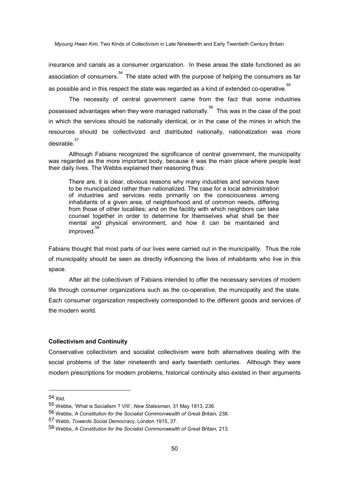*Myoung Hwan Kim,* Two Kinds of Collectivism in Late Nineteenth and Early Twentieth Century Britain

insurance and canals as a consumer organization. In these areas the state functioned as an association of consumers.<sup>54</sup> The state acted with the purpose of helping the consumers as far as possible and in this respect the state was regarded as a kind of extended co-operative. <sup>55</sup>

 The necessity of central government came from the fact that some industries possessed advantages when they were managed nationally.<sup>56</sup> This was in the case of the post in which the services should be nationally identical, or in the case of the mines in which the resources should be collectivized and distributed nationally, nationalization was more desirable. 57

 Although Fabians recognized the significance of central government, the municipality was regarded as the more important body, because it was the main place where people lead their daily lives. The Webbs explained their reasoning thus:

There are, it is clear, obvious reasons why many industries and services have to be municipalized rather than nationalized. The case for a local administration of industries and services rests primarily on the consciousness among inhabitants of a given area, of neighborhood and of common needs, differing from those of other localities; and on the facility with which neighbors can take counsel together in order to determine for themselves what shall be their mental and physical environment, and how it can be maintained and improved. 58

Fabians thought that most parts of our lives were carried out in the municipality. Thus the role of municipality should be seen as directly influencing the lives of inhabitants who live in this space.

 After all the collectivism of Fabians intended to offer the necessary services of modern life through consumer organizations such as the co-operative, the municipality and the state. Each consumer organization respectively corresponded to the different goods and services of the modern world.

# **Collectivism and Continuity**

Conservative collectivism and socialist collectivism were both alternatives dealing with the social problems of the later nineteenth and early twentieth centuries. Although they were modern prescriptions for modern problems, historical continuity also existed in their arguments

<sup>54</sup> Ibid.

<sup>55</sup> Webbs, 'What is Socialism ? VIII', *New Statesman,* 31 May 1913, 236.

<sup>56</sup> Webbs, *A Constitution for the Socialist Commonwealth of Great Britain,* 238.

<sup>57</sup> Webb, *Towards Social Democrac*y, London 1915, 37.

<sup>58</sup> Webbs, *A Constitution for the Socialist Commonwealth of Great Britain,* 213.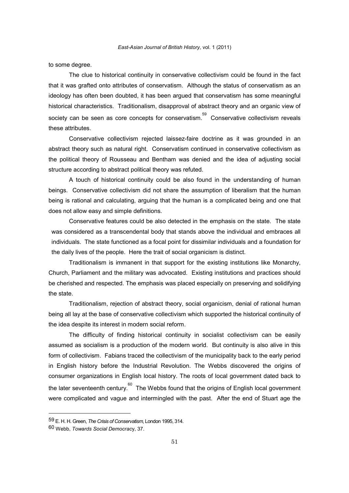to some degree.

 The clue to historical continuity in conservative collectivism could be found in the fact that it was grafted onto attributes of conservatism. Although the status of conservatism as an ideology has often been doubted, it has been argued that conservatism has some meaningful historical characteristics. Traditionalism, disapproval of abstract theory and an organic view of society can be seen as core concepts for conservatism. <sup>59</sup> Conservative collectivism reveals these attributes.

 Conservative collectivism rejected laissez-faire doctrine as it was grounded in an abstract theory such as natural right. Conservatism continued in conservative collectivism as the political theory of Rousseau and Bentham was denied and the idea of adjusting social structure according to abstract political theory was refuted.

 A touch of historical continuity could be also found in the understanding of human beings. Conservative collectivism did not share the assumption of liberalism that the human being is rational and calculating, arguing that the human is a complicated being and one that does not allow easy and simple definitions.

 Conservative features could be also detected in the emphasis on the state. The state was considered as a transcendental body that stands above the individual and embraces all individuals. The state functioned as a focal point for dissimilar individuals and a foundation for the daily lives of the people. Here the trait of social organicism is distinct.

 Traditionalism is immanent in that support for the existing institutions like Monarchy, Church, Parliament and the military was advocated. Existing institutions and practices should be cherished and respected. The emphasis was placed especially on preserving and solidifying the state.

Traditionalism, rejection of abstract theory, social organicism, denial of rational human being all lay at the base of conservative collectivism which supported the historical continuity of the idea despite its interest in modern social reform.

 The difficulty of finding historical continuity in socialist collectivism can be easily assumed as socialism is a production of the modern world. But continuity is also alive in this form of collectivism. Fabians traced the collectivism of the municipality back to the early period in English history before the Industrial Revolution. The Webbs discovered the origins of consumer organizations in English local history. The roots of local government dated back to the later seventeenth century.<sup>60</sup> The Webbs found that the origins of English local government were complicated and vague and intermingled with the past. After the end of Stuart age the

<sup>59</sup> E. H. H. Green, *The Crisis of Conservatism*, London 1995, 314.

<sup>60</sup> Webb, *Towards Social Democrac*y, 37.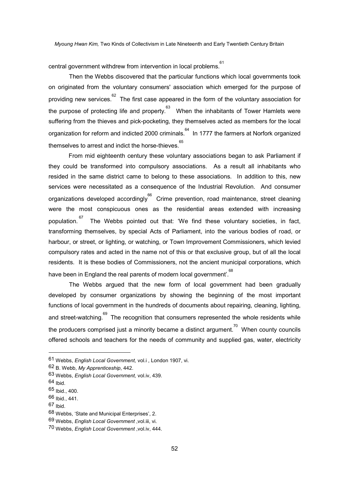*Myoung Hwan Kim,* Two Kinds of Collectivism in Late Nineteenth and Early Twentieth Century Britain

<sup>61</sup><br>central government withdrew from intervention in local problems.

 Then the Webbs discovered that the particular functions which local governments took on originated from the voluntary consumers' association which emerged for the purpose of providing new services.  $^{62}$  The first case appeared in the form of the voluntary association for the purpose of protecting life and property.<sup>63</sup> When the inhabitants of Tower Hamlets were suffering from the thieves and pick-pocketing, they themselves acted as members for the local organization for reform and indicted 2000 criminals. <sup>64</sup> In 1777 the farmers at Norfork organized themselves to arrest and indict the horse-thieves. 65

From mid eighteenth century these voluntary associations began to ask Parliament if they could be transformed into compulsory associations. As a result all inhabitants who resided in the same district came to belong to these associations. In addition to this, new services were necessitated as a consequence of the Industrial Revolution. And consumer organizations developed accordingly<sup>66</sup> Crime prevention, road maintenance, street cleaning were the most conspicuous ones as the residential areas extended with increasing population. <sup>67</sup> The Webbs pointed out that: 'We find these voluntary societies, in fact, transforming themselves, by special Acts of Parliament, into the various bodies of road, or harbour, or street, or lighting, or watching, or Town Improvement Commissioners, which levied compulsory rates and acted in the name not of this or that exclusive group, but of all the local residents. It is these bodies of Commissioners, not the ancient municipal corporations, which have been in England the real parents of modern local government'.<sup>68</sup>

The Webbs argued that the new form of local government had been gradually developed by consumer organizations by showing the beginning of the most important functions of local government in the hundreds of documents about repairing, cleaning, lighting, and street-watching.<sup>69</sup> The recognition that consumers represented the whole residents while the producers comprised just a minority became a distinct argument.<sup>70</sup> When county councils offered schools and teachers for the needs of community and supplied gas, water, electricity

-

 $67$  Ibid.

<sup>61</sup> Webbs, *English Local Government,* vol.i , London 1907, vi.

<sup>62</sup> B. Webb, *My Apprenticeship*, 442.

<sup>63</sup> Webbs, *English Local Government,* vol.iv, 439.

<sup>64</sup> Ibid.

<sup>65</sup> Ibid., 400.

<sup>66</sup> Ibid., 441.

<sup>68</sup> Webbs, 'State and Municipal Enterprises', 2.

<sup>69</sup> Webbs, *English Local Government* ,vol.iii, vi.

<sup>70</sup> Webbs, *English Local Government* ,vol.iv, 444.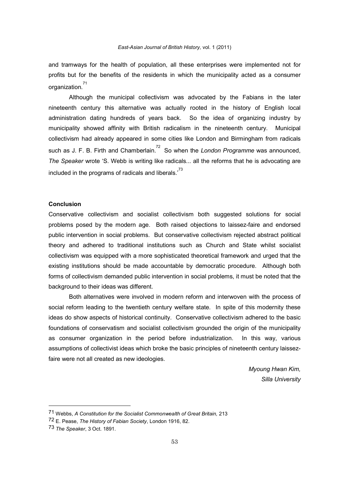and tramways for the health of population, all these enterprises were implemented not for profits but for the benefits of the residents in which the municipality acted as a consumer organization.<sup>71</sup>

 Although the municipal collectivism was advocated by the Fabians in the later nineteenth century this alternative was actually rooted in the history of English local administration dating hundreds of years back. So the idea of organizing industry by municipality showed affinity with British radicalism in the nineteenth century. Municipal collectivism had already appeared in some cities like London and Birmingham from radicals such as J. F. B. Firth and Chamberlain. 72 So when the *London Programme* was announced, *The Speaker* wrote 'S. Webb is writing like radicals... all the reforms that he is advocating are included in the programs of radicals and liberals.<sup>73</sup>

# **Conclusion**

Conservative collectivism and socialist collectivism both suggested solutions for social problems posed by the modern age. Both raised objections to laissez-faire and endorsed public intervention in social problems. But conservative collectivism rejected abstract political theory and adhered to traditional institutions such as Church and State whilst socialist collectivism was equipped with a more sophisticated theoretical framework and urged that the existing institutions should be made accountable by democratic procedure. Although both forms of collectivism demanded public intervention in social problems, it must be noted that the background to their ideas was different.

 Both alternatives were involved in modern reform and interwoven with the process of social reform leading to the twentieth century welfare state. In spite of this modernity these ideas do show aspects of historical continuity. Conservative collectivism adhered to the basic foundations of conservatism and socialist collectivism grounded the origin of the municipality as consumer organization in the period before industrialization. In this way, various assumptions of collectivist ideas which broke the basic principles of nineteenth century laissezfaire were not all created as new ideologies.

> *Myoung Hwan Kim, Silla University*

<sup>71</sup> Webbs, *A Constitution for the Socialist Commonwealth of Great Britain,* 213

<sup>72</sup> E. Pease, *The History of Fabian Society*, London 1916, 82.

<sup>73</sup> *The Speaker*, 3 Oct. 1891.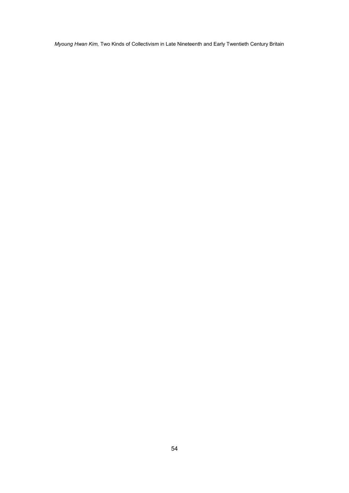*Myoung Hwan Kim,* Two Kinds of Collectivism in Late Nineteenth and Early Twentieth Century Britain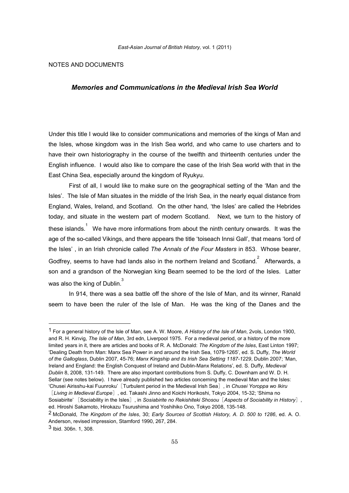# NOTES AND DOCUMENTS

# *Memories and Communications in the Medieval Irish Sea World*

Under this title I would like to consider communications and memories of the kings of Man and the Isles, whose kingdom was in the Irish Sea world, and who came to use charters and to have their own historiography in the course of the twelfth and thirteenth centuries under the English influence. I would also like to compare the case of the Irish Sea world with that in the East China Sea, especially around the kingdom of Ryukyu.

First of all, I would like to make sure on the geographical setting of the 'Man and the Isles'. The Isle of Man situates in the middle of the Irish Sea, in the nearly equal distance from England, Wales, Ireland, and Scotland. On the other hand, 'the Isles' are called the Hebrides today, and situate in the western part of modern Scotland. Next, we turn to the history of these islands.<sup>1</sup> We have more informations from about the ninth century onwards. It was the age of the so-called Vikings, and there appears the title 'toiseach Innsi Gall', that means 'lord of the Isles' , in an Irish chronicle called *The Annals of the Four Masters* in 853. Whose bearer, Godfrey, seems to have had lands also in the northern Ireland and Scotland.  $2^2$  Afterwards, a son and a grandson of the Norwegian king Bearn seemed to be the lord of the Isles. Latter was also the king of Dublin.<sup>3</sup>

In 914, there was a sea battle off the shore of the Isle of Man, and its winner, Ranald seem to have been the ruler of the Isle of Man. He was the king of the Danes and the

<sup>1</sup> For a general history of the Isle of Man, see A. W. Moore, *A History of the Isle of Man*, 2vols, London 1900, and R. H. Kinvig, *The Isle of Man*, 3rd edn, Liverpool 1975. For a medieval period, or a history of the more limited years in it, there are articles and books of R. A. McDonald: *The Kingdom of the Isles*, East Linton 1997; 'Dealing Death from Man: Manx Sea Power in and around the Irish Sea, 1079-1265', ed. S. Duffy, *The World of the Galloglass*, Dublin 2007, 45-76; *Manx Kingship and its Irish Sea Setting 1187-1229*, Dublin 2007; 'Man, Ireland and England: the English Conquest of Ireland and Dublin-Manx Relations', ed. S. Duffy, *Medieval Dublin* 8, 2008, 131-149. There are also important contributions from S. Duffy, C. Downham and W. D. H. Sellar (see notes below). I have already published two articles concerning the medieval Man and the Isles: 'Chusei Airisshu-kai Fuunroku'[Turbulent period in the Medieval Irish Sea], in *Chusei Yoroppa wo Ikiru*

<sup>[</sup>*Living in Medieval Europe*], ed. Takashi Jinno and Koichi Horikoshi, Tokyo 2004, 15-32; 'Shima no Sosiabirite' [Sociability in the Isles], in *Sosiabirite no Rekishiteki Shosou*[*Aspects of Sociability in History*], ed. Hiroshi Sakamoto, Hirokazu Tsurushima and Yoshihiko Ono, Tokyo 2008, 135-148. 2 McDonald, *The Kingdom of the Isles*, 30; *Early Sources of Scottish History, A. D. 500 to 1286*, ed. A. O.

Anderson, revised impression, Stamford 1990, 267, 284.

<sup>3</sup> Ibid. 306n. 1, 308.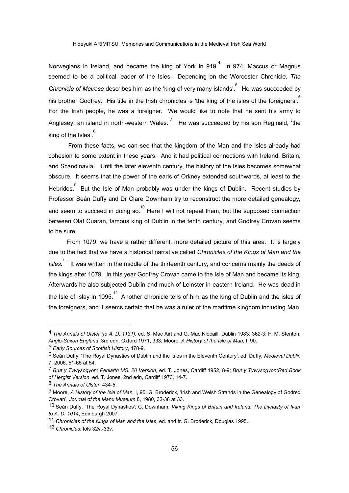Norwegians in Ireland, and became the king of York in 919. $4$  In 974, Maccus or Magnus seemed to be a political leader of the Isles. Depending on the Worcester Chronicle, *The Chronicle of Melrose* describes him as the 'king of very many islands'. 5 He was succeeded by his brother Godfrey. His title in the Irish chronicles is 'the king of the isles of the foreigners'. For the Irish people, he was a foreigner. We would like to note that he sent his army to Anglesey, an island in north-western Wales.<sup>7</sup> He was succeeded by his son Reginald, 'the king of the Isles'. $\overset{8}{\cdot}$ 

 From these facts, we can see that the kingdom of the Man and the Isles already had cohesion to some extent in these years. And it had political connections with Ireland, Britain, and Scandinavia. Until the later eleventh century, the history of the Isles becomes somewhat obscure. It seems that the power of the earls of Orkney extended southwards, at least to the Hebrides. But the Isle of Man probably was under the kings of Dublin. Recent studies by Professor Seán Duffy and Dr Clare Downham try to reconstruct the more detailed genealogy, and seem to succeed in doing so.<sup>10</sup> Here I will not repeat them, but the supposed connection between Olaf Cuarán, famous king of Dublin in the tenth century, and Godfrey Crovan seems to be sure.

From 1079, we have a rather different, more detailed picture of this area. It is largely due to the fact that we have a historical narrative called *Chronicles of the Kings of Man and the Isles.* 11 It was written in the middle of the thirteenth century, and concerns mainly the deeds of the kings after 1079. In this year Godfrey Crovan came to the Isle of Man and became its king. Afterwards he also subjected Dublin and much of Leinster in eastern Ireland. He was dead in the Isle of Islay in 1095.<sup>12</sup> Another chronicle tells of him as the king of Dublin and the isles of the foreigners, and it seems certain that he was a ruler of the maritime kingdom including Man,

<sup>4</sup> *The Annals of Ulster (to A. D. 1131)*, ed. S. Mac Airt and G. Mac Niocaill, Dublin 1983, 362-3; F. M. Stenton, *Anglo-Saxon England*, 3rd edn, Oxford 1971, 333; Moore, *A History of the Isle of Man*, I, 90.

<sup>5</sup> *Early Sources of Scottish History*, 478-9.

<sup>6</sup> Seán Duffy, 'The Royal Dynasties of Dublin and the Isles in the Eleventh Century', ed. Duffy, *Medieval Dublin* 7, 2006, 51-65 at 54.

<sup>7</sup> *Brut y Tywysogyon: Peniarth MS. 20 Version*, ed. T. Jones, Cardiff 1952, 8-9; *Brut y Tywysogyon:Red Book of Hergist Version*, ed. T. Jones, 2nd edn, Cardiff 1973, 14-7.

<sup>8</sup> *The Annals of Ulster*, 434-5.

<sup>9</sup> Moore, *A History of the Isle of Man*, I, 95; G. Broderick, 'Irish and Welsh Strands in the Genealogy of Godred Crovan', *Journal of the Manx Museum* 8, 1980, 32-38 at 33.

<sup>10</sup> Seán Duffy, 'The Royal Dynasties'; C. Downham, *Viking Kings of Britain and Ireland: The Dynasty of Ivarr to A. D. 1014*, Edinburgh 2007.

<sup>11</sup> *Chronicles of the Kings of Man and the Isles*, ed. and tr. G. Broderick, Douglas 1995.

<sup>12</sup> *Chronicles*, fols 32v.-33v.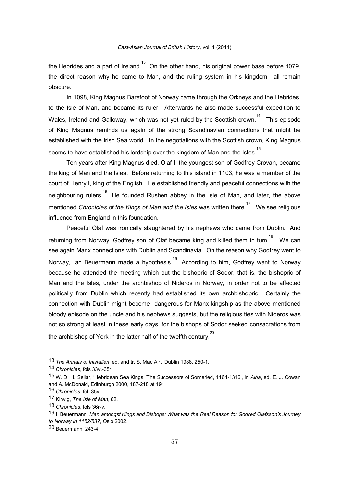the Hebrides and a part of Ireland.<sup>13</sup> On the other hand, his original power base before 1079, the direct reason why he came to Man, and the ruling system in his kingdom―all remain obscure.

In 1098, King Magnus Barefoot of Norway came through the Orkneys and the Hebrides, to the Isle of Man, and became its ruler. Afterwards he also made successful expedition to Wales, Ireland and Galloway, which was not yet ruled by the Scottish crown.<sup>14</sup> This episode of King Magnus reminds us again of the strong Scandinavian connections that might be established with the Irish Sea world. In the negotiations with the Scottish crown, King Magnus seems to have established his lordship over the kingdom of Man and the Isles.<sup>15</sup>

Ten years after King Magnus died, Olaf I, the youngest son of Godfrey Crovan, became the king of Man and the Isles. Before returning to this island in 1103, he was a member of the court of Henry I, king of the English. He established friendly and peaceful connections with the neighbouring rulers.<sup>16</sup> He founded Rushen abbey in the Isle of Man, and later, the above mentioned *Chronicles of the Kings of Man and the Isles* was written there. 17 We see religious influence from England in this foundation.

Peaceful Olaf was ironically slaughtered by his nephews who came from Dublin. And returning from Norway, Godfrey son of Olaf became king and killed them in turn.<sup>18</sup> We can see again Manx connections with Dublin and Scandinavia. On the reason why Godfrey went to Norway, Ian Beuermann made a hypothesis.<sup>19</sup> According to him, Godfrey went to Norway because he attended the meeting which put the bishopric of Sodor, that is, the bishopric of Man and the Isles, under the archbishop of Nideros in Norway, in order not to be affected politically from Dublin which recently had established its own archbishopric. Certainly the connection with Dublin might become dangerous for Manx kingship as the above mentioned bloody episode on the uncle and his nephews suggests, but the religious ties with Nideros was not so strong at least in these early days, for the bishops of Sodor seeked consacrations from the archbishop of York in the latter half of the twelfth century.<sup>20</sup>

<sup>13</sup> *The Annals of Inisfallen*, ed. and tr. S. Mac Airt, Dublin 1988, 250-1.

<sup>14</sup> *Chronicles*, fols 33v.-35r.

<sup>15</sup> W. D. H. Sellar, 'Hebridean Sea Kings: The Successors of Somerled, 1164-1316', in *Alba*, ed. E. J. Cowan and A. McDonald, Edinburgh 2000, 187-218 at 191.

<sup>16</sup> *Chronicles*, fol. 35v.

<sup>17</sup> Kinvig, *The Isle of Man*, 62.

<sup>18</sup> *Chronicles*, fols 36r-v.

<sup>19</sup> I. Beuermann, *Man amongst Kings and Bishops: What was the Real Reason for Godred Olafsson's Journey to Norway in 1152/53?*, Oslo 2002.

<sup>20</sup> Beuermann, 243-4.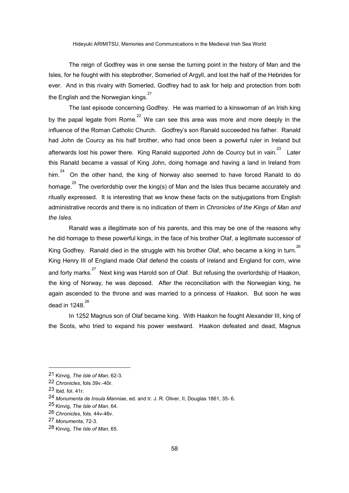Hideyuki ARIMITSU, Memories and Communications in the Medieval Irish Sea World

The reign of Godfrey was in one sense the turning point in the history of Man and the Isles, for he fought with his stepbrother, Somerled of Argyll, and lost the half of the Hebrides for ever. And in this rivalry with Somerled, Godfrey had to ask for help and protection from both the English and the Norwegian kings.<sup>21</sup>

The last episode concerning Godfrey. He was married to a kinswoman of an Irish king by the papal legate from Rome. $2^2$  We can see this area was more and more deeply in the influence of the Roman Catholic Church. Godfrey's son Ranald succeeded his father. Ranald had John de Courcy as his half brother, who had once been a powerful ruler in Ireland but afterwards lost his power there. King Ranald supported John de Courcy but in vain.<sup>23</sup> Later this Ranald became a vassal of King John, doing homage and having a land in Ireland from him.<sup>24</sup> On the other hand, the king of Norway also seemed to have forced Ranald to do homage.<sup>25</sup> The overlordship over the king(s) of Man and the Isles thus became accurately and ritually expressed. It is interesting that we know these facts on the subjugations from English administrative records and there is no indication of them in *Chronicles of the Kings of Man and the Isles*.

Ranald was a illegitimate son of his parents, and this may be one of the reasons why he did homage to these powerful kings, in the face of his brother Olaf, a legitimate successor of King Godfrey. Ranald died in the struggle with his brother Olaf, who became a king in turn.<sup>26</sup> King Henry III of England made Olaf defend the coasts of Ireland and England for corn, wine and forty marks.<sup>27</sup> Next king was Harold son of Olaf. But refusing the overlordship of Haakon, the king of Norway, he was deposed. After the reconciliation with the Norwegian king, he again ascended to the throne and was married to a princess of Haakon. But soon he was dead in 1248. $^{28}$ 

In 1252 Magnus son of Olaf became king. With Haakon he fought Alexander III, king of the Scots, who tried to expand his power westward. Haakon defeated and dead, Magnus

<sup>21</sup> Kinvig, *The Isle of Man*, 62-3.

<sup>22</sup> *Chronicles*, fols 39v.-40r.

<sup>23</sup> Ibid. fol. 41r.

<sup>24</sup> *Monumenta de Insula Manniae*, ed. and tr. J. R. Oliver, II, Douglas 1861, 35- 6.

<sup>25</sup> Kinvig, *The Isle of Man*, 64.

<sup>26</sup> *Chronicles*, fols. 44v-46v.

<sup>27</sup> *Monumenta*, 72-3.

<sup>28</sup> Kinvig, *The Isle of Man*, 65.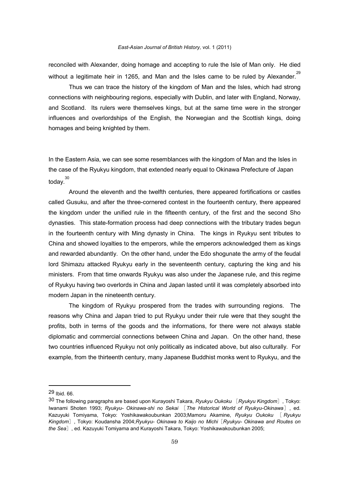#### *East-Asian Journal of British History,* vol. 1 (2011)

reconciled with Alexander, doing homage and accepting to rule the Isle of Man only. He died without a legitimate heir in 1265, and Man and the Isles came to be ruled by Alexander.<sup>29</sup>

Thus we can trace the history of the kingdom of Man and the Isles, which had strong connections with neighbouring regions, especially with Dublin, and later with England, Norway, and Scotland. Its rulers were themselves kings, but at the same time were in the stronger influences and overlordships of the English, the Norwegian and the Scottish kings, doing homages and being knighted by them.

In the Eastern Asia, we can see some resemblances with the kingdom of Man and the Isles in the case of the Ryukyu kingdom, that extended nearly equal to Okinawa Prefecture of Japan today. 30

Around the eleventh and the twelfth centuries, there appeared fortifications or castles called Gusuku, and after the three-cornered contest in the fourteenth century, there appeared the kingdom under the unified rule in the fifteenth century, of the first and the second Sho dynasties. This state-formation process had deep connections with the tributary trades begun in the fourteenth century with Ming dynasty in China. The kings in Ryukyu sent tributes to China and showed loyalties to the emperors, while the emperors acknowledged them as kings and rewarded abundantly. On the other hand, under the Edo shogunate the army of the feudal lord Shimazu attacked Ryukyu early in the seventeenth century, capturing the king and his ministers. From that time onwards Ryukyu was also under the Japanese rule, and this regime of Ryukyu having two overlords in China and Japan lasted until it was completely absorbed into modern Japan in the nineteenth century.

The kingdom of Ryukyu prospered from the trades with surrounding regions. The reasons why China and Japan tried to put Ryukyu under their rule were that they sought the profits, both in terms of the goods and the informations, for there were not always stable diplomatic and commercial connections between China and Japan. On the other hand, these two countries influenced Ryukyu not only politically as indicated above, but also culturally. For example, from the thirteenth century, many Japanese Buddhist monks went to Ryukyu, and the

<sup>29</sup> Ibid. 66.

<sup>30</sup> The following paragraphs are based upon Kurayoshi Takara, *Ryukyu Oukoku* [*Ryukyu Kingdom*], Tokyo: Iwanami Shoten 1993; *Ryukyu- Okinawa-shi no Sekai* [*The Historical World of Ryukyu-Okinawa*], ed. Kazuyuki Tomiyama, Tokyo: Yoshikawakoubunkan 2003;Mamoru Akamine, *Ryukyu Oukoku* [ *Ryukyu Kingdom*], Tokyo: Koudansha 2004;*Ryukyu- Okinawa to Kaijo no Michi*[*Ryukyu- Okinawa and Routes on the Sea*], ed. Kazuyuki Tomiyama and Kurayoshi Takara, Tokyo: Yoshikawakoubunkan 2005;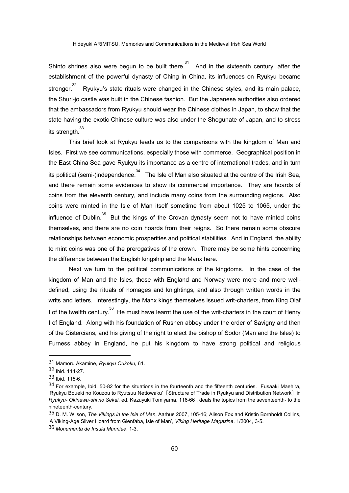Shinto shrines also were begun to be built there.<sup>31</sup> And in the sixteenth century, after the establishment of the powerful dynasty of Ching in China, its influences on Ryukyu became stronger.<sup>32</sup> Ryukyu's state rituals were changed in the Chinese styles, and its main palace, the Shuri-jo castle was built in the Chinese fashion. But the Japanese authorities also ordered that the ambassadors from Ryukyu should wear the Chinese clothes in Japan, to show that the state having the exotic Chinese culture was also under the Shogunate of Japan, and to stress <sup>33</sup><br>its strength.

This brief look at Ryukyu leads us to the comparisons with the kingdom of Man and Isles. First we see communications, especially those with commerce. Geographical position in the East China Sea gave Ryukyu its importance as a centre of international trades, and in turn its political (semi-)independence.<sup>34</sup> The Isle of Man also situated at the centre of the Irish Sea, and there remain some evidences to show its commercial importance. They are hoards of coins from the eleventh century, and include many coins from the surrounding regions. Also coins were minted in the Isle of Man itself sometime from about 1025 to 1065, under the influence of Dublin.<sup>35</sup> But the kings of the Crovan dynasty seem not to have minted coins themselves, and there are no coin hoards from their reigns. So there remain some obscure relationships between economic prosperities and political stabilities. And in England, the ability to mint coins was one of the prerogatives of the crown. There may be some hints concerning the difference between the English kingship and the Manx here.

Next we turn to the political communications of the kingdoms. In the case of the kingdom of Man and the Isles, those with England and Norway were more and more welldefined, using the rituals of homages and knightings, and also through written words in the writs and letters. Interestingly, the Manx kings themselves issued writ-charters, from King Olaf I of the twelfth century.<sup>36</sup> He must have learnt the use of the writ-charters in the court of Henry I of England. Along with his foundation of Rushen abbey under the order of Savigny and then of the Cistercians, and his giving of the right to elect the bishop of Sodor (Man and the Isles) to Furness abbey in England, he put his kingdom to have strong political and religious

<sup>31</sup> Mamoru Akamine, *Ryukyu Oukoku*, 61.

<sup>32</sup> Ibid. 114-27.

<sup>33</sup> Ibid. 115-6.

<sup>34</sup> For example, Ibid. 50-82 for the situations in the fourteenth and the fifteenth centuries. Fusaaki Maehira, 'Ryukyu Boueki no Kouzou to Ryutsuu Nettowaku' [Structure of Trade in Ryukyu and Distribution Network] in *Ryukyu- Okinawa-shi no Sekai*, ed. Kazuyuki Tomiyama, 116-66 , deals the topics from the seventeenth- to the nineteenth-century.

<sup>35</sup> D. M. Wilson, *The Vikings in the Isle of Man*, Aarhus 2007, 105-16; Alison Fox and Kristin Bornholdt Collins, 'A Viking-Age Silver Hoard from Glenfaba, Isle of Man', *Viking Heritage Magazine*, 1/2004, 3-5.

<sup>36</sup> *Monumenta de Insula Manniae*, 1-3.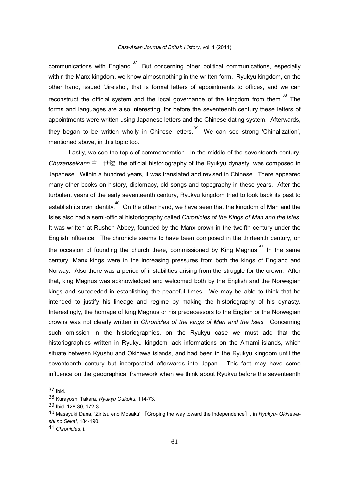### *East-Asian Journal of British History,* vol. 1 (2011)

communications with England.<sup>37</sup> But concerning other political communications, especially within the Manx kingdom, we know almost nothing in the written form. Ryukyu kingdom, on the other hand, issued 'Jireisho', that is formal letters of appointments to offices, and we can reconstruct the official system and the local governance of the kingdom from them.<sup>38</sup> The forms and languages are also interesting, for before the seventeenth century these letters of appointments were written using Japanese letters and the Chinese dating system. Afterwards, they began to be written wholly in Chinese letters. 39 We can see strong 'Chinalization', mentioned above, in this topic too.

Lastly, we see the topic of commemoration. In the middle of the seventeenth century, *Chuzanseikann* 中山世鑑, the official historiography of the Ryukyu dynasty, was composed in Japanese. Within a hundred years, it was translated and revised in Chinese. There appeared many other books on history, diplomacy, old songs and topography in these years. After the turbulent years of the early seventeenth century, Ryukyu kingdom tried to look back its past to establish its own identity.<sup>40</sup> On the other hand, we have seen that the kingdom of Man and the Isles also had a semi-official historiography called *Chronicles of the Kings of Man and the Isles*. It was written at Rushen Abbey, founded by the Manx crown in the twelfth century under the English influence. The chronicle seems to have been composed in the thirteenth century, on the occasion of founding the church there, commissioned by King Magnus.<sup>41</sup> In the same century, Manx kings were in the increasing pressures from both the kings of England and Norway. Also there was a period of instabilities arising from the struggle for the crown. After that, king Magnus was acknowledged and welcomed both by the English and the Norwegian kings and succeeded in establishing the peaceful times. We may be able to think that he intended to justify his lineage and regime by making the historiography of his dynasty. Interestingly, the homage of king Magnus or his predecessors to the English or the Norwegian crowns was not clearly written in *Chronicles of the kings of Man and the Isles*. Concerning such omission in the historiographies, on the Ryukyu case we must add that the historiographies written in Ryukyu kingdom lack informations on the Amami islands, which situate between Kyushu and Okinawa islands, and had been in the Ryukyu kingdom until the seventeenth century but incorporated afterwards into Japan. This fact may have some influence on the geographical framework when we think about Ryukyu before the seventeenth

<sup>37</sup> Ibid.

<sup>38</sup> Kurayoshi Takara, *Ryukyu Oukoku*, 114-73.

<sup>39</sup> Ibid. 128-30, 172-3.

<sup>40</sup> Masayuki Dana, 'Ziritsu eno Mosaku' [Groping the way toward the Independence], in *Ryukyu- Okinawashi no Sekai*, 184-190.

<sup>41</sup> *Chronicles*, i.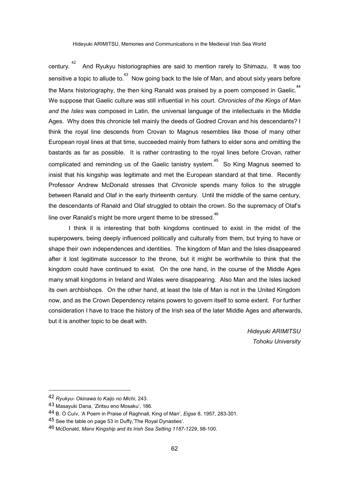Hideyuki ARIMITSU, Memories and Communications in the Medieval Irish Sea World

century.<sup>42</sup> And Ryukyu historiographies are said to mention rarely to Shimazu. It was too sensitive a topic to allude to.<sup>43</sup> Now going back to the Isle of Man, and about sixty years before the Manx historiography, the then king Ranald was praised by a poem composed in Gaelic.<sup>44</sup> We suppose that Gaelic culture was still influential in his court. *Chronicles of the Kings of Man and the Isles* was composed in Latin, the universal language of the intellectuals in the Middle Ages. Why does this chronicle tell mainly the deeds of Godred Crovan and his descendants? I think the royal line descends from Crovan to Magnus resembles like those of many other European royal lines at that time, succeeded mainly from fathers to elder sons and omitting the bastards as far as possible. It is rather contrasting to the royal lines before Crovan, rather complicated and reminding us of the Gaelic tanistry system.<sup>45</sup> So King Magnus seemed to insist that his kingship was legitimate and met the European standard at that time. Recently Professor Andrew McDonald stresses that *Chronicle* spends many folios to the struggle between Ranald and Olaf in the early thirteenth century. Until the middle of the same century, the descendants of Ranald and Olaf struggled to obtain the crown. So the supremacy of Olaf's <sup>46</sup><br>line over Ranald's might be more urgent theme to be stressed.<sup>46</sup>

I think it is interesting that both kingdoms continued to exist in the midst of the superpowers, being deeply influenced politically and culturally from them, but trying to have or shape their own independences and identities. The kingdom of Man and the Isles disappeared after it lost legitimate successor to the throne, but it might be worthwhile to think that the kingdom could have continued to exist. On the one hand, in the course of the Middle Ages many small kingdoms in Ireland and Wales were disappearing. Also Man and the Isles lacked its own archbishops. On the other hand, at least the Isle of Man is not in the United Kingdom now, and as the Crown Dependency retains powers to govern itself to some extent. For further consideration I have to trace the history of the Irish sea of the later Middle Ages and afterwards, but it is another topic to be dealt with.

> *Hideyuki ARIMITSU Tohoku University*

<sup>42</sup> *Ryukyu- Okinawa to Kaijo no Michi*, 243.

<sup>43</sup> Masayuki Dana, 'Ziritsu eno Mosaku', 186.

<sup>44</sup> B. Ó Cuív, 'A Poem in Praise of Raghnall, King of Man', *Eigse* 8, 1957, 283-301.

<sup>45</sup> See the table on page 53 in Duffy,'The Royal Dynasties'.

<sup>46</sup> McDonald, *Manx Kingship and its Irish Sea Setting 1187-1229*, 98-100.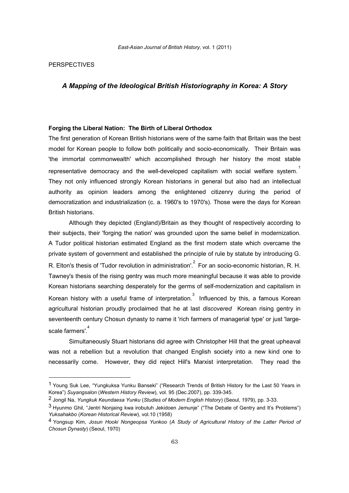# **PERSPECTIVES**

-

# *A Mapping of the Ideological British Historiography in Korea: A Story*

#### **Forging the Liberal Nation: The Birth of Liberal Orthodox**

The first generation of Korean British historians were of the same faith that Britain was the best model for Korean people to follow both politically and socio-economically. Their Britain was 'the immortal commonwealth' which accomplished through her history the most stable representative democracy and the well-developed capitalism with social welfare system.<sup>1</sup> They not only influenced strongly Korean historians in general but also had an intellectual authority as opinion leaders among the enlightened citizenry during the period of democratization and industrialization (c. a. 1960's to 1970's). Those were the days for Korean British historians.

Although they depicted (England)/Britain as they thought of respectively according to their subjects, their 'forging the nation' was grounded upon the same belief in modernization. A Tudor political historian estimated England as the first modern state which overcame the private system of government and established the principle of rule by statute by introducing G. R. Elton's thesis of 'Tudor revolution in administration'.<sup>2</sup> For an socio-economic historian, R. H. Tawney's thesis of the rising gentry was much more meaningful because it was able to provide Korean historians searching desperately for the germs of self-modernization and capitalism in Korean history with a useful frame of interpretation.<sup>3</sup> Influenced by this, a famous Korean agricultural historian proudly proclaimed that he at last *discovered* Korean rising gentry in seventeenth century Chosun dynasty to name it 'rich farmers of managerial type' or just 'largescale farmers'. 4

 Simultaneously Stuart historians did agree with Christopher Hill that the great upheaval was not a rebellion but a revolution that changed English society into a new kind one to necessarily come. However, they did reject Hill's Marxist interpretation. They read the

<sup>1</sup> Young Suk Lee, "Yungkuksa Yunku Banseki" ("Research Trends of British History for the Last 50 Years in Korea") *Suyangsalon* (*Western History Review*), vol. 95 (Dec.2007), pp. 339-345.

<sup>2</sup> Jongil Na, *Yungkuk Keundaesa Yunku* (*Studies of Modern English History*) (Seoul, 1979), pp. 3-33.

<sup>3</sup> Hyunmo Ghil, "Jentri Nonjaing kwa irobutuh Jekidoen Jemunje" ("The Debate of Gentry and It's Problems") *Yuksahakbo* (*Korean Historical Review*), vol.10 (1958)

<sup>4</sup> Yongsup Kim, *Josun Hooki Nongeopsa Yunkoo* (*A Study of Agricultural History of the Latter Period of Chosun Dynasty*) (Seoul, 1970)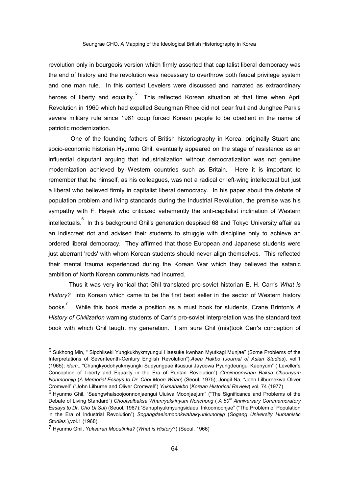revolution only in bourgeois version which firmly asserted that capitalist liberal democracy was the end of history and the revolution was necessary to overthrow both feudal privilege system and one man rule. In this context Levelers were discussed and narrated as extraordinary heroes of liberty and equality. This reflected Korean situation at that time when April Revolution in 1960 which had expelled Seungman Rhee did not bear fruit and Junghee Park's severe military rule since 1961 coup forced Korean people to be obedient in the name of patriotic modernization.

 One of the founding fathers of British historiography in Korea, originally Stuart and socio-economic historian Hyunmo Ghil, eventually appeared on the stage of resistance as an influential disputant arguing that industrialization without democratization was not genuine modernization achieved by Western countries such as Britain. Here it is important to remember that he himself, as his colleagues, was not a radical or left-wing intellectual but just a liberal who believed firmly in capitalist liberal democracy. In his paper about the debate of population problem and living standards during the Industrial Revolution, the premise was his sympathy with F. Hayek who criticized vehemently the anti-capitalist inclination of Western intellectuals. $\degree$  In this background Ghil's generation despised 68 and Tokyo University affair as an indiscreet riot and advised their students to struggle with discipline only to achieve an ordered liberal democracy. They affirmed that those European and Japanese students were just aberrant 'reds' with whom Korean students should never align themselves. This reflected their mental trauma experienced during the Korean War which they believed the satanic ambition of North Korean communists had incurred.

 Thus it was very ironical that Ghil translated pro-soviet historian E. H. Carr's *What is History?* into Korean which came to be the first best seller in the sector of Western history books. 7 While this book made a position as a must book for students, Crane Brinton's *A History of Civilization* warning students of Carr's pro-soviet interpretation was the standard text book with which Ghil taught my generation. I am sure Ghil (mis)took Carr's conception of

<sup>5</sup> Sukhong Min, " Sipchilseki Yungkukhykmyungui Haesuke kwnhan Myutkagi Munjae" (Some Problems of the Interpretations of Seventeenth-Century English Revolution"),*Asea Hakbo* (*Journal of Asian Studies*), vol.1 (1965); *idem*., "Chungkyodohyukmyungki Supyungpae itsusuui Jayoowa Pyungdeungui Kaenyum" ( Leveller's Conception of Liberty and Equality in the Era of Puritan Revolution") *Choimoonwhan Baksa Choonyum Nonmoonjip* (*A Memorial Essays to Dr. Choi Moon Whan*) (Seoul, 1975); Jongil Na, "John Lilburnekwa Oliver Cromwell" ("John Lilburne and Oliver Cromwell") *Yuksahakbo* (*Korean Historical Review*) vol, 74 (1977)

<sup>6</sup> Hyunmo Ghil, "Saengwhalsoojoonnonjaengui Uiuiwa Moonjaejum" ("The Significance and Problems of the Debate of Living Standard") *Chouisulbaksa Whanryukkinyum Nonchong* ( *A 60th Anniversary Commemoratory Essays to Dr. Cho Ui Sul*) (Seuol, 1967);"Sanuphyukmyungsidaeui Inkoomoonjae" ("The Problem of Population in the Era of Industrial Revolution") *Sogangdaeinmoonkwahakyunkunonjip* (*Sogang University Humanistic Studies* ),vol.1 (1968)

<sup>7</sup> Hyunmo Ghil, *Yuksaran Mooutinka?* (*What is History*?) (Seoul, 1966)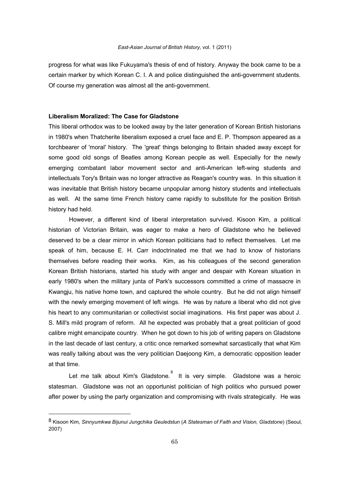progress for what was like Fukuyama's thesis of end of history. Anyway the book came to be a certain marker by which Korean C. I. A and police distinguished the anti-government students. Of course my generation was almost all the anti-government.

### **Liberalism Moralized: The Case for Gladstone**

-

This liberal orthodox was to be looked away by the later generation of Korean British historians in 1980's when Thatcherite liberalism exposed a cruel face and E. P. Thompson appeared as a torchbearer of 'moral' history. The 'great' things belonging to Britain shaded away except for some good old songs of Beatles among Korean people as well. Especially for the newly emerging combatant labor movement sector and anti-American left-wing students and intellectuals Tory's Britain was no longer attractive as Reagan's country was. In this situation it was inevitable that British history became unpopular among history students and intellectuals as well. At the same time French history came rapidly to substitute for the position British history had held.

 However, a different kind of liberal interpretation survived. Kisoon Kim, a political historian of Victorian Britain, was eager to make a hero of Gladstone who he believed deserved to be a clear mirror in which Korean politicians had to reflect themselves. Let me speak of him, because E. H. Carr indoctrinated me that we had to know of historians themselves before reading their works. Kim, as his colleagues of the second generation Korean British historians, started his study with anger and despair with Korean situation in early 1980's when the military junta of Park's successors committed a crime of massacre in Kwangju, his native home town, and captured the whole country. But he did not align himself with the newly emerging movement of left wings. He was by nature a liberal who did not give his heart to any communitarian or collectivist social imaginations. His first paper was about J. S. Mill's mild program of reform. All he expected was probably that a great politician of good calibre might emancipate country. When he got down to his job of writing papers on Gladstone in the last decade of last century, a critic once remarked somewhat sarcastically that what Kim was really talking about was the very politician Daejoong Kim, a democratic opposition leader at that time.

Let me talk about Kim's Gladstone. <sup>8</sup> It is very simple. Gladstone was a heroic statesman. Gladstone was not an opportunist politician of high politics who pursued power after power by using the party organization and compromising with rivals strategically. He was

<sup>8</sup> Kisoon Kim, *Sinnyumkwa Bijunui Jungchika Geuledstun* (*A Statesman of Faith and Vision, Gladstone*) (Seoul, 2007)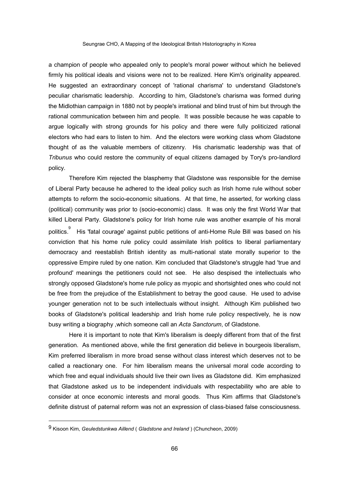a champion of people who appealed only to people's moral power without which he believed firmly his political ideals and visions were not to be realized. Here Kim's originality appeared. He suggested an extraordinary concept of 'rational charisma' to understand Gladstone's peculiar charismatic leadership. According to him, Gladstone's charisma was formed during the Midlothian campaign in 1880 not by people's irrational and blind trust of him but through the rational communication between him and people. It was possible because he was capable to argue logically with strong grounds for his policy and there were fully politicized rational electors who had ears to listen to him. And the electors were working class whom Gladstone thought of as the valuable members of citizenry. His charismatic leadership was that of *Tribunus* who could restore the community of equal citizens damaged by Tory's pro-landlord policy.

 Therefore Kim rejected the blasphemy that Gladstone was responsible for the demise of Liberal Party because he adhered to the ideal policy such as Irish home rule without sober attempts to reform the socio-economic situations. At that time, he asserted, for working class (political) community was prior to (socio-economic) class. It was only the first World War that killed Liberal Party. Gladstone's policy for Irish home rule was another example of his moral politics.<sup>9</sup> His 'fatal courage' against public petitions of anti-Home Rule Bill was based on his conviction that his home rule policy could assimilate Irish politics to liberal parliamentary democracy and reestablish British identity as multi-national state morally superior to the oppressive Empire ruled by one nation. Kim concluded that Gladstone's struggle had 'true and profound' meanings the petitioners could not see. He also despised the intellectuals who strongly opposed Gladstone's home rule policy as myopic and shortsighted ones who could not be free from the prejudice of the Establishment to betray the good cause. He used to advise younger generation not to be such intellectuals without insight. Although Kim published two books of Gladstone's political leadership and Irish home rule policy respectively, he is now busy writing a biography ,which someone call an *Acta Sanctorum*, of Gladstone.

 Here it is important to note that Kim's liberalism is deeply different from that of the first generation. As mentioned above, while the first generation did believe in bourgeois liberalism, Kim preferred liberalism in more broad sense without class interest which deserves not to be called a reactionary one. For him liberalism means the universal moral code according to which free and equal individuals should live their own lives as Gladstone did. Kim emphasized that Gladstone asked us to be independent individuals with respectability who are able to consider at once economic interests and moral goods. Thus Kim affirms that Gladstone's definite distrust of paternal reform was not an expression of class-biased false consciousness.

<sup>9</sup> Kisoon Kim, *Geuledstunkwa Aillend* ( *Gladstone and Ireland* ) (Chuncheon, 2009)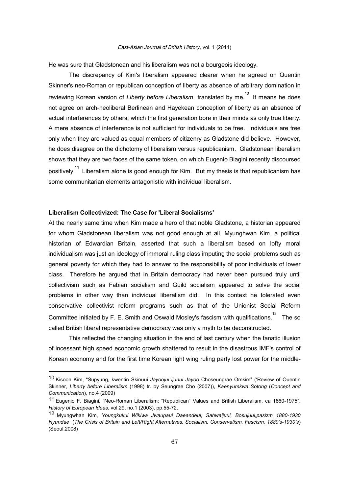#### *East-Asian Journal of British History,* vol. 1 (2011)

He was sure that Gladstonean and his liberalism was not a bourgeois ideology.

 The discrepancy of Kim's liberalism appeared clearer when he agreed on Quentin Skinner's neo-Roman or republican conception of liberty as absence of arbitrary domination in reviewing Korean version of *Liberty before Liberalism* translated by me.<sup>10</sup> It means he does not agree on arch-neoliberal Berlinean and Hayekean conception of liberty as an absence of actual interferences by others, which the first generation bore in their minds as only true liberty. A mere absence of interference is not sufficient for individuals to be free. Individuals are free only when they are valued as equal members of citizenry as Gladstone did believe. However, he does disagree on the dichotomy of liberalism versus republicanism. Gladstonean liberalism shows that they are two faces of the same token, on which Eugenio Biagini recently discoursed positively.<sup>11</sup> Liberalism alone is good enough for Kim. But my thesis is that republicanism has some communitarian elements antagonistic with individual liberalism.

## **Liberalism Collectivized: The Case for 'Liberal Socialisms'**

-

At the nearly same time when Kim made a hero of that noble Gladstone, a historian appeared for whom Gladstonean liberalism was not good enough at all. Myunghwan Kim, a political historian of Edwardian Britain, asserted that such a liberalism based on lofty moral individualism was just an ideology of immoral ruling class imputing the social problems such as general poverty for which they had to answer to the responsibility of poor individuals of lower class. Therefore he argued that in Britain democracy had never been pursued truly until collectivism such as Fabian socialism and Guild socialism appeared to solve the social problems in other way than individual liberalism did. In this context he tolerated even conservative collectivist reform programs such as that of the Unionist Social Reform Committee initiated by F. E. Smith and Oswald Mosley's fascism with qualifications.<sup>12</sup> The so called British liberal representative democracy was only a myth to be deconstructed.

 This reflected the changing situation in the end of last century when the fanatic illusion of incessant high speed economic growth shattered to result in the disastrous IMF's control of Korean economy and for the first time Korean light wing ruling party lost power for the middle-

<sup>10</sup> Kisoon Kim, "Supyung, kwentin Skinuui *Jayoojui ijunui Jayoo* Choseungrae Omkim" ('Review of Ouentin Skinner, *Liberty before Liberalism* (1998) tr. by Seungrae Cho (2007)), *Kaenyumkwa Sotong* (*Concept and Communication*), no.4 (2009)

<sup>11</sup> Eugenio F. Biagini, "Neo-Roman Liberalism: "Republican" Values and British Liberalism, ca 1860-1975", *History of European Ideas*, vol.29, no.1 (2003), pp.55-72.

<sup>12</sup> Myungwhan Kim, *Youngkukui Wikiwa Jwaupaui Daeandeul, Sahwaijuui, Bosujuui,pasizm 1880-1930 Nyundae* (*The Crisis of Britain and Left/Right Alternatives, Socialism, Conservatism, Fascism, 1880's-1930's*) (Seoul,2008)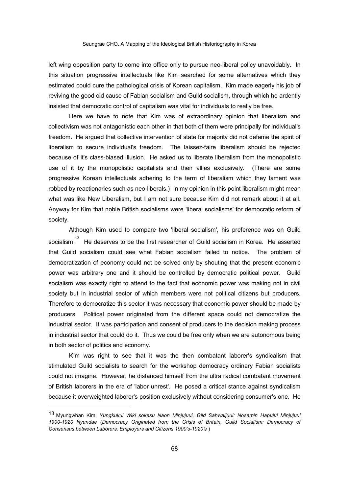left wing opposition party to come into office only to pursue neo-liberal policy unavoidably. In this situation progressive intellectuals like Kim searched for some alternatives which they estimated could cure the pathological crisis of Korean capitalism. Kim made eagerly his job of reviving the good old cause of Fabian socialism and Guild socialism, through which he ardently insisted that democratic control of capitalism was vital for individuals to really be free.

 Here we have to note that Kim was of extraordinary opinion that liberalism and collectivism was not antagonistic each other in that both of them were principally for individual's freedom. He argued that collective intervention of state for majority did not defame the spirit of liberalism to secure individual's freedom. The laissez-faire liberalism should be rejected because of it's class-biased illusion. He asked us to liberate liberalism from the monopolistic use of it by the monopolistic capitalists and their allies exclusively. (There are some progressive Korean intellectuals adhering to the term of liberalism which they lament was robbed by reactionaries such as neo-liberals.) In my opinion in this point liberalism might mean what was like New Liberalism, but I am not sure because Kim did not remark about it at all. Anyway for Kim that noble British socialisms were 'liberal socialisms' for democratic reform of society.

 Although Kim used to compare two 'liberal socialism', his preference was on Guild socialism.<sup>13</sup> He deserves to be the first researcher of Guild socialism in Korea. He asserted that Guild socialism could see what Fabian socialism failed to notice. The problem of democratization of economy could not be solved only by shouting that the present economic power was arbitrary one and it should be controlled by democratic political power. Guild socialism was exactly right to attend to the fact that economic power was making not in civil society but in industrial sector of which members were not political citizens but producers. Therefore to democratize this sector it was necessary that economic power should be made by producers. Political power originated from the different space could not democratize the industrial sector. It was participation and consent of producers to the decision making process in industrial sector that could do it. Thus we could be free only when we are autonomous being in both sector of politics and economy.

 KIm was right to see that it was the then combatant laborer's syndicalism that stimulated Guild socialists to search for the workshop democracy ordinary Fabian socialists could not imagine. However, he distanced himself from the ultra radical combatant movement of British laborers in the era of 'labor unrest'. He posed a critical stance against syndicalism because it overweighted laborer's position exclusively without considering consumer's one. He

<sup>13</sup> Myungwhan Kim, *Yungkukui Wiki sokesu Naon Minjujuui, Gild Sahwaijuui: Nosamin Hapuiui Minjujuui 1900-1920 Nyundae* (*Democracy Originated from the Crisis of Britain, Guild Socialism: Democracy of Consensus between Laborers, Employers and Citizens 1900's-1920's* )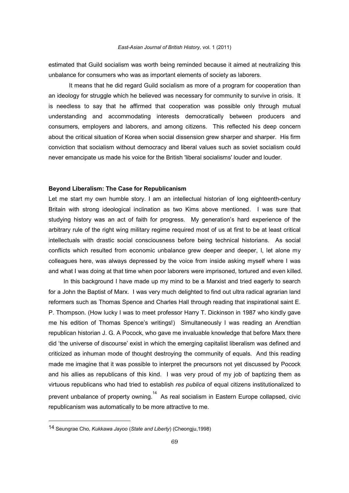estimated that Guild socialism was worth being reminded because it aimed at neutralizing this unbalance for consumers who was as important elements of society as laborers.

 It means that he did regard Guild socialism as more of a program for cooperation than an ideology for struggle which he believed was necessary for community to survive in crisis. It is needless to say that he affirmed that cooperation was possible only through mutual understanding and accommodating interests democratically between producers and consumers, employers and laborers, and among citizens. This reflected his deep concern about the critical situation of Korea when social dissension grew sharper and sharper. His firm conviction that socialism without democracy and liberal values such as soviet socialism could never emancipate us made his voice for the British 'liberal socialisms' louder and louder.

# **Beyond Liberalism: The Case for Republicanism**

Let me start my own humble story. I am an intellectual historian of long eighteenth-century Britain with strong ideological inclination as two Kims above mentioned. I was sure that studying history was an act of faith for progress. My generation's hard experience of the arbitrary rule of the right wing military regime required most of us at first to be at least critical intellectuals with drastic social consciousness before being technical historians. As social conflicts which resulted from economic unbalance grew deeper and deeper, I, let alone my colleagues here, was always depressed by the voice from inside asking myself where I was and what I was doing at that time when poor laborers were imprisoned, tortured and even killed.

In this background I have made up my mind to be a Marxist and tried eagerly to search for a John the Baptist of Marx. I was very much delighted to find out ultra radical agrarian land reformers such as Thomas Spence and Charles Hall through reading that inspirational saint E. P. Thompson. (How lucky I was to meet professor Harry T. Dickinson in 1987 who kindly gave me his edition of Thomas Spence's writings!) Simultaneously I was reading an Arendtian republican historian J. G. A Pocock, who gave me invaluable knowledge that before Marx there did 'the universe of discourse' exist in which the emerging capitalist liberalism was defined and criticized as inhuman mode of thought destroying the community of equals. And this reading made me imagine that it was possible to interpret the precursors not yet discussed by Pocock and his allies as republicans of this kind. I was very proud of my job of baptizing them as virtuous republicans who had tried to establish *res publica* of equal citizens institutionalized to prevent unbalance of property owning.<sup>14</sup> As real socialism in Eastern Europe collapsed, civic republicanism was automatically to be more attractive to me.

<sup>14</sup> Seungrae Cho, *Kukkawa Jayoo* (*State and Liberty*) (Cheongju,1998)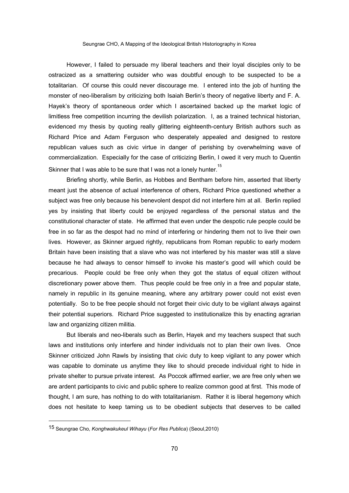#### Seungrae CHO, A Mapping of the Ideological British Historiography in Korea

However, I failed to persuade my liberal teachers and their loyal disciples only to be ostracized as a smattering outsider who was doubtful enough to be suspected to be a totalitarian. Of course this could never discourage me. I entered into the job of hunting the monster of neo-liberalism by criticizing both Isaiah Berlin's theory of negative liberty and F. A. Hayek's theory of spontaneous order which I ascertained backed up the market logic of limitless free competition incurring the devilish polarization. I, as a trained technical historian, evidenced my thesis by quoting really glittering eighteenth-century British authors such as Richard Price and Adam Ferguson who desperately appealed and designed to restore republican values such as civic virtue in danger of perishing by overwhelming wave of commercialization. Especially for the case of criticizing Berlin, I owed it very much to Quentin Skinner that I was able to be sure that I was not a lonely hunter.<sup>15</sup>

Briefing shortly, while Berlin, as Hobbes and Bentham before him, asserted that liberty meant just the absence of actual interference of others, Richard Price questioned whether a subject was free only because his benevolent despot did not interfere him at all. Berlin replied yes by insisting that liberty could be enjoyed regardless of the personal status and the constitutional character of state. He affirmed that even under the despotic rule people could be free in so far as the despot had no mind of interfering or hindering them not to live their own lives. However, as Skinner argued rightly, republicans from Roman republic to early modern Britain have been insisting that a slave who was not interfered by his master was still a slave because he had always to censor himself to invoke his master's good will which could be precarious. People could be free only when they got the status of equal citizen without discretionary power above them. Thus people could be free only in a free and popular state, namely in republic in its genuine meaning, where any arbitrary power could not exist even potentially. So to be free people should not forget their civic duty to be vigilant always against their potential superiors. Richard Price suggested to institutionalize this by enacting agrarian law and organizing citizen militia.

But liberals and neo-liberals such as Berlin, Hayek and my teachers suspect that such laws and institutions only interfere and hinder individuals not to plan their own lives. Once Skinner criticized John Rawls by insisting that civic duty to keep vigilant to any power which was capable to dominate us anytime they like to should precede individual right to hide in private shelter to pursue private interest. As Poccok affirmed earlier, we are free only when we are ardent participants to civic and public sphere to realize common good at first. This mode of thought, I am sure, has nothing to do with totalitarianism. Rather it is liberal hegemony which does not hesitate to keep taming us to be obedient subjects that deserves to be called

<sup>15</sup> Seungrae Cho, *Konghwakukeul Wihayu* (*For Res Publica*) (Seoul,2010)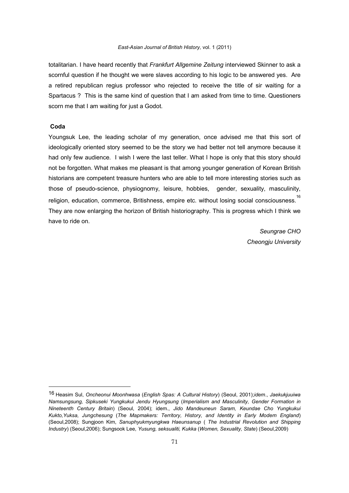#### *East-Asian Journal of British History,* vol. 1 (2011)

totalitarian. I have heard recently that *Frankfurt Allgemine Zeitung* interviewed Skinner to ask a scornful question if he thought we were slaves according to his logic to be answered yes. Are a retired republican regius professor who rejected to receive the title of sir waiting for a Spartacus ? This is the same kind of question that I am asked from time to time. Questioners scorn me that I am waiting for just a Godot.

## **Coda**

-

Youngsuk Lee, the leading scholar of my generation, once advised me that this sort of ideologically oriented story seemed to be the story we had better not tell anymore because it had only few audience. I wish I were the last teller. What I hope is only that this story should not be forgotten. What makes me pleasant is that among younger generation of Korean British historians are competent treasure hunters who are able to tell more interesting stories such as those of pseudo-science, physiognomy, leisure, hobbies, gender, sexuality, masculinity, religion, education, commerce, Britishness, empire etc. without losing social consciousness. 16 They are now enlarging the horizon of British historiography. This is progress which I think we have to ride on.

> *Seungrae CHO Cheongju University*

<sup>16</sup> Heasim Sul, *Oncheonui Moonhwasa* (*English Spas: A Cultural History*) (Seoul, 2001);*idem*., *Jaekukjuuiwa Namsungsung, Sipkuseki Yungkukui Jendu Hyungsung* (*Imperialism and Masculinity, Gender Formation in Nineteenth Century Britain*) (Seoul, 2004); idem., *Jido Mandeuneun Saram, Keundae Cho Yungkukui Kukto,Yuksa, Jungchesung* (*The Mapmakers: Territory, History, and Identity in Early Modern England*) (Seoul,2008); Sungjoon Kim, *Sanuphyukmyungkwa Haeunsanup* ( *The Industrial Revolution and Shipping Industry*) (Seoul,2006); Sungsook Lee, *Yusung, seksualiti, Kukka* (*Women, Sexuality, State*) (Seoul,2009)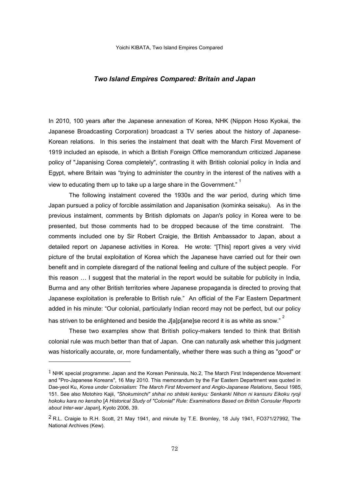## *Two Island Empires Compared: Britain and Japan*

In 2010, 100 years after the Japanese annexation of Korea, NHK (Nippon Hoso Kyokai, the Japanese Broadcasting Corporation) broadcast a TV series about the history of Japanese-Korean relations. In this series the instalment that dealt with the March First Movement of 1919 included an episode, in which a British Foreign Office memorandum criticized Japanese policy of "Japanising Corea completely", contrasting it with British colonial policy in India and Egypt, where Britain was "trying to administer the country in the interest of the natives with a view to educating them up to take up a large share in the Government."  $1$ 

 The following instalment covered the 1930s and the war period, during which time Japan pursued a policy of forcible assimilation and Japanisation (kominka seisaku). As in the previous instalment, comments by British diplomats on Japan's policy in Korea were to be presented, but those comments had to be dropped because of the time constraint. The comments included one by Sir Robert Craigie, the British Ambassador to Japan, about a detailed report on Japanese activities in Korea. He wrote: "[This] report gives a very vivid picture of the brutal exploitation of Korea which the Japanese have carried out for their own benefit and in complete disregard of the national feeling and culture of the subject people. For this reason … I suggest that the material in the report would be suitable for publicity in India, Burma and any other British territories where Japanese propaganda is directed to proving that Japanese exploitation is preferable to British rule." An official of the Far Eastern Department added in his minute: "Our colonial, particularly Indian record may not be perfect, but our policy has striven to be enlightened and beside the J[a]p[ane]se record it is as white as snow."  $^{2}$ 

 These two examples show that British policy-makers tended to think that British colonial rule was much better than that of Japan. One can naturally ask whether this judgment was historically accurate, or, more fundamentally, whether there was such a thing as "good" or

 $1$  NHK special programme: Japan and the Korean Peninsula, No.2, The March First Independence Movement and "Pro-Japanese Koreans", 16 May 2010. This memorandum by the Far Eastern Department was quoted in Dae-yeol Ku, *Korea under Colonialism: The March First Movement and Anglo-Japanese Relations*, Seoul 1985, 151. See also Motohiro Kajii, *"Shokuminchi" shihai no shiteki kenkyu: Senkanki Nihon ni kansuru Eikoku ryoji hokoku kara no kensho* [*A Historical Study of "Colonial" Rule: Examinations Based on British Consular Reports about Inter-war Japan*], Kyoto 2006, 39.

<sup>2</sup> R.L. Craigie to R.H. Scott, 21 May 1941, and minute by T.E. Bromley, 18 July 1941, FO371/27992, The National Archives (Kew).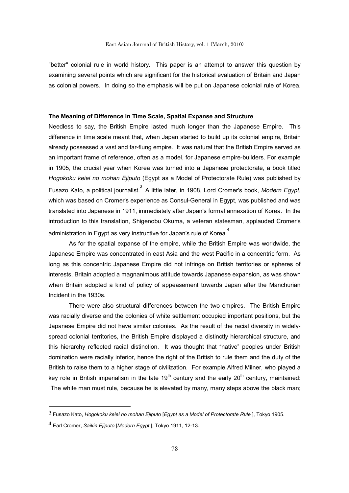#### East Asian Journal of British History, vol. 1 (March, 2010)

"better" colonial rule in world history. This paper is an attempt to answer this question by examining several points which are significant for the historical evaluation of Britain and Japan as colonial powers. In doing so the emphasis will be put on Japanese colonial rule of Korea.

#### **The Meaning of Difference in Time Scale, Spatial Expanse and Structure**

Needless to say, the British Empire lasted much longer than the Japanese Empire. This difference in time scale meant that, when Japan started to build up its colonial empire, Britain already possessed a vast and far-flung empire. It was natural that the British Empire served as an important frame of reference, often as a model, for Japanese empire-builders. For example in 1905, the crucial year when Korea was turned into a Japanese protectorate, a book titled *Hogokoku keiei no mohan Ejiputo* (Egypt as a Model of Protectorate Rule) was published by Fusazo Kato, a political journalist.<sup>3</sup> A little later, in 1908, Lord Cromer's book, Modern Egypt, which was based on Cromer's experience as Consul-General in Egypt, was published and was translated into Japanese in 1911, immediately after Japan's formal annexation of Korea. In the introduction to this translation, Shigenobu Okuma, a veteran statesman, applauded Cromer's administration in Egypt as very instructive for Japan's rule of Korea. $^{\rm 4}$ 

 As for the spatial expanse of the empire, while the British Empire was worldwide, the Japanese Empire was concentrated in east Asia and the west Pacific in a concentric form. As long as this concentric Japanese Empire did not infringe on British territories or spheres of interests, Britain adopted a magnanimous attitude towards Japanese expansion, as was shown when Britain adopted a kind of policy of appeasement towards Japan after the Manchurian Incident in the 1930s.

 There were also structural differences between the two empires. The British Empire was racially diverse and the colonies of white settlement occupied important positions, but the Japanese Empire did not have similar colonies. As the result of the racial diversity in widelyspread colonial territories, the British Empire displayed a distinctly hierarchical structure, and this hierarchy reflected racial distinction. It was thought that "native" peoples under British domination were racially inferior, hence the right of the British to rule them and the duty of the British to raise them to a higher stage of civilization. For example Alfred Milner, who played a key role in British imperialism in the late  $19<sup>th</sup>$  century and the early  $20<sup>th</sup>$  century, maintained: "The white man must rule, because he is elevated by many, many steps above the black man;

<sup>3</sup> Fusazo Kato, *Hogokoku keiei no mohan Ejiputo* [*Egypt as a Model of Protectorate Rule* ], Tokyo 1905.

<sup>4</sup> Earl Cromer, *Saikin Ejiputo* [*Modern Egypt* ], Tokyo 1911, 12-13.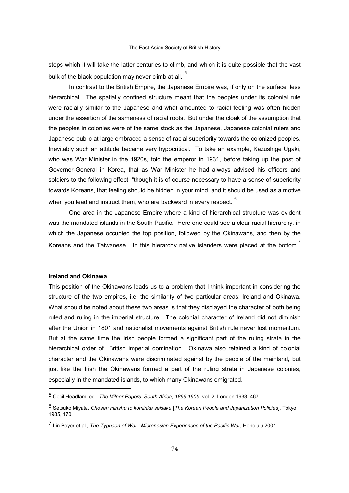steps which it will take the latter centuries to climb, and which it is quite possible that the vast bulk of the black population may never climb at all."<sup>5</sup>

 In contrast to the British Empire, the Japanese Empire was, if only on the surface, less hierarchical. The spatially confined structure meant that the peoples under its colonial rule were racially similar to the Japanese and what amounted to racial feeling was often hidden under the assertion of the sameness of racial roots. But under the cloak of the assumption that the peoples in colonies were of the same stock as the Japanese, Japanese colonial rulers and Japanese public at large embraced a sense of racial superiority towards the colonized peoples. Inevitably such an attitude became very hypocritical. To take an example, Kazushige Ugaki, who was War Minister in the 1920s, told the emperor in 1931, before taking up the post of Governor-General in Korea, that as War Minister he had always advised his officers and soldiers to the following effect: "though it is of course necessary to have a sense of superiority towards Koreans, that feeling should be hidden in your mind, and it should be used as a motive when you lead and instruct them, who are backward in every respect.<sup>,6</sup>

 One area in the Japanese Empire where a kind of hierarchical structure was evident was the mandated islands in the South Pacific. Here one could see a clear racial hierarchy, in which the Japanese occupied the top position, followed by the Okinawans, and then by the Koreans and the Taiwanese. In this hierarchy native islanders were placed at the bottom.

#### **Ireland and Okinawa**

-

This position of the Okinawans leads us to a problem that I think important in considering the structure of the two empires, i.e. the similarity of two particular areas: Ireland and Okinawa. What should be noted about these two areas is that they displayed the character of both being ruled and ruling in the imperial structure. The colonial character of Ireland did not diminish after the Union in 1801 and nationalist movements against British rule never lost momentum. But at the same time the Irish people formed a significant part of the ruling strata in the hierarchical order of British imperial domination. Okinawa also retained a kind of colonial character and the Okinawans were discriminated against by the people of the mainland**,** but just like the Irish the Okinawans formed a part of the ruling strata in Japanese colonies, especially in the mandated islands, to which many Okinawans emigrated.

<sup>5</sup> Cecil Headlam, ed., *The Milner Papers. South Africa, 1899-1905*, vol. 2, London 1933, 467.

<sup>6</sup> Setsuko Miyata, *Chosen minshu to kominka seisaku* [*The Korean People and Japanization Policies*], Tokyo 1985, 170.

<sup>7</sup> Lin Poyer et al., *The Typhoon of War : Micronesian Experiences of the Pacific War*, Honolulu 2001.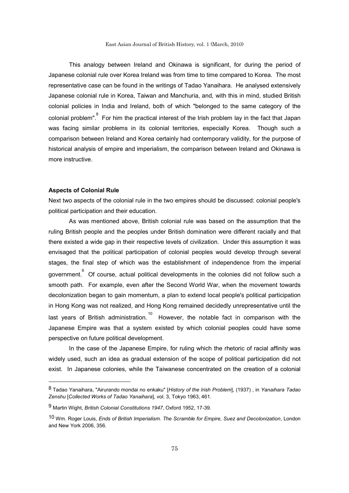This analogy between Ireland and Okinawa is significant, for during the period of Japanese colonial rule over Korea Ireland was from time to time compared to Korea. The most representative case can be found in the writings of Tadao Yanaihara. He analysed extensively Japanese colonial rule in Korea, Taiwan and Manchuria, and, with this in mind, studied British colonial policies in India and Ireland, both of which "belonged to the same category of the colonial problem". <sup>8</sup> For him the practical interest of the Irish problem lay in the fact that Japan was facing similar problems in its colonial territories, especially Korea. Though such a comparison between Ireland and Korea certainly had contemporary validity, for the purpose of historical analysis of empire and imperialism, the comparison between Ireland and Okinawa is more instructive.

### **Aspects of Colonial Rule**

-

Next two aspects of the colonial rule in the two empires should be discussed: colonial people's political participation and their education.

 As was mentioned above, British colonial rule was based on the assumption that the ruling British people and the peoples under British domination were different racially and that there existed a wide gap in their respective levels of civilization. Under this assumption it was envisaged that the political participation of colonial peoples would develop through several stages, the final step of which was the establishment of independence from the imperial government. <sup>9</sup> Of course, actual political developments in the colonies did not follow such a smooth path. For example, even after the Second World War, when the movement towards decolonization began to gain momentum, a plan to extend local people's political participation in Hong Kong was not realized, and Hong Kong remained decidedly unrepresentative until the last years of British administration.<sup>10</sup> However, the notable fact in comparison with the Japanese Empire was that a system existed by which colonial peoples could have some perspective on future political development.

 In the case of the Japanese Empire, for ruling which the rhetoric of racial affinity was widely used, such an idea as gradual extension of the scope of political participation did not exist. In Japanese colonies, while the Taiwanese concentrated on the creation of a colonial

<sup>8</sup> Tadao Yanaihara, "Airurando mondai no enkaku" [*History of the Irish Problem*], (1937) , in *Yanaihara Tadao Zenshu* [*Collected Works of Tadao Yanaihara*], vol. 3, Tokyo 1963, 461.

<sup>9</sup> Martin Wight, *British Colonial Constitutions 1947*, Oxford 1952, 17-39.

<sup>10</sup> Wm. Roger Louis, *Ends of British Imperialism. The Scramble for Empire, Suez and Decolonization*, London and New York 2006, 356.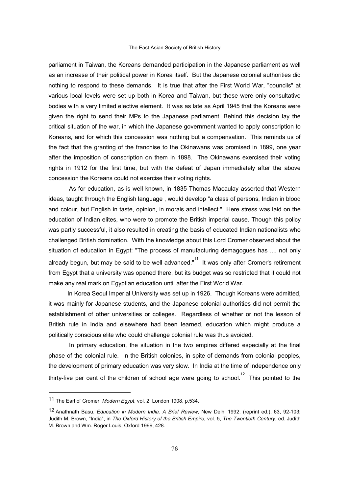#### The East Asian Society of British History

parliament in Taiwan, the Koreans demanded participation in the Japanese parliament as well as an increase of their political power in Korea itself. But the Japanese colonial authorities did nothing to respond to these demands. It is true that after the First World War, "councils" at various local levels were set up both in Korea and Taiwan, but these were only consultative bodies with a very limited elective element. It was as late as April 1945 that the Koreans were given the right to send their MPs to the Japanese parliament. Behind this decision lay the critical situation of the war, in which the Japanese government wanted to apply conscription to Koreans, and for which this concession was nothing but a compensation. This reminds us of the fact that the granting of the franchise to the Okinawans was promised in 1899, one year after the imposition of conscription on them in 1898. The Okinawans exercised their voting rights in 1912 for the first time, but with the defeat of Japan immediately after the above concession the Koreans could not exercise their voting rights.

 As for education, as is well known, in 1835 Thomas Macaulay asserted that Western ideas, taught through the English language , would develop "a class of persons, Indian in blood and colour, but English in taste, opinion, in morals and intellect." Here stress was laid on the education of Indian elites, who were to promote the British imperial cause. Though this policy was partly successful, it also resulted in creating the basis of educated Indian nationalists who challenged British domination. With the knowledge about this Lord Cromer observed about the situation of education in Egypt: "The process of manufacturing demagogues has .... not only already begun, but may be said to be well advanced."<sup>11</sup> It was only after Cromer's retirement from Egypt that a university was opened there, but its budget was so restricted that it could not make any real mark on Egyptian education until after the First World War.

 In Korea Seoul Imperial University was set up in 1926. Though Koreans were admitted, it was mainly for Japanese students, and the Japanese colonial authorities did not permit the establishment of other universities or colleges. Regardless of whether or not the lesson of British rule in India and elsewhere had been learned, education which might produce a politically conscious elite who could challenge colonial rule was thus avoided.

 In primary education, the situation in the two empires differed especially at the final phase of the colonial rule. In the British colonies, in spite of demands from colonial peoples, the development of primary education was very slow. In India at the time of independence only thirty-five per cent of the children of school age were going to school.<sup>12</sup> This pointed to the

<sup>11</sup> The Earl of Cromer, *Modern Egypt*, vol. 2, London 1908, p.534.

<sup>12</sup> Anathnath Basu, *Education in Modern India. A Brief Review*, New Delhi 1992. (reprint ed.), 63, 92-103; Judith M. Brown, "India", in *The Oxford History of the British Empire,* vol. 5, *The Twentieth Century*, ed. Judith M. Brown and Wm. Roger Louis, Oxford 1999, 428.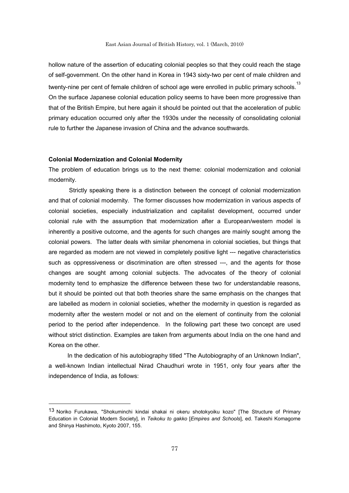hollow nature of the assertion of educating colonial peoples so that they could reach the stage of self-government. On the other hand in Korea in 1943 sixty-two per cent of male children and twenty-nine per cent of female children of school age were enrolled in public primary schools.<sup>13</sup> On the surface Japanese colonial education policy seems to have been more progressive than that of the British Empire, but here again it should be pointed out that the acceleration of public primary education occurred only after the 1930s under the necessity of consolidating colonial rule to further the Japanese invasion of China and the advance southwards.

#### **Colonial Modernization and Colonial Modernity**

-

The problem of education brings us to the next theme: colonial modernization and colonial modernity.

 Strictly speaking there is a distinction between the concept of colonial modernization and that of colonial modernity. The former discusses how modernization in various aspects of colonial societies, especially industrialization and capitalist development, occurred under colonial rule with the assumption that modernization after a European/western model is inherently a positive outcome, and the agents for such changes are mainly sought among the colonial powers. The latter deals with similar phenomena in colonial societies, but things that are regarded as modern are not viewed in completely positive light --- negative characteristics such as oppressiveness or discrimination are often stressed ---, and the agents for those changes are sought among colonial subjects. The advocates of the theory of colonial modernity tend to emphasize the difference between these two for understandable reasons, but it should be pointed out that both theories share the same emphasis on the changes that are labelled as modern in colonial societies, whether the modernity in question is regarded as modernity after the western model or not and on the element of continuity from the colonial period to the period after independence. In the following part these two concept are used without strict distinction. Examples are taken from arguments about India on the one hand and Korea on the other.

 In the dedication of his autobiography titled "The Autobiography of an Unknown Indian", a well-known Indian intellectual Nirad Chaudhuri wrote in 1951, only four years after the independence of India, as follows:

<sup>13</sup> Noriko Furukawa, "Shokuminchi kindai shakai ni okeru shotokyoiku kozo" [The Structure of Primary Education in Colonial Modern Society], in *Teikoku to gakko* [*Empires and Schools*], ed. Takeshi Komagome and Shinya Hashimoto, Kyoto 2007, 155.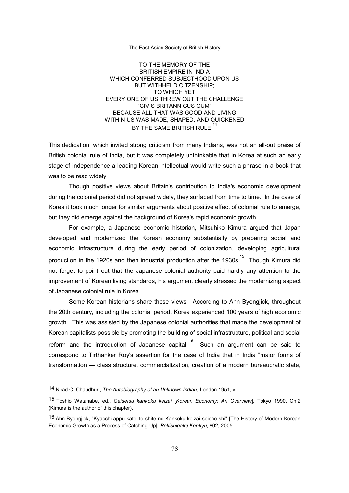#### The East Asian Society of British History

TO THE MEMORY OF THE BRITISH EMPIRE IN INDIA WHICH CONFERRED SUBJECTHOOD UPON US BUT WITHHELD CITZENSHIP; TO WHICH YET EVERY ONE OF US THREW OUT THE CHALLENGE "CIVIS BRITANNICUS CUM" BECAUSE ALL THAT WAS GOOD AND LIVING WITHIN US WAS MADE, SHAPED, AND QUICKENED BY THE SAME BRITISH RULE <sup>14</sup>

This dedication, which invited strong criticism from many Indians, was not an all-out praise of British colonial rule of India, but it was completely unthinkable that in Korea at such an early stage of independence a leading Korean intellectual would write such a phrase in a book that was to be read widely.

 Though positive views about Britain's contribution to India's economic development during the colonial period did not spread widely, they surfaced from time to time. In the case of Korea it took much longer for similar arguments about positive effect of colonial rule to emerge, but they did emerge against the background of Korea's rapid economic growth.

 For example, a Japanese economic historian, Mitsuhiko Kimura argued that Japan developed and modernized the Korean economy substantially by preparing social and economic infrastructure during the early period of colonization, developing agricultural production in the 1920s and then industrial production after the 1930s.<sup>15</sup> Though Kimura did not forget to point out that the Japanese colonial authority paid hardly any attention to the improvement of Korean living standards, his argument clearly stressed the modernizing aspect of Japanese colonial rule in Korea.

 Some Korean historians share these views. According to Ahn Byongjick, throughout the 20th century, including the colonial period, Korea experienced 100 years of high economic growth. This was assisted by the Japanese colonial authorities that made the development of Korean capitalists possible by promoting the building of social infrastructure, political and social reform and the introduction of Japanese capital.<sup>16</sup> Such an argument can be said to correspond to Tirthanker Roy's assertion for the case of India that in India "major forms of transformation --- class structure, commercialization, creation of a modern bureaucratic state,

<sup>14</sup> Nirad C. Chaudhuri, *The Autobiography of an Unknown Indian*, London 1951, v.

<sup>15</sup> Toshio Watanabe, ed., *Gaisetsu kankoku keizai* [*Korean Economy: An Overview*], Tokyo 1990, Ch.2 (Kimura is the author of this chapter).

<sup>16</sup> Ahn Byongjick, "Kyacchi-appu katei to shite no Kankoku keizai seicho shi" [The History of Modern Korean Economic Growth as a Process of Catching-Up], *Rekishigaku Kenkyu*, 802, 2005.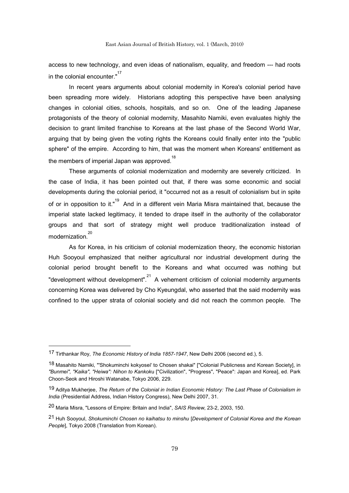access to new technology, and even ideas of nationalism, equality, and freedom --- had roots in the colonial encounter."<sup>17</sup>

 In recent years arguments about colonial modernity in Korea's colonial period have been spreading more widely. Historians adopting this perspective have been analysing changes in colonial cities, schools, hospitals, and so on. One of the leading Japanese protagonists of the theory of colonial modernity, Masahito Namiki, even evaluates highly the decision to grant limited franchise to Koreans at the last phase of the Second World War, arguing that by being given the voting rights the Koreans could finally enter into the "public sphere" of the empire. According to him, that was the moment when Koreans' entitlement as the members of imperial Japan was approved.<sup>18</sup>

 These arguments of colonial modernization and modernity are severely criticized. In the case of India, it has been pointed out that, if there was some economic and social developments during the colonial period, it "occurred not as a result of colonialism but in spite of or in opposition to it."<sup>19</sup> And in a different vein Maria Misra maintained that, because the imperial state lacked legitimacy, it tended to drape itself in the authority of the collaborator groups and that sort of strategy might well produce traditionalization instead of modernization. 20

 As for Korea, in his criticism of colonial modernization theory, the economic historian Huh Sooyoul emphasized that neither agricultural nor industrial development during the colonial period brought benefit to the Koreans and what occurred was nothing but "development without development".<sup>21</sup> A vehement criticism of colonial modernity arguments concerning Korea was delivered by Cho Kyeungdal, who asserted that the said modernity was confined to the upper strata of colonial society and did not reach the common people. The

<sup>17</sup> Tirthankar Roy, *The Economic History of India 1857-1947*, New Delhi 2006 (second ed.), 5.

<sup>18</sup> Masahito Namiki, "'Shokuminchi kokyosei' to Chosen shakai" ["Colonial Publicness and Korean Society], in *"Bunmei", "Kaika", "Heiwa": Nihon to Kankok*u ["Civilization", "Progress", "Peace": Japan and Korea], ed. Park Choon-Seok and Hiroshi Watanabe, Tokyo 2006, 229.

<sup>19</sup> Aditya Mukherjee, *The Return of the Colonial in Indian Economic History: The Last Phase of Colonialism in India* (Presidential Address, Indian History Congress), New Delhi 2007, 31.

<sup>20</sup> Maria Misra, "Lessons of Empire: Britain and India", *SAIS Review*, 23-2, 2003, 150.

<sup>21</sup> Huh Sooyoul, *Shokuminchi Chosen no kaihatsu to minshu* [*Development of Colonial Korea and the Korean People*], Tokyo 2008 (Translation from Korean).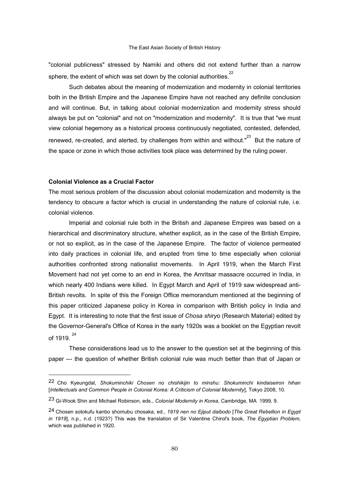"colonial publicness" stressed by Namiki and others did not extend further than a narrow sphere, the extent of which was set down by the colonial authorities.<sup>22</sup>

 Such debates about the meaning of modernization and modernity in colonial territories both in the British Empire and the Japanese Empire have not reached any definite conclusion and will continue. But, in talking about colonial modernization and modernity stress should always be put on "colonial" and not on "modernization and modernity". It is true that "we must view colonial hegemony as a historical process continuously negotiated, contested, defended, renewed, re-created, and alerted, by challenges from within and without."<sup>23</sup> But the nature of the space or zone in which those activities took place was determined by the ruling power.

### **Colonial Violence as a Crucial Factor**

<u>.</u>

The most serious problem of the discussion about colonial modernization and modernity is the tendency to obscure a factor which is crucial in understanding the nature of colonial rule, i.e. colonial violence.

 Imperial and colonial rule both in the British and Japanese Empires was based on a hierarchical and discriminatory structure, whether explicit, as in the case of the British Empire, or not so explicit, as in the case of the Japanese Empire. The factor of violence permeated into daily practices in colonial life, and erupted from time to time especially when colonial authorities confronted strong nationalist movements. In April 1919, when the March First Movement had not yet come to an end in Korea, the Amritsar massacre occurred in India, in which nearly 400 Indians were killed. In Egypt March and April of 1919 saw widespread anti-British revolts. In spite of this the Foreign Office memorandum mentioned at the beginning of this paper criticized Japanese policy in Korea in comparison with British policy in India and Egypt. It is interesting to note that the first issue of *Chosa shiry*o (Research Material) edited by the Governor-General's Office of Korea in the early 1920s was a booklet on the Egyptian revolt of 1919.<sup>24</sup>

 These considerations lead us to the answer to the question set at the beginning of this paper --- the question of whether British colonial rule was much better than that of Japan or

<sup>22</sup> Cho Kyeungdal, *Shokuminchiki Chosen no chishikijin to minshu: Shokuminchi kindaiseiron hihan* [*Intellectuals and Common People in Colonial Korea: A Criticism of Colonial Modernity*], Tokyo 2008, 10.

<sup>23</sup> Gi-Wook Shin and Michael Robinson, eds., *Colonial Modernity in Korea*, Cambridge, MA 1999, 9.

<sup>24</sup> Chosen sotokufu kanbo shomubu chosaka, ed., *1919 nen no Ejiput daibodo* [*The Great Rebellion in Egypt in 1919*], n.p., n.d. (1923?) This was the translation of Sir Valentine Chirol's book, *The Egyptian Problem*, which was published in 1920.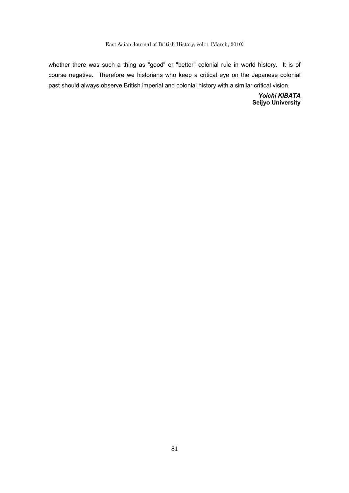whether there was such a thing as "good" or "better" colonial rule in world history. It is of course negative. Therefore we historians who keep a critical eye on the Japanese colonial past should always observe British imperial and colonial history with a similar critical vision.

> *Yoichi KIBATA*  **Seijyo University**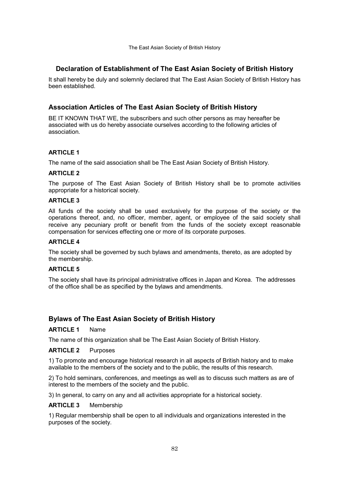# **Declaration of Establishment of The East Asian Society of British History**

It shall hereby be duly and solemnly declared that The East Asian Society of British History has been established.

# **Association Articles of The East Asian Society of British History**

BE IT KNOWN THAT WE, the subscribers and such other persons as may hereafter be associated with us do hereby associate ourselves according to the following articles of association.

# **ARTICLE 1**

The name of the said association shall be The East Asian Society of British History.

## **ARTICLE 2**

The purpose of The East Asian Society of British History shall be to promote activities appropriate for a historical society.

## **ARTICLE 3**

All funds of the society shall be used exclusively for the purpose of the society or the operations thereof, and, no officer, member, agent, or employee of the said society shall receive any pecuniary profit or benefit from the funds of the society except reasonable compensation for services effecting one or more of its corporate purposes.

## **ARTICLE 4**

The society shall be governed by such bylaws and amendments, thereto, as are adopted by the membership.

# **ARTICLE 5**

The society shall have its principal administrative offices in Japan and Korea. The addresses of the office shall be as specified by the bylaws and amendments.

# **Bylaws of The East Asian Society of British History**

**ARTICLE 1** Name

The name of this organization shall be The East Asian Society of British History.

## **ARTICLE 2** Purposes

1) To promote and encourage historical research in all aspects of British history and to make available to the members of the society and to the public, the results of this research.

2) To hold seminars, conferences, and meetings as well as to discuss such matters as are of interest to the members of the society and the public.

3) In general, to carry on any and all activities appropriate for a historical society.

## **ARTICLE 3** Membership

1) Regular membership shall be open to all individuals and organizations interested in the purposes of the society.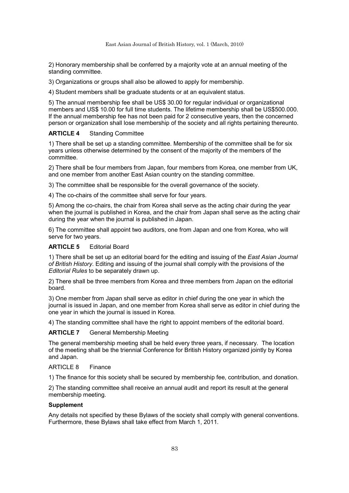2) Honorary membership shall be conferred by a majority vote at an annual meeting of the standing committee.

3) Organizations or groups shall also be allowed to apply for membership.

4) Student members shall be graduate students or at an equivalent status.

5) The annual membership fee shall be US\$ 30.00 for regular individual or organizational members and US\$ 10.00 for full time students. The lifetime membership shall be US\$500.000. If the annual membership fee has not been paid for 2 consecutive years, then the concerned person or organization shall lose membership of the society and all rights pertaining thereunto.

#### **ARTICLE 4** Standing Committee

1) There shall be set up a standing committee. Membership of the committee shall be for six years unless otherwise determined by the consent of the majority of the members of the committee.

2) There shall be four members from Japan, four members from Korea, one member from UK, and one member from another East Asian country on the standing committee.

3) The committee shall be responsible for the overall governance of the society.

4) The co-chairs of the committee shall serve for four years.

5) Among the co-chairs, the chair from Korea shall serve as the acting chair during the year when the journal is published in Korea, and the chair from Japan shall serve as the acting chair during the year when the journal is published in Japan.

6) The committee shall appoint two auditors, one from Japan and one from Korea, who will serve for two years.

## **ARTICLE 5** Editorial Board

1) There shall be set up an editorial board for the editing and issuing of the *East Asian Journal of British History*. Editing and issuing of the journal shall comply with the provisions of the *Editorial Rules* to be separately drawn up.

2) There shall be three members from Korea and three members from Japan on the editorial board.

3) One member from Japan shall serve as editor in chief during the one year in which the journal is issued in Japan, and one member from Korea shall serve as editor in chief during the one year in which the journal is issued in Korea.

4) The standing committee shall have the right to appoint members of the editorial board.

**ARTICLE 7** General Membership Meeting

The general membership meeting shall be held every three years, if necessary. The location of the meeting shall be the triennial Conference for British History organized jointly by Korea and Japan.

#### ARTICLE 8 Finance

1) The finance for this society shall be secured by membership fee, contribution, and donation.

2) The standing committee shall receive an annual audit and report its result at the general membership meeting.

### **Supplement**

Any details not specified by these Bylaws of the society shall comply with general conventions. Furthermore, these Bylaws shall take effect from March 1, 2011.